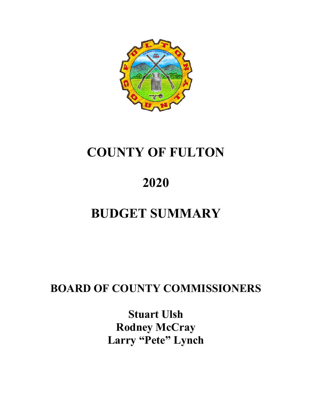

# **COUNTY OF FULTON**

# **2020**

# **BUDGET SUMMARY**

# **BOARD OF COUNTY COMMISSIONERS**

**Stuart Ulsh Rodney McCray Larry "Pete" Lynch**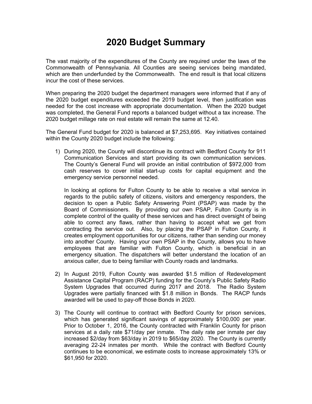# **2020 Budget Summary**

The vast majority of the expenditures of the County are required under the laws of the Commonwealth of Pennsylvania. All Counties are seeing services being mandated, which are then underfunded by the Commonwealth. The end result is that local citizens incur the cost of these services.

When preparing the 2020 budget the department managers were informed that if any of the 2020 budget expenditures exceeded the 2019 budget level, then justification was needed for the cost increase with appropriate documentation. When the 2020 budget was completed, the General Fund reports a balanced budget without a tax increase. The 2020 budget millage rate on real estate will remain the same at 12.40.

The General Fund budget for 2020 is balanced at \$7,253,695. Key initiatives contained within the County 2020 budget include the following:

1) During 2020, the County will discontinue its contract with Bedford County for 911 Communication Services and start providing its own communication services. The County's General Fund will provide an initial contribution of \$972,000 from cash reserves to cover initial start-up costs for capital equipment and the emergency service personnel needed.

In looking at options for Fulton County to be able to receive a vital service in regards to the public safety of citizens, visitors and emergency responders, the decision to open a Public Safety Answering Point (PSAP) was made by the Board of Commissioners. By providing our own PSAP, Fulton County is in complete control of the quality of these services and has direct oversight of being able to correct any flaws, rather than having to accept what we get from contracting the service out. Also, by placing the PSAP in Fulton County, it creates employment opportunities for our citizens, rather than sending our money into another County. Having your own PSAP in the County, allows you to have employees that are familiar with Fulton County, which is beneficial in an emergency situation. The dispatchers will better understand the location of an anxious caller, due to being familiar with County roads and landmarks.

- 2) In August 2019, Fulton County was awarded \$1.5 million of Redevelopment Assistance Capital Program (RACP) funding for the County's Public Safety Radio System Upgrades that occurred during 2017 and 2018. The Radio System Upgrades were partially financed with \$1.8 million in Bonds. The RACP funds awarded will be used to pay-off those Bonds in 2020.
- 3) The County will continue to contract with Bedford County for prison services, which has generated significant savings of approximately \$100,000 per year. Prior to October 1, 2016, the County contracted with Franklin County for prison services at a daily rate \$71/day per inmate. The daily rate per inmate per day increased \$2/day from \$63/day in 2019 to \$65/day 2020. The County is currently averaging 22-24 inmates per month. While the contract with Bedford County continues to be economical, we estimate costs to increase approximately 13% or \$61,950 for 2020.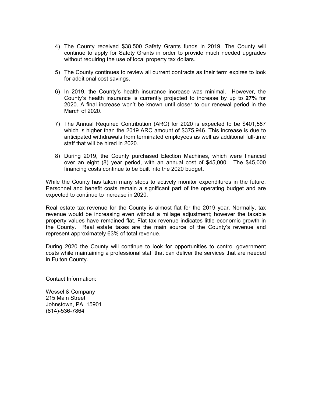- 4) The County received \$38,500 Safety Grants funds in 2019. The County will continue to apply for Safety Grants in order to provide much needed upgrades without requiring the use of local property tax dollars.
- 5) The County continues to review all current contracts as their term expires to look for additional cost savings.
- 6) In 2019, the County's health insurance increase was minimal. However, the County's health insurance is currently projected to increase by up to **27%** for 2020. A final increase won't be known until closer to our renewal period in the March of 2020.
- 7) The Annual Required Contribution (ARC) for 2020 is expected to be \$401,587 which is higher than the 2019 ARC amount of \$375,946. This increase is due to anticipated withdrawals from terminated employees as well as additional full-time staff that will be hired in 2020.
- 8) During 2019, the County purchased Election Machines, which were financed over an eight (8) year period, with an annual cost of \$45,000. The \$45,000 financing costs continue to be built into the 2020 budget.

While the County has taken many steps to actively monitor expenditures in the future, Personnel and benefit costs remain a significant part of the operating budget and are expected to continue to increase in 2020.

Real estate tax revenue for the County is almost flat for the 2019 year. Normally, tax revenue would be increasing even without a millage adjustment; however the taxable property values have remained flat. Flat tax revenue indicates little economic growth in the County. Real estate taxes are the main source of the County's revenue and represent approximately 63% of total revenue.

During 2020 the County will continue to look for opportunities to control government costs while maintaining a professional staff that can deliver the services that are needed in Fulton County.

Contact Information:

Wessel & Company 215 Main Street Johnstown, PA 15901 (814)-536-7864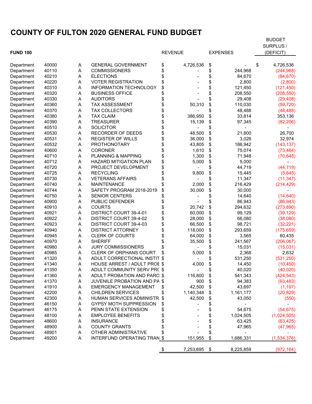# **COUNTY OF FULTON 2020 GENERAL FUND BUDGET**

|                          |       |        |                                     |                 |                 | <b>BUDGET</b><br>SURPLUS / |
|--------------------------|-------|--------|-------------------------------------|-----------------|-----------------|----------------------------|
| <b>FUND 100</b>          |       |        |                                     | <b>REVENUE</b>  | <b>EXPENSES</b> | (DEFICIT)                  |
|                          |       |        |                                     |                 |                 |                            |
| Department               | 40000 | A      | <b>GENERAL GOVERNMENT</b>           | \$<br>4,726,536 | \$              | \$<br>4,726,536            |
| Department               | 40110 | Α      | <b>COMMISSIONERS</b>                | \$              | \$<br>244,968   | (244, 968)                 |
| Department               | 40210 | Α      | <b>ELECTIONS</b>                    | \$              | \$<br>84,670    | (84, 670)                  |
| Department               | 40220 | Α      | <b>VOTER REGISTRATION</b>           |                 | \$<br>2,800     | (2,800)                    |
| Department               | 40310 | Α      | <b>INFORMATION TECHNOLOGY</b>       |                 | \$<br>121,450   | (121, 450)                 |
| Department               | 40320 | Α      | <b>BUSINESS OFFICE</b>              |                 | \$<br>208,550   | (208, 550)                 |
| Department               | 40330 | Α      | <b>AUDITORS</b>                     |                 | \$<br>29,408    | (29, 408)                  |
| Department               | 40360 | Α      | <b>TAX ASSESSMENT</b>               | 50,310          | \$<br>110,030   | (59, 720)                  |
| Department               | 40370 | Α      | <b>TAX COLLECTORS</b>               |                 | \$<br>48,488    | (48, 488)                  |
| Department               | 40380 | Α      | <b>TAX CLAIM</b>                    | \$<br>386,950   | \$<br>33,814    | 353,136                    |
| Department               | 40390 | Α      | <b>TREASURER</b>                    | \$<br>15,139    | \$<br>97,345    | (82, 206)                  |
| Department               | 40510 | Α      | <b>SOLICITOR</b>                    |                 | \$              |                            |
| Department               | 40530 | Α      | RECORDER OF DEEDS                   | 48,500          | \$<br>21,800    | 26,700                     |
| Department               | 40531 | Α      | <b>REGISTER OF WILLS</b>            | 36,000          | \$<br>3,026     | 32,974                     |
| Department               | 40532 | Α      | PROTHONOTARY                        | 43,805          | \$<br>186,942   | (143, 137)                 |
| Department               | 40600 | Α      | <b>CORONER</b>                      | 1,610           | \$<br>75,074    | (73, 464)                  |
| Department               | 40710 | Α      | PLANNING & MAPPING                  | 1,300           | \$<br>71,948    | (70, 648)                  |
| Department               | 40712 | Α      | HAZARD MITIGATION PLAN              | \$<br>5,000     | \$<br>5,000     |                            |
| Department               | 40720 | Α      | PROJECT DEVELOPMENT                 |                 | \$<br>44,719    | (44, 719)                  |
| Department               | 40725 | Α      | <b>RECYCLING</b>                    | 9,800           | \$<br>15,445    | (5,645)                    |
| Department               | 40730 | Α      | <b>VETERANS AFFAIRS</b>             |                 | \$<br>11,347    | (11, 347)                  |
| Department               | 40740 | Α      | <b>MAINTENANCE</b>                  | 2,000           | \$<br>216,429   | (214, 429)                 |
| Department               | 40744 | Α      | SAFETY PROGRAM 2018-2019            | 30,000          | \$<br>30,000    |                            |
| Department               | 40750 | Α      | <b>SENIOR CENTERS</b>               |                 | \$<br>14,640    | (14, 640)                  |
| Department               | 40900 | Α      | PUBLIC DEFENDER                     |                 | \$<br>86,943    | (86, 943)                  |
| Department               | 40910 | Α      | <b>COURTS</b>                       | 20,742          | \$<br>294,632   | (273, 890)                 |
| Department               | 40921 | Α      | DISTRICT COURT 39-4-01              | 60,000          | \$<br>99,129    | (39, 129)                  |
| Department               | 40922 | Α      | DISTRICT COURT 39-4-02              | 28,000          | \$<br>66,080    | (38,080)                   |
| Department               | 40923 | Α      | DISTRICT COURT 39-4-03              | 66,500          | \$<br>98,721    | (32, 221)                  |
| Department               | 40940 | Α      | <b>DISTRICT ATTORNEY</b>            | 118,000         | \$<br>293,659   | (175, 659)                 |
| Department               | 40945 | Α      | <b>CLERK OF COURTS</b>              | 64,000          | \$<br>3,565     | 60,435                     |
| Department               | 40970 | Α      | <b>SHERIFF</b>                      | 35,500          | \$<br>241,567   | (206, 067)                 |
| Department               | 40980 | Α      | <b>JURY COMMISSIONERS</b>           |                 | \$<br>15,031    | (15,031)                   |
| Department               | 40985 | Α      | <b>CLERK OF ORPHANS COURT</b>       | 5,000           | \$<br>2,368     | 2,632                      |
| Department               | 41320 | Α      | ADULT CORRECTIONAL INSTIT \$        |                 | \$<br>531,250   | (531, 250)                 |
| Department               | 41340 | Α      | HOUSE ARREST / ADULT PROE \$        | 4,000           | 14,450          | (10, 450)                  |
| Department               | 41350 | A      | ADULT COMMUNITY SERV PRC \$         |                 | \$<br>40,020    | (40, 020)                  |
| Department               | 41360 | Α      | ADULT PROBATION AND PARC \$         | 116,800         | \$<br>541,343   | (424, 543)                 |
| Department               | 41370 | Α      | <b>JUVENILE PROBATION AND PA \$</b> | 900             | \$<br>94,383    | (93, 483)                  |
| Department               | 41910 | Α      | <b>EMERGENCY MANAGEMENT</b>         | \$<br>42,500    | \$<br>43,697    | (1, 197)                   |
| Department               | 42200 | A      | <b>CHILDREN SERVICES</b>            | 1,140,348       | \$<br>1,161,177 | (20, 829)                  |
| Department               | 42300 | Α      | HUMAN SERVICES ADMINISTR \$         | 42,500          | \$<br>43,050    | (550)                      |
| Department               | 46150 | Α      | GYPSY MOTH SUPPRESSION              | \$              | \$              |                            |
| Department               | 46175 | A      | PENN STATE EXTENSION                |                 | \$<br>54,675    | (54, 675)                  |
| Department               | 48100 | A      | <b>EMPLOYEE BENEFITS</b>            |                 | \$<br>1,024,505 | (1,024,505)                |
| Department               | 48600 | Α      | <b>INSURANCE</b>                    |                 | \$<br>63,425    | (63, 425)                  |
| Department               | 48900 | A      | <b>COUNTY GRANTS</b>                |                 | \$<br>47,965    | (47, 965)                  |
|                          | 48901 |        | OTHER ADMINISTRATIVE                |                 | \$              |                            |
| Department<br>Department | 49200 | A<br>Α | INTERFUND OPERATING TRAN \$         | 151,955         | \$<br>1,686,331 | (1,534,376)                |
|                          |       |        |                                     | \$<br>7,253,695 | \$<br>8,225,859 | (972, 164)                 |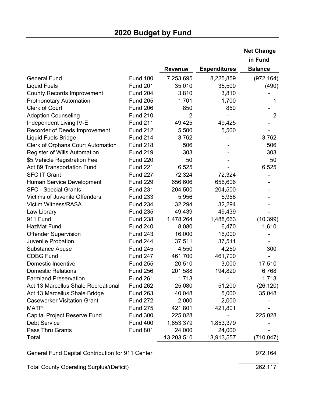| in Fund<br><b>Balance</b><br><b>Expenditures</b><br><b>Revenue</b><br><b>General Fund</b><br><b>Fund 100</b><br>7,253,695<br>8,225,859<br>(972, 164)<br><b>Liquid Fuels</b><br><b>Fund 201</b><br>35,010<br>35,500<br>(490)<br><b>Fund 204</b><br>3,810<br>3,810<br><b>County Records Improvement</b><br><b>Fund 205</b><br><b>Prothonotary Automation</b><br>1,701<br>1,700<br><b>Clerk of Court</b><br><b>Fund 206</b><br>850<br>850<br><b>Adoption Counseling</b><br><b>Fund 210</b><br>2 | 1<br>$\overline{2}$ |
|----------------------------------------------------------------------------------------------------------------------------------------------------------------------------------------------------------------------------------------------------------------------------------------------------------------------------------------------------------------------------------------------------------------------------------------------------------------------------------------------|---------------------|
|                                                                                                                                                                                                                                                                                                                                                                                                                                                                                              |                     |
|                                                                                                                                                                                                                                                                                                                                                                                                                                                                                              |                     |
|                                                                                                                                                                                                                                                                                                                                                                                                                                                                                              |                     |
|                                                                                                                                                                                                                                                                                                                                                                                                                                                                                              |                     |
|                                                                                                                                                                                                                                                                                                                                                                                                                                                                                              |                     |
|                                                                                                                                                                                                                                                                                                                                                                                                                                                                                              |                     |
|                                                                                                                                                                                                                                                                                                                                                                                                                                                                                              |                     |
|                                                                                                                                                                                                                                                                                                                                                                                                                                                                                              |                     |
| Independent Living IV-E<br><b>Fund 211</b><br>49,425<br>49,425                                                                                                                                                                                                                                                                                                                                                                                                                               |                     |
| Recorder of Deeds Improvement<br><b>Fund 212</b><br>5,500<br>5,500                                                                                                                                                                                                                                                                                                                                                                                                                           |                     |
| <b>Liquid Fuels Bridge</b><br><b>Fund 214</b><br>3,762<br>3,762                                                                                                                                                                                                                                                                                                                                                                                                                              |                     |
| <b>Clerk of Orphans Court Automation</b><br><b>Fund 218</b><br>506<br>506                                                                                                                                                                                                                                                                                                                                                                                                                    |                     |
| <b>Register of Wills Automation</b><br><b>Fund 219</b><br>303<br>303                                                                                                                                                                                                                                                                                                                                                                                                                         |                     |
| 50<br>\$5 Vehicle Registration Fee<br><b>Fund 220</b>                                                                                                                                                                                                                                                                                                                                                                                                                                        | 50                  |
| <b>Fund 221</b><br>6,525<br>Act 89 Transportation Fund<br>6,525                                                                                                                                                                                                                                                                                                                                                                                                                              |                     |
| <b>SFC IT Grant</b><br><b>Fund 227</b><br>72,324<br>72,324                                                                                                                                                                                                                                                                                                                                                                                                                                   |                     |
| Human Service Development<br><b>Fund 229</b><br>656,606<br>656,606                                                                                                                                                                                                                                                                                                                                                                                                                           |                     |
| <b>Fund 231</b><br><b>SFC - Special Grants</b><br>204,500<br>204,500                                                                                                                                                                                                                                                                                                                                                                                                                         |                     |
| <b>Victims of Juvenile Offenders</b><br><b>Fund 233</b><br>5,956<br>5,956                                                                                                                                                                                                                                                                                                                                                                                                                    |                     |
| <b>Victim Witness/RASA</b><br><b>Fund 234</b><br>32,294<br>32,294                                                                                                                                                                                                                                                                                                                                                                                                                            |                     |
| <b>Fund 235</b><br>49,439<br>Law Library<br>49,439                                                                                                                                                                                                                                                                                                                                                                                                                                           |                     |
| 911 Fund<br><b>Fund 238</b><br>1,478,264<br>(10, 399)<br>1,488,663                                                                                                                                                                                                                                                                                                                                                                                                                           |                     |
| <b>HazMat Fund</b><br><b>Fund 240</b><br>8,080<br>6,470<br>1,610                                                                                                                                                                                                                                                                                                                                                                                                                             |                     |
| <b>Fund 243</b><br>16,000<br>16,000<br><b>Offender Supervision</b>                                                                                                                                                                                                                                                                                                                                                                                                                           |                     |
| Juvenile Probation<br><b>Fund 244</b><br>37,511<br>37,511                                                                                                                                                                                                                                                                                                                                                                                                                                    |                     |
| <b>Substance Abuse</b><br><b>Fund 245</b><br>300<br>4,550<br>4,250                                                                                                                                                                                                                                                                                                                                                                                                                           |                     |
| <b>CDBG Fund</b><br><b>Fund 247</b><br>461,700<br>461,700                                                                                                                                                                                                                                                                                                                                                                                                                                    |                     |
| <b>Domestic Incentive</b><br><b>Fund 255</b><br>20,510<br>3,000<br>17,510                                                                                                                                                                                                                                                                                                                                                                                                                    |                     |
| <b>Fund 256</b><br>201,588<br>6,768<br><b>Domestic Relations</b><br>194,820                                                                                                                                                                                                                                                                                                                                                                                                                  |                     |
| <b>Farmland Preservation</b><br><b>Fund 261</b><br>1,713<br>1,713                                                                                                                                                                                                                                                                                                                                                                                                                            |                     |
| Act 13 Marcellus Shale Recreational<br><b>Fund 262</b><br>25,080<br>51,200<br>(26, 120)                                                                                                                                                                                                                                                                                                                                                                                                      |                     |
| 5,000<br>Act 13 Marcellus Shale Bridge<br><b>Fund 263</b><br>40,048<br>35,048                                                                                                                                                                                                                                                                                                                                                                                                                |                     |
| <b>Caseworker Visitation Grant</b><br><b>Fund 272</b><br>2,000<br>2,000                                                                                                                                                                                                                                                                                                                                                                                                                      |                     |
| 421,801<br><b>MATP</b><br><b>Fund 275</b><br>421,801                                                                                                                                                                                                                                                                                                                                                                                                                                         |                     |
| <b>Capital Project Reserve Fund</b><br><b>Fund 300</b><br>225,028<br>225,028                                                                                                                                                                                                                                                                                                                                                                                                                 |                     |
| <b>Debt Service</b><br><b>Fund 400</b><br>1,853,379<br>1,853,379                                                                                                                                                                                                                                                                                                                                                                                                                             |                     |
| Pass Thru Grants<br><b>Fund 801</b><br>24,000<br>24,000                                                                                                                                                                                                                                                                                                                                                                                                                                      |                     |
| 13,203,510<br><b>Total</b><br>13,913,557<br>(710, 047)                                                                                                                                                                                                                                                                                                                                                                                                                                       |                     |

General Fund Capital Contribution for 911 Center **972,000 PM** 972,164

Total County Operating Surplus/(Deficit) 262,117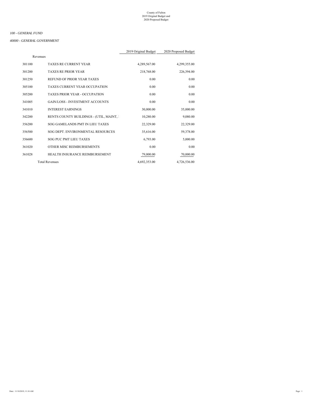#### *40000 - GENERAL GOVERNMENT*

|          |                                          | 2019 Original Budget | 2020 Proposed Budget |
|----------|------------------------------------------|----------------------|----------------------|
| Revenues |                                          |                      |                      |
| 301100   | <b>TAXES RE CURRENT YEAR</b>             | 4,289,567.00         | 4,299,355.00         |
| 301200   | <b>TAXES RE PRIOR YEAR</b>               | 218,768.00           | 226,394.00           |
| 301250   | REFUND OF PRIOR YEAR TAXES               | 0.00                 | 0.00                 |
| 305100   | TAXES CURRENT YEAR OCCUPATION            | 0.00                 | 0.00                 |
| 305200   | <b>TAXES PRIOR YEAR - OCCUPATION</b>     | 0.00                 | 0.00                 |
| 341005   | <b>GAIN/LOSS - INVESTMENT ACCOUNTS</b>   | 0.00                 | 0.00                 |
| 341010   | <b>INTEREST EARNINGS</b>                 | 30,000.00            | 35,000.00            |
| 342200   | RENTS COUNTY BUILDINGS - (UTIL, MAINT, 1 | 10,280.00            | 9,080.00             |
| 356200   | SOG GAMELANDS PMT IN LIEU TAXES          | 22,329.00            | 22,329.00            |
| 356500   | SOG DEPT. ENVIRONMENTAL RESOURCES        | 35,616.00            | 59,378.00            |
| 356600   | SOG PUC PMT LIEU TAXES                   | 6,793.00             | 5,000.00             |
| 361020   | OTHER MISC REIMBURSEMENTS                | 0.00                 | 0.00                 |
| 361028   | HEALTH INSURANCE REIMBURSEMENT           | 79,000.00            | 70,000.00            |
|          | <b>Total Revenues</b>                    | 4,692,353.00         | 4,726,536.00         |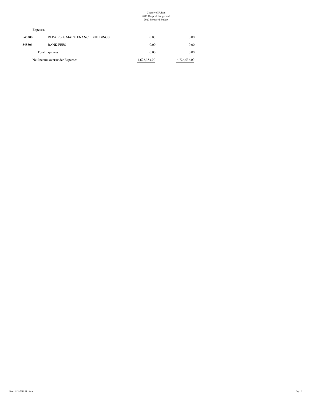#### Expenses

| 0.00         | 0.00         | REPAIRS & MAINTENANCE BUILDINGS | 545300 |
|--------------|--------------|---------------------------------|--------|
| 0.00         | 0.00         | <b>BANK FEES</b>                | 548505 |
| 0.00         | 0.00         | <b>Total Expenses</b>           |        |
| 4,726,536.00 | 4,692,353.00 | Net Income over/under Expenses  |        |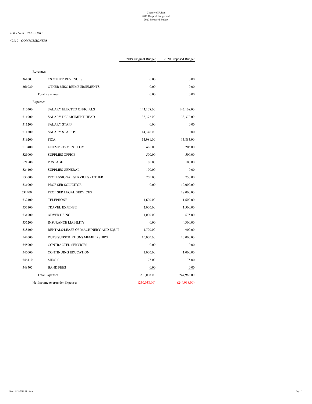#### *40110 - COMMISSIONERS*

|        | Revenues |                                      |               |              |
|--------|----------|--------------------------------------|---------------|--------------|
| 361003 |          | <b>CS OTHER REVENUES</b>             | 0.00          | 0.00         |
| 361020 |          | OTHER MISC REIMBURSEMENTS            | 0.00          | 0.00         |
|        |          | <b>Total Revenues</b>                | 0.00          | 0.00         |
|        | Expenses |                                      |               |              |
| 510500 |          | <b>SALARY ELECTED OFFICIALS</b>      | 143,108.00    | 143,108.00   |
| 511000 |          | SALARY DEPARTMENT HEAD               | 38,372.00     | 38,372.00    |
| 511200 |          | <b>SALARY STAFF</b>                  | 0.00          | 0.00         |
| 511500 |          | <b>SALARY STAFF PT</b>               | 14,346.00     | 0.00         |
| 519200 |          | <b>FICA</b>                          | 14,981.00     | 13,883.00    |
| 519400 |          | UNEMPLOYMENT COMP                    | 406.00        | 205.00       |
| 521000 |          | <b>SUPPLIES OFFICE</b>               | 500.00        | 500.00       |
| 521500 |          | <b>POSTAGE</b>                       | 100.00        | 100.00       |
| 524100 |          | <b>SUPPLIES GENERAL</b>              | 100.00        | 0.00         |
| 530000 |          | PROFESSIONAL SERVICES - OTHER        | 750.00        | 750.00       |
| 531000 |          | PROF SER SOLICITOR                   | 0.00          | 10,000.00    |
| 531400 |          | PROF SER LEGAL SERVICES              |               | 18,000.00    |
| 532100 |          | <b>TELEPHONE</b>                     | 1,600.00      | 1,600.00     |
| 533100 |          | <b>TRAVEL EXPENSE</b>                | 2,000.00      | 1,500.00     |
| 534000 |          | <b>ADVERTISING</b>                   | 1,000.00      | 675.00       |
| 535200 |          | <b>INSURANCE LIABILITY</b>           | 0.00          | 4,300.00     |
| 538400 |          | RENTALS/LEASE OF MACHINERY AND EQUII | 1,700.00      | 900.00       |
| 542000 |          | DUES SUBSCRIPTIONS MEMBERSHIPS       | 10,000.00     | 10,000.00    |
| 545000 |          | CONTRACTED SERVICES                  | 0.00          | 0.00         |
| 546000 |          | <b>CONTINUING EDUCATION</b>          | 1,000.00      | 1,000.00     |
| 546110 |          | <b>MEALS</b>                         | 75.00         | 75.00        |
| 548505 |          | <b>BANK FEES</b>                     | 0.00          | 0.00         |
|        |          | <b>Total Expenses</b>                | 230,038.00    | 244,968.00   |
|        |          | Net Income over/under Expenses       | (230, 038.00) | (244,968.00) |
|        |          |                                      |               |              |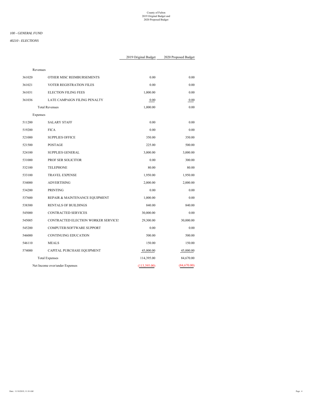#### *100 - GENERAL FUND*

#### *40210 - ELECTIONS*

|        | 2019 Original Budget                |              | 2020 Proposed Budget |
|--------|-------------------------------------|--------------|----------------------|
|        | Revenues                            |              |                      |
| 361020 | OTHER MISC REIMBURSEMENTS           | 0.00         | 0.00                 |
| 361021 | VOTER REGISTRATION FILES            | 0.00         | 0.00                 |
| 361031 | <b>ELECTION FILING FEES</b>         | 1,000.00     | 0.00                 |
| 361036 | LATE CAMPAIGN FILING PENALTY        | 0.00         | 0.00                 |
|        | <b>Total Revenues</b>               | 1,000.00     | 0.00                 |
|        | Expenses                            |              |                      |
| 511200 | <b>SALARY STAFF</b>                 | 0.00         | 0.00                 |
| 519200 | <b>FICA</b>                         | 0.00         | 0.00                 |
| 521000 | <b>SUPPLIES OFFICE</b>              | 350.00       | 350.00               |
| 521500 | POSTAGE                             | 225.00       | 500.00               |
| 524100 | <b>SUPPLIES GENERAL</b>             | 3,000.00     | 3,000.00             |
| 531000 | PROF SER SOLICITOR                  | 0.00         | 300.00               |
| 532100 | <b>TELEPHONE</b>                    | 80.00        | 80.00                |
| 533100 | <b>TRAVEL EXPENSE</b>               | 1,950.00     | 1,950.00             |
| 534000 | <b>ADVERTISING</b>                  | 2,000.00     | 2,000.00             |
| 534200 | PRINTING                            | 0.00         | 0.00                 |
| 537600 | REPAIR & MAINTENANCE EQUIPMENT      | 1,000.00     | 0.00                 |
| 538300 | <b>RENTALS OF BUILDINGS</b>         | 840.00       | 840.00               |
| 545000 | CONTRACTED SERVICES                 | 30,000.00    | 0.00                 |
| 545005 | CONTRACTED ELECTION WORKER SERVICE: | 29,300.00    | 30,000.00            |
| 545200 | COMPUTER/SOFTWARE SUPPORT           | 0.00         | 0.00                 |
| 546000 | <b>CONTINUING EDUCATION</b>         | 500.00       | 500.00               |
| 546110 | <b>MEALS</b>                        | 150.00       | 150.00               |
| 574000 | CAPITAL PURCHASE EQUIPMENT          | 45,000.00    | 45,000.00            |
|        | <b>Total Expenses</b>               | 114,395.00   | 84,670.00            |
|        | Net Income over/under Expenses      | (113,395.00) | (84,670.00)          |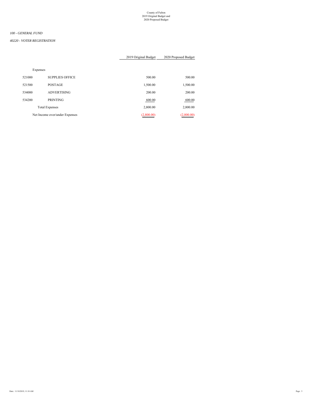#### *100 - GENERAL FUND*

#### *40220 - VOTER REGISTRATION*

|          |                                | 2019 Original Budget | 2020 Proposed Budget |
|----------|--------------------------------|----------------------|----------------------|
|          |                                |                      |                      |
| Expenses |                                |                      |                      |
| 521000   | <b>SUPPLIES OFFICE</b>         | 500.00               | 500.00               |
| 521500   | POSTAGE                        | 1,500.00             | 1,500.00             |
| 534000   | <b>ADVERTISING</b>             | 200.00               | 200.00               |
| 534200   | <b>PRINTING</b>                | 600.00               | 600.00               |
|          | <b>Total Expenses</b>          | 2,800.00             | 2,800.00             |
|          | Net Income over/under Expenses | (2,800.00)           | (2,800.00)           |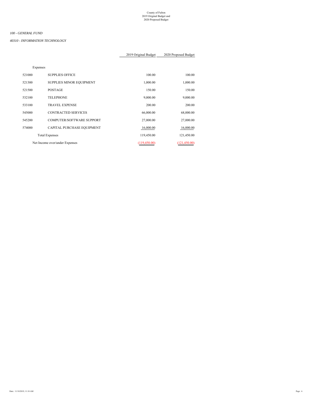#### *40310 - INFORMATION TECHNOLOGY*

|          |                                | 2019 Original Budget | 2020 Proposed Budget |
|----------|--------------------------------|----------------------|----------------------|
|          |                                |                      |                      |
| Expenses |                                |                      |                      |
| 521000   | <b>SUPPLIES OFFICE</b>         | 100.00               | 100.00               |
| 521300   | SUPPLIES MINOR EQUIPMENT       | 1,000.00             | 1,000.00             |
| 521500   | <b>POSTAGE</b>                 | 150.00               | 150.00               |
| 532100   | <b>TELEPHONE</b>               | 9,000.00             | 9,000.00             |
| 533100   | <b>TRAVEL EXPENSE</b>          | 200.00               | 200.00               |
| 545000   | <b>CONTRACTED SERVICES</b>     | 66,000.00            | 68,000.00            |
| 545200   | COMPUTER/SOFTWARE SUPPORT      | 27,000.00            | 27,000.00            |
| 574000   | CAPITAL PURCHASE EQUIPMENT     | 16,000.00            | 16,000.00            |
|          | <b>Total Expenses</b>          | 119,450.00           | 121,450.00           |
|          | Net Income over/under Expenses | (119, 450.00)        | (121, 450.00)        |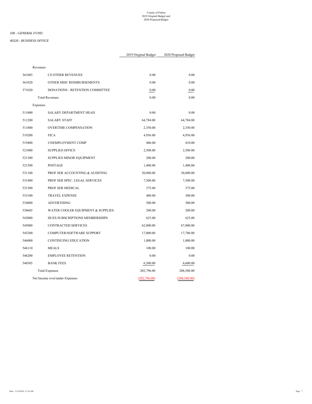#### *40320 - BUSINESS OFFICE*

|          |                                   | 2019 Original Budget<br>2020 Proposed Budget |               |
|----------|-----------------------------------|----------------------------------------------|---------------|
| Revenues |                                   |                                              |               |
| 361003   | <b>CS OTHER REVENUES</b>          | 0.00                                         | 0.00          |
|          |                                   |                                              |               |
| 361020   | OTHER MISC REIMBURSEMENTS         | 0.00                                         | 0.00          |
| 371020   | DONATIONS - RETENTION COMMITTEE   | 0.00                                         | 0.00          |
|          | <b>Total Revenues</b>             | 0.00                                         | 0.00          |
| Expenses |                                   |                                              |               |
| 511000   | SALARY DEPARTMENT HEAD            | 0.00                                         | 0.00          |
| 511200   | <b>SALARY STAFF</b>               | 64,784.00                                    | 64,784.00     |
| 511800   | <b>OVERTIME COMPENSATION</b>      | 2,350.00                                     | 2,350.00      |
| 519200   | <b>FICA</b>                       | 4,956.00                                     | 4,956.00      |
| 519400   | UNEMPLOYMENT COMP                 | 406.00                                       | 410.00        |
| 521000   | <b>SUPPLIES OFFICE</b>            | 2,500.00                                     | 2,500.00      |
| 521300   | SUPPLIES MINOR EQUIPMENT          | 200.00                                       | 200.00        |
| 521500   | <b>POSTAGE</b>                    | 1,400.00                                     | 1,400.00      |
| 531100   | PROF SER ACCOUNTING & AUDITING    | 30,000.00                                    | 30,000.00     |
| 531400   | PROF SER SPEC. LEGAL SERVICES     | 7,500.00                                     | 7,500.00      |
| 531500   | PROF SER MEDICAL                  | 375.00                                       | 375.00        |
| 533100   | <b>TRAVEL EXPENSE</b>             | 400.00                                       | 300.00        |
| 534000   | <b>ADVERTISING</b>                | 500.00                                       | 500.00        |
| 538605   | WATER COOLER EQUIPMENT & SUPPLIES | 200.00                                       | 200.00        |
| 542000   | DUES SUBSCRIPTIONS MEMBERSHIPS    | 625.00                                       | 625.00        |
| 545000   | CONTRACTED SERVICES               | 62,000.00                                    | 67,000.00     |
| 545200   | COMPUTER/SOFTWARE SUPPORT         | 17,000.00                                    | 17,780.00     |
| 546000   | <b>CONTINUING EDUCATION</b>       | 1,000.00                                     | 1,000.00      |
| 546110   | <b>MEALS</b>                      | 100.00                                       | 100.00        |
| 546200   | <b>EMPLOYEE RETENTION</b>         | 0.00                                         | 0.00          |
| 548505   | <b>BANK FEES</b>                  | 6,500.00                                     | 6,600.00      |
|          | <b>Total Expenses</b>             | 202,796.00                                   | 208,580.00    |
|          | Net Income over/under Expenses    | (202, 796.00)                                | (208, 580.00) |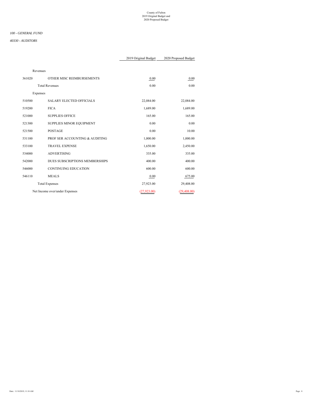|              |              | Revenues                              |        |
|--------------|--------------|---------------------------------------|--------|
| 0.00         | 0.00         | OTHER MISC REIMBURSEMENTS             | 361020 |
| 0.00         | 0.00         | <b>Total Revenues</b>                 |        |
|              |              | Expenses                              |        |
| 22,084.00    | 22,084.00    | <b>SALARY ELECTED OFFICIALS</b>       | 510500 |
| 1,689.00     | 1,689.00     | <b>FICA</b>                           | 519200 |
| 165.00       | 165.00       | <b>SUPPLIES OFFICE</b>                | 521000 |
| 0.00         | 0.00         | SUPPLIES MINOR EQUIPMENT              | 521300 |
| 10.00        | 0.00         | <b>POSTAGE</b>                        | 521500 |
| 1,000.00     | 1,000.00     | PROF SER ACCOUNTING & AUDITING        | 531100 |
| 2,450.00     | 1,650.00     | <b>TRAVEL EXPENSE</b>                 | 533100 |
| 335.00       | 335.00       | <b>ADVERTISING</b>                    | 534000 |
| 400.00       | 400.00       | <b>DUES SUBSCRIPTIONS MEMBERSHIPS</b> | 542000 |
| 600.00       | 600.00       | <b>CONTINUING EDUCATION</b>           | 546000 |
| 675.00       | 0.00         | <b>MEALS</b>                          | 546110 |
| 29,408.00    | 27,923.00    | <b>Total Expenses</b>                 |        |
| (29, 408.00) | (27, 923.00) | Net Income over/under Expenses        |        |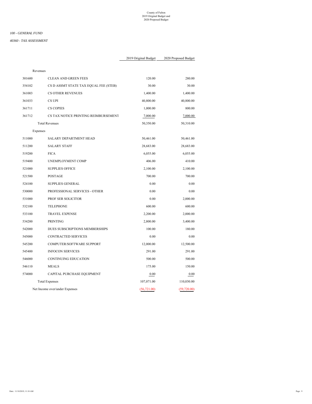#### *100 - GENERAL FUND*

#### *40360 - TAX ASSESSMENT*

|              |              | Revenues                              |        |
|--------------|--------------|---------------------------------------|--------|
| 280.00       | 120.00       | <b>CLEAN AND GREEN FEES</b>           | 301600 |
| 30.00        | 30.00        | CS D ASSMT STATE TAX EQUAL FEE (STEB) | 354102 |
| 1,400.00     | 1,400.00     | <b>CS OTHER REVENUES</b>              | 361003 |
| 40,800.00    | 40,800.00    | CS UPI                                | 361033 |
| 800.00       | 1,000.00     | <b>CS COPIES</b>                      | 361711 |
| 7,000.00     | 7,000.00     | CS TAX NOTICE PRINTING REIMBURSEMENT  | 361712 |
| 50,310.00    | 50,350.00    | <b>Total Revenues</b>                 |        |
|              |              | Expenses                              |        |
| 50,461.00    | 50,461.00    | <b>SALARY DEPARTMENT HEAD</b>         | 511000 |
| 28,683.00    | 28,683.00    | <b>SALARY STAFF</b>                   | 511200 |
| 6,055.00     | 6,055.00     | <b>FICA</b>                           | 519200 |
| 410.00       | 406.00       | UNEMPLOYMENT COMP                     | 519400 |
| 2,100.00     | 2,100.00     | <b>SUPPLIES OFFICE</b>                | 521000 |
| 700.00       | 700.00       | <b>POSTAGE</b>                        | 521500 |
| 0.00         | 0.00         | <b>SUPPLIES GENERAL</b>               | 524100 |
| 0.00         | 0.00         | PROFESSIONAL SERVICES - OTHER         | 530000 |
| 2,000.00     | 0.00         | PROF SER SOLICITOR                    | 531000 |
| 600.00       | 600.00       | <b>TELEPHONE</b>                      | 532100 |
| 2,000.00     | 2,200.00     | <b>TRAVEL EXPENSE</b>                 | 533100 |
| 3,400.00     | 2,800.00     | <b>PRINTING</b>                       | 534200 |
| 180.00       | 100.00       | DUES SUBSCRIPTIONS MEMBERSHIPS        | 542000 |
| 0.00         | 0.00         | CONTRACTED SERVICES                   | 545000 |
| 12,500.00    | 12,000.00    | COMPUTER/SOFTWARE SUPPORT             | 545200 |
| 291.00       | 291.00       | <b>INFOCON SERVICES</b>               | 545400 |
| 500.00       | 500.00       | <b>CONTINUING EDUCATION</b>           | 546000 |
| 150.00       | 175.00       | <b>MEALS</b>                          | 546110 |
| 0.00         | 0.00         | CAPITAL PURCHASE EQUIPMENT            | 574000 |
| 110,030.00   | 107,071.00   | <b>Total Expenses</b>                 |        |
| (59, 720.00) | (56, 721.00) | Net Income over/under Expenses        |        |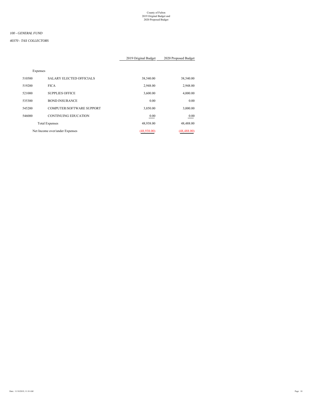#### *100 - GENERAL FUND*

#### *40370 - TAX COLLECTORS*

#### 2019 Original Budget 2020 Proposed Budget

Expenses

| 38,540.00    | 38,540.00   | <b>SALARY ELECTED OFFICIALS</b>  | 510500 |
|--------------|-------------|----------------------------------|--------|
| 2,948.00     | 2,948.00    | <b>FICA</b>                      | 519200 |
| 4,000.00     | 3,600.00    | <b>SUPPLIES OFFICE</b>           | 521000 |
| 0.00         | 0.00        | <b>BOND INSURANCE</b>            | 535300 |
| 3,000.00     | 3,850.00    | <b>COMPUTER/SOFTWARE SUPPORT</b> | 545200 |
| 0.00         | 0.00        | <b>CONTINUING EDUCATION</b>      | 546000 |
| 48,488.00    | 48,938.00   | <b>Total Expenses</b>            |        |
| (48, 488.00) | (48,938.00) | Net Income over/under Expenses   |        |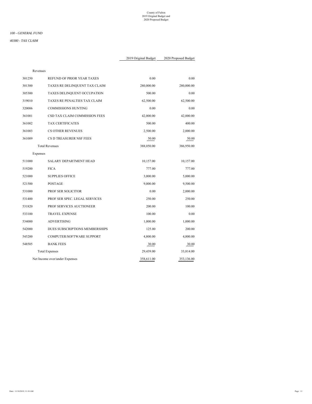#### *100 - GENERAL FUND*

#### *40380 - TAX CLAIM*

| Revenues |                                |            |            |
|----------|--------------------------------|------------|------------|
| 301250   | REFUND OF PRIOR YEAR TAXES     | 0.00       | 0.00       |
| 301300   | TAXES RE DELINQUENT TAX CLAIM  | 280,000.00 | 280,000.00 |
| 305300   | TAXES DELINQUENT OCCUPATION    | 500.00     | 0.00       |
| 319010   | TAXES RE PENALTIES TAX CLAIM   | 62,500.00  | 62,500.00  |
| 320006   | <b>COMMISSIONS HUNTING</b>     | 0.00       | 0.00       |
| 361001   | CSD TAX CLAIM COMMISSION FEES  | 42,000.00  | 42,000.00  |
| 361002   | <b>TAX CERTIFICATES</b>        | 500.00     | 400.00     |
| 361003   | <b>CS OTHER REVENUES</b>       | 2,500.00   | 2,000.00   |
| 361009   | CS D TREASURER NSF FEES        | 50.00      | 50.00      |
|          | <b>Total Revenues</b>          | 388,050.00 | 386,950.00 |
| Expenses |                                |            |            |
| 511000   | SALARY DEPARTMENT HEAD         | 10,157.00  | 10,157.00  |
| 519200   | <b>FICA</b>                    | 777.00     | 777.00     |
| 521000   | <b>SUPPLIES OFFICE</b>         | 3,000.00   | 5,000.00   |
| 521500   | POSTAGE                        | 9,000.00   | 9,500.00   |
| 531000   | PROF SER SOLICITOR             | 0.00       | 2,000.00   |
| 531400   | PROF SER SPEC. LEGAL SERVICES  | 250.00     | 250.00     |
| 531820   | PROF SERVICES AUCTIONEER       | 200.00     | 100.00     |
| 533100   | <b>TRAVEL EXPENSE</b>          | 100.00     | 0.00       |
| 534000   | <b>ADVERTISING</b>             | 1,000.00   | 1,000.00   |
| 542000   | DUES SUBSCRIPTIONS MEMBERSHIPS | 125.00     | 200.00     |
| 545200   | COMPUTER/SOFTWARE SUPPORT      | 4,800.00   | 4,800.00   |
| 548505   | <b>BANK FEES</b>               | 30.00      | 30.00      |
|          | <b>Total Expenses</b>          | 29,439.00  | 33,814.00  |
|          | Net Income over/under Expenses | 358,611.00 | 353,136.00 |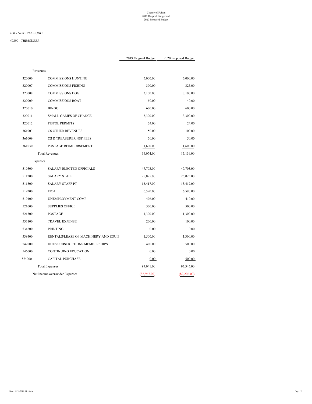#### *100 - GENERAL FUND*

#### *40390 - TREASURER*

|              |             | Revenues                             |        |
|--------------|-------------|--------------------------------------|--------|
| 6,000.00     | 5,000.00    | <b>COMMISSIONS HUNTING</b>           | 320006 |
| 325.00       | 300.00      | <b>COMMISSIONS FISHING</b>           | 320007 |
| 3,100.00     | 3,100.00    | <b>COMMISSIONS DOG</b>               | 320008 |
| 40.00        | 50.00       | <b>COMMISSIONS BOAT</b>              | 320009 |
| 600.00       | 600.00      | <b>BINGO</b>                         | 320010 |
| 3,300.00     | 3,300.00    | <b>SMALL GAMES OF CHANCE</b>         | 320011 |
| 24.00        | 24.00       | PISTOL PERMITS                       | 320012 |
| 100.00       | 50.00       | <b>CS OTHER REVENUES</b>             | 361003 |
| 50.00        | 50.00       | CS D TREASURER NSF FEES              | 361009 |
| 1,600.00     | 1,600.00    | POSTAGE REIMBURSEMENT                | 361030 |
| 15,139.00    | 14,074.00   | <b>Total Revenues</b>                |        |
|              |             | Expenses                             |        |
| 47,703.00    | 47,703.00   | <b>SALARY ELECTED OFFICIALS</b>      | 510500 |
| 25,025.00    | 25,025.00   | <b>SALARY STAFF</b>                  | 511200 |
| 13,417.00    | 13,417.00   | <b>SALARY STAFF PT</b>               | 511500 |
| 6,590.00     | 6,590.00    | <b>FICA</b>                          | 519200 |
| 410.00       | 406.00      | UNEMPLOYMENT COMP                    | 519400 |
| 500.00       | 500.00      | <b>SUPPLIES OFFICE</b>               | 521000 |
| 1,300.00     | 1,300.00    | POSTAGE                              | 521500 |
| 100.00       | 200.00      | <b>TRAVEL EXPENSE</b>                | 533100 |
| 0.00         | 0.00        | <b>PRINTING</b>                      | 534200 |
| 1,300.00     | 1,500.00    | RENTALS/LEASE OF MACHINERY AND EQUII | 538400 |
| 500.00       | 400.00      | DUES SUBSCRIPTIONS MEMBERSHIPS       | 542000 |
| 0.00         | 0.00        | <b>CONTINUING EDUCATION</b>          | 546000 |
| 500.00       | $0.00\,$    | <b>CAPITAL PURCHASE</b>              | 574000 |
| 97,345.00    | 97,041.00   | <b>Total Expenses</b>                |        |
| (82, 206.00) | (82,967.00) | Net Income over/under Expenses       |        |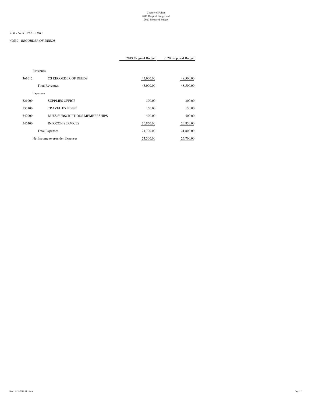#### *40530 - RECORDER OF DEEDS*

#### 2019 Original Budget 2020 Proposed Budget

Revenues

| 361012   | CS RECORDER OF DEEDS           | 45,000.00 | 48,500.00 |
|----------|--------------------------------|-----------|-----------|
|          | <b>Total Revenues</b>          | 45,000.00 | 48,500.00 |
| Expenses |                                |           |           |
| 521000   | <b>SUPPLIES OFFICE</b>         | 300.00    | 300.00    |
| 533100   | <b>TRAVEL EXPENSE</b>          | 150.00    | 150.00    |
| 542000   | DUES SUBSCRIPTIONS MEMBERSHIPS | 400.00    | 500.00    |
| 545400   | <b>INFOCON SERVICES</b>        | 20,850.00 | 20,850.00 |
|          | <b>Total Expenses</b>          | 21,700.00 | 21,800.00 |
|          | Net Income over/under Expenses | 23,300.00 | 26,700.00 |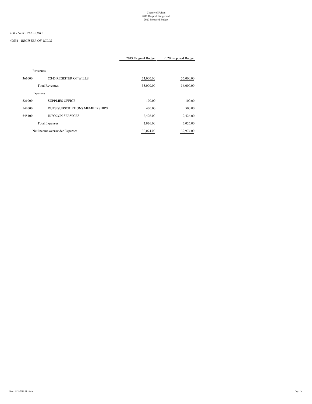#### *40531 - REGISTER OF WILLS*

#### 2019 Original Budget 2020 Proposed Budget

#### Revenues

| 361000   | CS-D REGISTER OF WILLS         | 33,000.00 | 36,000.00 |
|----------|--------------------------------|-----------|-----------|
|          | <b>Total Revenues</b>          | 33,000.00 | 36,000.00 |
| Expenses |                                |           |           |
| 521000   | <b>SUPPLIES OFFICE</b>         | 100.00    | 100.00    |
| 542000   | DUES SUBSCRIPTIONS MEMBERSHIPS | 400.00    | 500.00    |
| 545400   | <b>INFOCON SERVICES</b>        | 2,426.00  | 2,426.00  |
|          | <b>Total Expenses</b>          | 2,926.00  | 3,026.00  |
|          | Net Income over/under Expenses | 30,074.00 | 32,974.00 |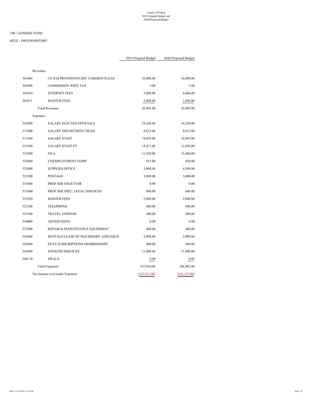#### *100 - GENERAL FUND*

#### *40532 - PROTHONOTARY*

|               |               | Revenues                             |        |
|---------------|---------------|--------------------------------------|--------|
| 36,000.00     | 35,000.00     | CS JUD PROTHONOTARY COMMON PLEAS     | 361006 |
| 5.00          | 5.00          | <b>COMMISSION WRIT TAX</b>           | 361008 |
| 6,000.00      | 5,000.00      | <b>INTERNET FEES</b>                 | 361010 |
| 1,800.00      | 2,000.00      | <b>MASTER FEES</b>                   | 361011 |
| 43,805.00     | 42,005.00     | <b>Total Revenues</b>                |        |
|               |               | Expenses                             |        |
| 54,260.00     | 54,260.00     | <b>SALARY ELECTED OFFICIALS</b>      | 510500 |
| 8,013.00      | 8,013.00      | <b>SALARY DEPARTMENT HEAD</b>        | 511000 |
| 74,893.00     | 74,893.00     | <b>SALARY STAFF</b>                  | 511200 |
| 11,856.00     | 13,417.00     | <b>SALARY STAFF PT</b>               | 511500 |
| 11,400.00     | 11,520.00     | <b>FICA</b>                          | 519200 |
| 820.00        | 813.00        | UNEMPLOYMENT COMP                    | 519400 |
| 4,500.00      | 3,000.00      | <b>SUPPLIES OFFICE</b>               | 521000 |
| 3,000.00      | 3,000.00      | <b>POSTAGE</b>                       | 521500 |
| 0.00          | 0.00          | PROF SER SOLICITOR                   | 531000 |
| 600.00        | 600.00        | PROF SER SPEC. LEGAL SERVICES        | 531400 |
| 2,000.00      | 2,000.00      | <b>MASTER FEES</b>                   | 531830 |
| 600.00        | 600.00        | <b>TELEPHONE</b>                     | 532100 |
| 200.00        | 200.00        | <b>TRAVEL EXPENSE</b>                | 533100 |
| 0.00          | 0.00          | <b>ADVERTISING</b>                   | 534000 |
| 400.00        | 400.00        | REPAIR & MAINTENANCE EQUIPMENT       | 537600 |
| 2,900.00      | 2,900.00      | RENTALS/LEASE OF MACHINERY AND EQUII | 538400 |
| 500.00        | 400.00        | DUES SUBSCRIPTIONS MEMBERSHIPS       | 542000 |
| 11,000.00     | 11,000.00     | <b>INFOCON SERVICES</b>              | 545400 |
| 0.00          | 0.00          | <b>MEALS</b>                         | 546110 |
| 186,942.00    | 187,016.00    | <b>Total Expenses</b>                |        |
| (143, 137.00) | (145, 011.00) | Net Income over/under Expenses       |        |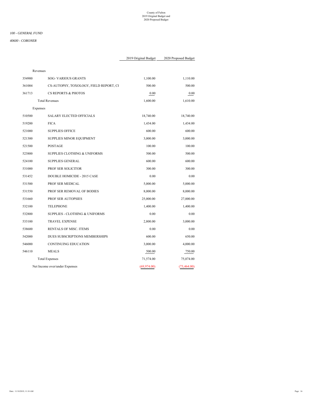#### *100 - GENERAL FUND*

#### *40600 - CORONER*

| 354900<br>361004<br>361713 | <b>SOG- VARIOUS GRANTS</b><br>CS-AUTOPSY, TOXOLOGY, FIELD REPORT, CI<br><b>CS REPORTS &amp; PHOTOS</b><br><b>Total Revenues</b> | 1,100.00<br>500.00<br>0.00 | 1,110.00<br>500.00<br>0.00 |
|----------------------------|---------------------------------------------------------------------------------------------------------------------------------|----------------------------|----------------------------|
|                            |                                                                                                                                 |                            |                            |
|                            |                                                                                                                                 |                            |                            |
|                            |                                                                                                                                 |                            |                            |
|                            |                                                                                                                                 | 1,600.00                   | 1,610.00                   |
|                            | Expenses                                                                                                                        |                            |                            |
| 510500                     | <b>SALARY ELECTED OFFICIALS</b>                                                                                                 | 18,740.00                  | 18,740.00                  |
| 519200                     | <b>FICA</b>                                                                                                                     | 1,434.00                   | 1,434.00                   |
| 521000                     | <b>SUPPLIES OFFICE</b>                                                                                                          | 600.00                     | 600.00                     |
| 521300                     | SUPPLIES MINOR EQUIPMENT                                                                                                        | 3,000.00                   | 3,000.00                   |
| 521500                     | <b>POSTAGE</b>                                                                                                                  | 100.00                     | 100.00                     |
| 523800                     | <b>SUPPLIES CLOTHING &amp; UNIFORMS</b>                                                                                         | 500.00                     | 500.00                     |
| 524100                     | <b>SUPPLIES GENERAL</b>                                                                                                         | 600.00                     | 600.00                     |
| 531000                     | PROF SER SOLICITOR                                                                                                              | 300.00                     | 300.00                     |
| 531452                     | DOUBLE HOMICIDE - 2015 CASE                                                                                                     | 0.00                       | 0.00                       |
| 531500                     | PROF SER MEDICAL                                                                                                                | 5,000.00                   | 5,000.00                   |
| 531550                     | PROF SER REMOVAL OF BODIES                                                                                                      | 8,000.00                   | 8,000.00                   |
| 531660                     | PROF SER AUTOPSIES                                                                                                              | 25,000.00                  | 27,000.00                  |
| 532100                     | <b>TELEPHONE</b>                                                                                                                | 1,400.00                   | 1,400.00                   |
| 532800                     | SUPPLIES - CLOTHING & UNIFORMS                                                                                                  | 0.00                       | 0.00                       |
| 533100                     | <b>TRAVEL EXPENSE</b>                                                                                                           | 2,800.00                   | 3,000.00                   |
| 538600                     | RENTALS OF MISC. ITEMS                                                                                                          | 0.00                       | 0.00                       |
| 542000                     | DUES SUBSCRIPTIONS MEMBERSHIPS                                                                                                  | 600.00                     | 650.00                     |
| 546000                     | <b>CONTINUING EDUCATION</b>                                                                                                     | 3,000.00                   | 4,000.00                   |
| 546110                     | <b>MEALS</b>                                                                                                                    | 500.00                     | 750.00                     |
|                            | <b>Total Expenses</b>                                                                                                           | 71,574.00                  | 75,074.00                  |
|                            | Net Income over/under Expenses                                                                                                  | (69, 974.00)               | (73, 464.00)               |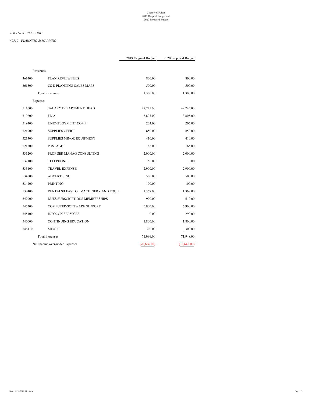#### *40710 - PLANNING & MAPPING*

|              |             | Revenues                             |        |
|--------------|-------------|--------------------------------------|--------|
| 800.00       | 800.00      | <b>PLAN REVIEW FEES</b>              | 361400 |
| 500.00       | 500.00      | CS D PLANNING SALES MAPS             | 361500 |
| 1,300.00     | 1,300.00    | <b>Total Revenues</b>                |        |
|              |             | Expenses                             |        |
| 49,745.00    | 49,745.00   | <b>SALARY DEPARTMENT HEAD</b>        | 511000 |
| 3,805.00     | 3,805.00    | <b>FICA</b>                          | 519200 |
| 205.00       | 203.00      | UNEMPLOYMENT COMP                    | 519400 |
| 850.00       | 850.00      | <b>SUPPLIES OFFICE</b>               | 521000 |
| 410.00       | 410.00      | SUPPLIES MINOR EQUIPMENT             | 521300 |
| 165.00       | 165.00      | POSTAGE                              | 521500 |
| 2,000.00     | 2,000.00    | PROF SER MANAG CONSULTING            | 531200 |
| 0.00         | 50.00       | <b>TELEPHONE</b>                     | 532100 |
| 2,900.00     | 2,900.00    | <b>TRAVEL EXPENSE</b>                | 533100 |
| 500.00       | 500.00      | <b>ADVERTISING</b>                   | 534000 |
| 100.00       | 100.00      | PRINTING                             | 534200 |
| 1,368.00     | 1,368.00    | RENTALS/LEASE OF MACHINERY AND EQUII | 538400 |
| 610.00       | 900.00      | DUES SUBSCRIPTIONS MEMBERSHIPS       | 542000 |
| 6,900.00     | 6,900.00    | COMPUTER/SOFTWARE SUPPORT            | 545200 |
| 290.00       | 0.00        | <b>INFOCON SERVICES</b>              | 545400 |
| 1,800.00     | 1,800.00    | <b>CONTINUING EDUCATION</b>          | 546000 |
| 300.00       | 300.00      | <b>MEALS</b>                         | 546110 |
| 71,948.00    | 71,996.00   | <b>Total Expenses</b>                |        |
| (70, 648.00) | (70,696.00) | Net Income over/under Expenses       |        |
|              |             |                                      |        |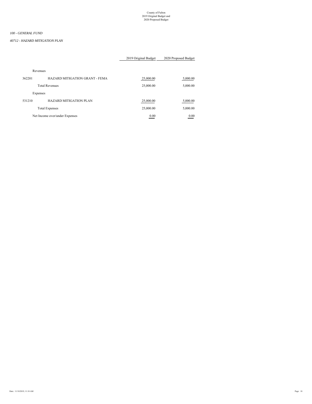#### *40712 - HAZARD MITIGATION PLAN*

|          |                                | 2019 Original Budget | 2020 Proposed Budget |
|----------|--------------------------------|----------------------|----------------------|
| Revenues |                                |                      |                      |
| 362201   | HAZARD MITIGATION GRANT - FEMA | 25,000.00            | 5,000.00             |
|          | <b>Total Revenues</b>          | 25,000.00            | 5,000.00             |
| Expenses |                                |                      |                      |
| 531210   | <b>HAZARD MITIGATION PLAN</b>  | 25,000.00            | 5,000.00             |
|          | <b>Total Expenses</b>          | 25,000.00            | 5,000.00             |
|          | Net Income over/under Expenses | 0.00                 | 0.00                 |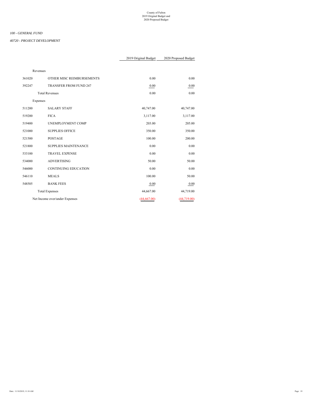#### *40720 - PROJECT DEVELOPMENT*

|        |                                | 2019 Original Budget | 2020 Proposed Budget |
|--------|--------------------------------|----------------------|----------------------|
|        | Revenues                       |                      |                      |
| 361020 | OTHER MISC REIMBURSEMENTS      | 0.00                 | 0.00                 |
| 392247 | <b>TRANSFER FROM FUND 247</b>  | 0.00                 | 0.00                 |
|        | <b>Total Revenues</b>          | 0.00                 | 0.00                 |
|        | Expenses                       |                      |                      |
| 511200 | <b>SALARY STAFF</b>            | 40,747.00            | 40,747.00            |
| 519200 | <b>FICA</b>                    | 3,117.00             | 3,117.00             |
| 519400 | UNEMPLOYMENT COMP              | 203.00               | 205.00               |
| 521000 | <b>SUPPLIES OFFICE</b>         | 350.00               | 350.00               |
| 521500 | POSTAGE                        | 100.00               | 200.00               |
| 521800 | SUPPLIES MAINTENANCE           | 0.00                 | 0.00                 |
| 533100 | <b>TRAVEL EXPENSE</b>          | 0.00                 | 0.00                 |
| 534000 | <b>ADVERTISING</b>             | 50.00                | 50.00                |
| 546000 | <b>CONTINUING EDUCATION</b>    | 0.00                 | 0.00                 |
| 546110 | <b>MEALS</b>                   | 100.00               | 50.00                |
| 548505 | <b>BANK FEES</b>               | 0.00                 | 0.00                 |
|        | <b>Total Expenses</b>          | 44,667.00            | 44,719.00            |
|        | Net Income over/under Expenses | (44, 667.00)         | (44,719.00)          |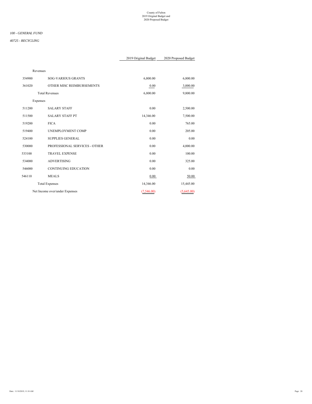#### *100 - GENERAL FUND*

#### *40725 - RECYCLING*

| Revenues |                                |            |            |
|----------|--------------------------------|------------|------------|
| 354900   | <b>SOG-VARIOUS GRANTS</b>      | 6,800.00   | 6,800.00   |
| 361020   | OTHER MISC REIMBURSEMENTS      | 0.00       | 3,000.00   |
|          | <b>Total Revenues</b>          | 6,800.00   | 9,800.00   |
| Expenses |                                |            |            |
| 511200   | <b>SALARY STAFF</b>            | 0.00       | 2,500.00   |
| 511500   | <b>SALARY STAFF PT</b>         | 14,346.00  | 7,500.00   |
| 519200   | <b>FICA</b>                    | 0.00       | 765.00     |
| 519400   | UNEMPLOYMENT COMP              | 0.00       | 205.00     |
| 524100   | <b>SUPPLIES GENERAL</b>        | 0.00       | 0.00       |
| 530000   | PROFESSIONAL SERVICES - OTHER  | 0.00       | 4,000.00   |
| 533100   | <b>TRAVEL EXPENSE</b>          | 0.00       | 100.00     |
| 534000   | <b>ADVERTISING</b>             | 0.00       | 325.00     |
| 546000   | <b>CONTINUING EDUCATION</b>    | 0.00       | 0.00       |
| 546110   | <b>MEALS</b>                   | 0.00       | 50.00      |
|          | <b>Total Expenses</b>          | 14,346.00  | 15,445.00  |
|          | Net Income over/under Expenses | (7,546.00) | (5,645.00) |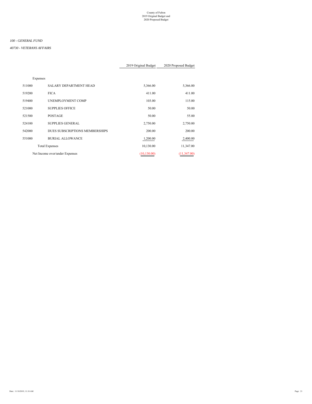#### *40730 - VETERANS AFFAIRS*

|          |                                | 2019 Original Budget | 2020 Proposed Budget |
|----------|--------------------------------|----------------------|----------------------|
|          |                                |                      |                      |
| Expenses |                                |                      |                      |
| 511000   | <b>SALARY DEPARTMENT HEAD</b>  | 5,366.00             | 5,366.00             |
| 519200   | <b>FICA</b>                    | 411.00               | 411.00               |
| 519400   | UNEMPLOYMENT COMP              | 103.00               | 115.00               |
| 521000   | <b>SUPPLIES OFFICE</b>         | 50.00                | 50.00                |
| 521500   | <b>POSTAGE</b>                 | 50.00                | 55.00                |
| 524100   | <b>SUPPLIES GENERAL</b>        | 2,750.00             | 2,750.00             |
| 542000   | DUES SUBSCRIPTIONS MEMBERSHIPS | 200.00               | 200.00               |
| 551000   | <b>BURIAL ALLOWANCE</b>        | 1,200.00             | 2,400.00             |
|          | <b>Total Expenses</b>          | 10,130.00            | 11,347.00            |
|          | Net Income over/under Expenses | (10, 130.00)         | (11,347.00)          |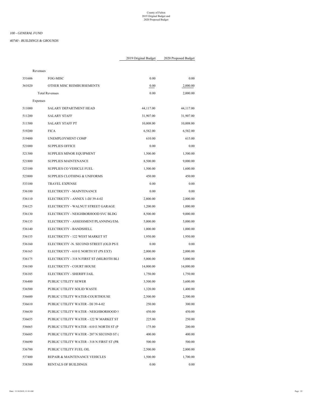#### *40740 - BUILDINGS & GROUNDS*

|        | Revenues                                  |           |           |
|--------|-------------------------------------------|-----------|-----------|
| 351606 | FOG-MISC                                  | 0.00      | 0.00      |
| 361020 | OTHER MISC REIMBURSEMENTS                 | 0.00      | 2,000.00  |
|        | <b>Total Revenues</b>                     | 0.00      | 2,000.00  |
|        | Expenses                                  |           |           |
| 511000 | SALARY DEPARTMENT HEAD                    | 44,117.00 | 44,117.00 |
| 511200 | <b>SALARY STAFF</b>                       | 31,907.00 | 31,907.00 |
| 511500 | <b>SALARY STAFF PT</b>                    | 10,008.00 | 10,008.00 |
| 519200 | <b>FICA</b>                               | 6,582.00  | 6,582.00  |
| 519400 | UNEMPLOYMENT COMP                         | 610.00    | 615.00    |
| 521000 | <b>SUPPLIES OFFICE</b>                    | 0.00      | $0.00\,$  |
| 521300 | SUPPLIES MINOR EQUIPMENT                  | 1,500.00  | 1,500.00  |
| 521800 | SUPPLIES MAINTENANCE                      | 8,500.00  | 9,000.00  |
| 523100 | SUPPLIES CO VEHICLE FUEL                  | 1,500.00  | 1,600.00  |
| 523800 | <b>SUPPLIES CLOTHING &amp; UNIFORMS</b>   | 450.00    | 450.00    |
| 533100 | <b>TRAVEL EXPENSE</b>                     | 0.00      | 0.00      |
| 536100 | ELECTRICITY - MAINTENANCE                 | 0.00      | 0.00      |
| 536110 | ELECTRICITY - ANNEX 1-DJ 39-4-02          | 2,800.00  | 2,800.00  |
| 536125 | ELECTRICITY - WALNUT STREET GARAGE        | 1,200.00  | 1,000.00  |
| 536130 | ELECTRICITY - NEIGHBORHOOD SVC BLDG       | 8,500.00  | 9,000.00  |
| 536135 | ELECTRICITY - ASSESSMENT/PLANNING/EM/     | 5,000.00  | 5,000.00  |
| 536140 | ELECTRICITY - BANDSHELL                   | 1,000.00  | 1,000.00  |
| 536155 | ELECTRICITY - 122 WEST MARKET ST          | 1,950.00  | 1,950.00  |
| 536160 | ELECTRICITY -N. SECOND STREET (OLD PS E   | 0.00      | 0.00      |
| 536165 | ELECTRICITY - 610 E NORTH ST (PS EXT)     | 2,000.00  | 2,000.00  |
| 536175 | ELECTRICITY - 318 N FIRST ST (MILROTH BLI | 5,000.00  | 5,000.00  |
| 536180 | ELECTRICITY - COURT HOUSE                 | 14,000.00 | 14,000.00 |
| 536185 | ELECTRICITY - SHERIFF/JAIL                | 1,750.00  | 1,750.00  |
| 536400 | PUBLIC UTILITY SEWER                      | 3,500.00  | 3,600.00  |
| 536500 | PUBLIC UTILITY SOLID WASTE                | 1,320.00  | 1,400.00  |
| 536600 | PUBLIC UTILITY WATER-COURTHOUSE           | 2,500.00  | 2,500.00  |
| 536610 | PUBLIC UTILITY WATER - DJ 39-4-02         | 250.00    | 300.00    |
| 536630 | PUBLIC UTILITY WATER - NEIGHBORHOOD S     | 450.00    | 450.00    |
| 536655 | PUBLIC UTILITY WATER - 122 W MARKET ST    | 225.00    | 250.00    |
| 536665 | PUBLIC UTILITY WATER - 610 E NORTH ST (P  | 175.00    | 200.00    |
| 536685 | PUBLIC UTILITY WATER - 207 N SECOND ST (  | 400.00    | 400.00    |
| 536690 | PUBLIC UTILITY WATER - 318 N FIRST ST (PR | 500.00    | 500.00    |
| 536700 | PUBLIC UTILITY FUEL OIL                   | 2,500.00  | 2,800.00  |
| 537400 | REPAIR & MAINTENANCE VEHICLES             | 1,500.00  | 1,700.00  |
| 538300 | <b>RENTALS OF BUILDINGS</b>               | 0.00      | 0.00      |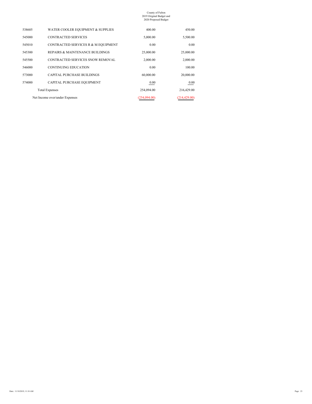| 450.00        | 400.00       | WATER COOLER EQUIPMENT & SUPPLIES   | 538605 |
|---------------|--------------|-------------------------------------|--------|
| 5,500.00      | 5,000.00     | <b>CONTRACTED SERVICES</b>          | 545000 |
| 0.00          | 0.00         | CONTRACTED SERVICES R & M EQUIPMENT | 545010 |
| 25,000.00     | 25,000.00    | REPAIRS & MAINTENANCE BUILDINGS     | 545300 |
| 2,000.00      | 2,000.00     | CONTRACTED SERVICES SNOW REMOVAL    | 545500 |
| 100.00        | 0.00         | <b>CONTINUING EDUCATION</b>         | 546000 |
| 20,000.00     | 60,000.00    | <b>CAPITAL PURCHASE BUILDINGS</b>   | 573000 |
| 0.00          | 0.00         | CAPITAL PURCHASE EQUIPMENT          | 574000 |
| 216,429.00    | 254,094.00   | <b>Total Expenses</b>               |        |
| (214, 429.00) | (254.094.00) | Net Income over/under Expenses      |        |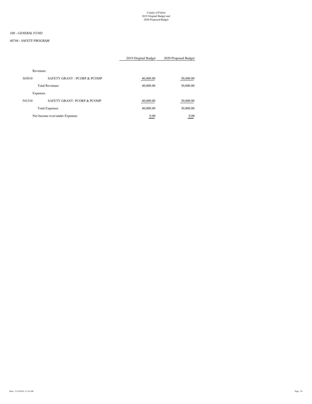#### *40744 - SAFETY PROGRAM*

|        |                                       | 2019 Original Budget | 2020 Proposed Budget |
|--------|---------------------------------------|----------------------|----------------------|
|        | Revenues                              |                      |                      |
| 365010 | SAFETY GRANT - PCORP & PCOMP          | 40,000.00            | 30,000.00            |
|        | <b>Total Revenues</b>                 | 40,000.00            | 30,000.00            |
|        | Expenses                              |                      |                      |
| 541510 | <b>SAFETY GRANT-PCORP &amp; PCOMP</b> | 40,000.00            | 30,000.00            |
|        | <b>Total Expenses</b>                 | 40,000.00            | 30,000.00            |
|        | Net Income over/under Expenses        | 0.00                 | 0.00                 |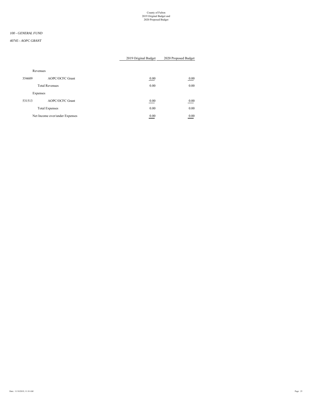#### *100 - GENERAL FUND*

#### *40745 - AOPC GRANT*

|          |                                | 2019 Original Budget             | 2020 Proposed Budget |
|----------|--------------------------------|----------------------------------|----------------------|
| Revenues |                                |                                  |                      |
| 354609   | <b>AOPC/OCFC Grant</b>         | 0.00                             | 0.00                 |
|          | <b>Total Revenues</b>          | 0.00                             | 0.00                 |
| Expenses |                                |                                  |                      |
| 531513   | <b>AOPC/OCFC Grant</b>         | 0.00                             | 0.00                 |
|          | <b>Total Expenses</b>          | 0.00                             | 0.00                 |
|          | Net Income over/under Expenses | 0.00<br><b>Contract Contract</b> | 0.00                 |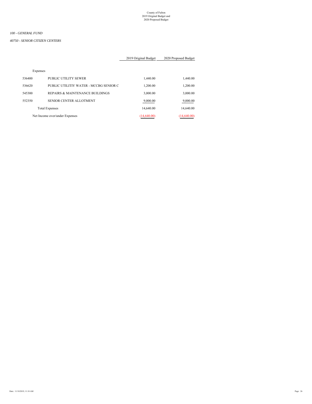*40750 - SENIOR CITIZEN CENTERS*

|          |                                        | 2019 Original Budget | 2020 Proposed Budget |
|----------|----------------------------------------|----------------------|----------------------|
| Expenses |                                        |                      |                      |
|          |                                        |                      |                      |
| 536400   | PUBLIC UTILITY SEWER                   | 1,440.00             | 1,440.00             |
| 536620   | PUBLIC UTILITIY WATER - MCCBG SENIOR C | 1,200.00             | 1,200.00             |
| 545300   | REPAIRS & MAINTENANCE BUILDINGS        | 3,000.00             | 3,000.00             |
| 552350   | SENIOR CENTER ALLOTMENT                | 9,000.00             | 9,000.00             |
|          | <b>Total Expenses</b>                  | 14,640.00            | 14,640.00            |
|          |                                        |                      |                      |
|          | Net Income over/under Expenses         | (14,640,00)          | (14,640,00)          |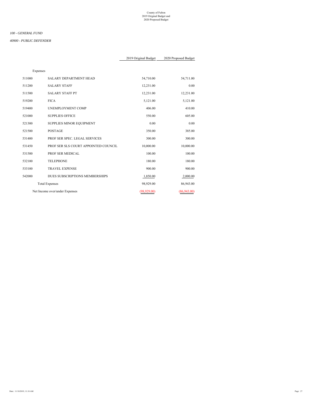#### *100 - GENERAL FUND*

#### *40900 - PUBLIC DEFENDER*

|             |              |                                      | Expenses |
|-------------|--------------|--------------------------------------|----------|
| 54,711.00   | 54,710.00    | <b>SALARY DEPARTMENT HEAD</b>        | 511000   |
| 0.00        | 12,231.00    | <b>SALARY STAFF</b>                  | 511200   |
| 12,231.00   | 12,231.00    | <b>SALARY STAFF PT</b>               | 511500   |
| 5,121.00    | 5,121.00     | <b>FICA</b>                          | 519200   |
| 410.00      | 406.00       | UNEMPLOYMENT COMP                    | 519400   |
| 605.00      | 550.00       | <b>SUPPLIES OFFICE</b>               | 521000   |
| 0.00        | 0.00         | SUPPLIES MINOR EQUIPMENT             | 521300   |
| 385.00      | 350.00       | <b>POSTAGE</b>                       | 521500   |
| 300.00      | 300.00       | PROF SER SPEC. LEGAL SERVICES        | 531400   |
| 10,000.00   | 10,000.00    | PROF SER SLS COURT APPOINTED COUNCIL | 531450   |
| 100.00      | 100.00       | PROF SER MEDICAL                     | 531500   |
| 180.00      | 180.00       | <b>TELEPHONE</b>                     | 532100   |
| 900.00      | 900.00       | <b>TRAVEL EXPENSE</b>                | 533100   |
| 2,000.00    | 1,850.00     | DUES SUBSCRIPTIONS MEMBERSHIPS       | 542000   |
| 86,943.00   | 98,929.00    | <b>Total Expenses</b>                |          |
| (86,943.00) | (98, 929.00) | Net Income over/under Expenses       |          |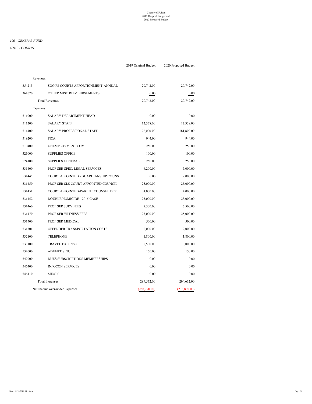*40910 - COURTS*

|          |                                      | 2019 Original Budget | 2020 Proposed Budget |
|----------|--------------------------------------|----------------------|----------------------|
| Revenues |                                      |                      |                      |
| 354213   | SOG PS COURTS APPORTIONMENT-ANNUAL   | 20,742.00            | 20,742.00            |
| 361020   | OTHER MISC REIMBURSEMENTS            | 0.00                 | 0.00                 |
|          | <b>Total Revenues</b>                | 20,742.00            | 20,742.00            |
| Expenses |                                      |                      |                      |
| 511000   | SALARY DEPARTMENT HEAD               | 0.00                 | 0.00                 |
| 511200   | <b>SALARY STAFF</b>                  | 12,338.00            | 12,338.00            |
| 511400   | SALARY PROFESSIONAL STAFF            | 176,000.00           | 181,800.00           |
| 519200   | <b>FICA</b>                          | 944.00               | 944.00               |
| 519400   | UNEMPLOYMENT COMP                    | 250.00               | 250.00               |
| 521000   | <b>SUPPLIES OFFICE</b>               | 100.00               | 100.00               |
| 524100   | <b>SUPPLIES GENERAL</b>              | 250.00               | 250.00               |
| 531400   | PROF SER SPEC. LEGAL SERVICES        | 6,200.00             | 5,000.00             |
| 531445   | COURT APPOINTED - GUARDIANSHIP COUNS | 0.00                 | 2,000.00             |
| 531450   | PROF SER SLS COURT APPOINTED COUNCIL | 25,000.00            | 25,000.00            |
| 531451   | COURT APPOINTED-PARENT COUNSEL DEPE  | 4,000.00             | 4,000.00             |
| 531452   | DOUBLE HOMICIDE - 2015 CASE          | 25,000.00            | 23,000.00            |
| 531460   | PROF SER JURY FEES                   | 7,500.00             | 7,500.00             |
| 531470   | PROF SER WITNESS FEES                | 25,000.00            | 25,000.00            |
| 531500   | PROF SER MEDICAL                     | 500.00               | 500.00               |
| 531501   | OFFENDER TRANSPORTATION COSTS        | 2,000.00             | 2,000.00             |
| 532100   | <b>TELEPHONE</b>                     | 1,800.00             | 1,800.00             |
| 533100   | <b>TRAVEL EXPENSE</b>                | 2,500.00             | 3,000.00             |
| 534000   | <b>ADVERTISING</b>                   | 150.00               | 150.00               |
| 542000   | DUES SUBSCRIPTIONS MEMBERSHIPS       | 0.00                 | 0.00                 |
| 545400   | <b>INFOCON SERVICES</b>              | 0.00                 | 0.00                 |
| 546110   | <b>MEALS</b>                         | 0.00                 | 0.00                 |
|          | <b>Total Expenses</b>                | 289,532.00           | 294,632.00           |
|          | Net Income over/under Expenses       | (268,790.00)         | (273,890.00)         |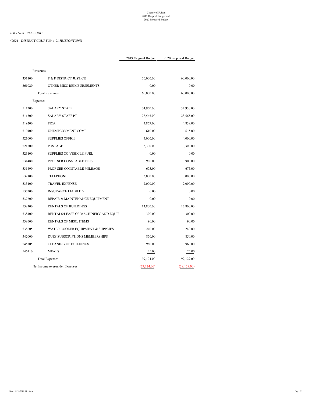*40921 - DISTRICT COURT 39-4-01 HUSTONTOWN*

|              |              | Revenues                             |        |
|--------------|--------------|--------------------------------------|--------|
| 60,000.00    | 60,000.00    | F & F DISTRICT JUSTICE               | 331100 |
| 0.00         | 0.00         | OTHER MISC REIMBURSEMENTS            | 361020 |
| 60,000.00    | 60,000.00    | <b>Total Revenues</b>                |        |
|              |              | Expenses                             |        |
| 34,950.00    | 34,950.00    | <b>SALARY STAFF</b>                  | 511200 |
| 28,565.00    | 28,565.00    | <b>SALARY STAFF PT</b>               | 511500 |
| 4,859.00     | 4,859.00     | <b>FICA</b>                          | 519200 |
| 615.00       | 610.00       | UNEMPLOYMENT COMP                    | 519400 |
| 4,000.00     | 4,000.00     | <b>SUPPLIES OFFICE</b>               | 521000 |
| 3,300.00     | 3,300.00     | <b>POSTAGE</b>                       | 521500 |
| 0.00         | 0.00         | <b>SUPPLIES CO VEHICLE FUEL</b>      | 523100 |
| 900.00       | 900.00       | PROF SER CONSTABLE FEES              | 531480 |
| 675.00       | 675.00       | PROF SER CONSTABLE MILEAGE           | 531490 |
| 3,000.00     | 3,000.00     | <b>TELEPHONE</b>                     | 532100 |
| 2,000.00     | 2,000.00     | <b>TRAVEL EXPENSE</b>                | 533100 |
| 0.00         | 0.00         | <b>INSURANCE LIABILITY</b>           | 535200 |
| 0.00         | 0.00         | REPAIR & MAINTENANCE EQUIPMENT       | 537600 |
| 13,800.00    | 13,800.00    | <b>RENTALS OF BUILDINGS</b>          | 538300 |
| 300.00       | 300.00       | RENTALS/LEASE OF MACHINERY AND EQUII | 538400 |
| 90.00        | 90.00        | <b>RENTALS OF MISC. ITEMS</b>        | 538600 |
| 240.00       | 240.00       | WATER COOLER EQUIPMENT & SUPPLIES    | 538605 |
| 850.00       | 850.00       | DUES SUBSCRIPTIONS MEMBERSHIPS       | 542000 |
| 960.00       | 960.00       | <b>CLEANING OF BUILDINGS</b>         | 545305 |
| 25.00        | 25.00        | <b>MEALS</b>                         | 546110 |
| 99,129.00    | 99,124.00    | <b>Total Expenses</b>                |        |
| (39, 129.00) | (39, 124.00) | Net Income over/under Expenses       |        |
|              |              |                                      |        |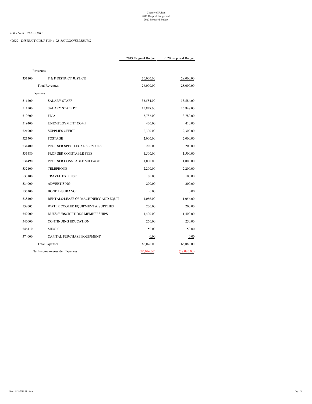*40922 - DISTRICT COURT 39-4-02 MCCONNELLSBURG*

| Revenues |                                      |             |             |
|----------|--------------------------------------|-------------|-------------|
| 331100   | F & F DISTRICT JUSTICE               | 26,000.00   | 28,000.00   |
|          | <b>Total Revenues</b>                | 26,000.00   | 28,000.00   |
| Expenses |                                      |             |             |
| 511200   | <b>SALARY STAFF</b>                  | 33,584.00   | 33,584.00   |
| 511500   | <b>SALARY STAFF PT</b>               | 15,848.00   | 15,848.00   |
| 519200   | <b>FICA</b>                          | 3,782.00    | 3,782.00    |
| 519400   | UNEMPLOYMENT COMP                    | 406.00      | 410.00      |
| 521000   | <b>SUPPLIES OFFICE</b>               | 2,300.00    | 2,300.00    |
| 521500   | <b>POSTAGE</b>                       | 2,000.00    | 2,000.00    |
| 531400   | PROF SER SPEC. LEGAL SERVICES        | 200.00      | 200.00      |
| 531480   | PROF SER CONSTABLE FEES              | 1,500.00    | 1,500.00    |
| 531490   | PROF SER CONSTABLE MILEAGE           | 1,000.00    | 1,000.00    |
| 532100   | <b>TELEPHONE</b>                     | 2,200.00    | 2,200.00    |
| 533100   | <b>TRAVEL EXPENSE</b>                | 100.00      | 100.00      |
| 534000   | <b>ADVERTISING</b>                   | 200.00      | 200.00      |
| 535300   | <b>BOND INSURANCE</b>                | 0.00        | 0.00        |
| 538400   | RENTALS/LEASE OF MACHINERY AND EQUII | 1,056.00    | 1,056.00    |
| 538605   | WATER COOLER EQUIPMENT & SUPPLIES    | 200.00      | 200.00      |
| 542000   | DUES SUBSCRIPTIONS MEMBERSHIPS       | 1,400.00    | 1,400.00    |
| 546000   | CONTINUING EDUCATION                 | 250.00      | 250.00      |
| 546110   | <b>MEALS</b>                         | 50.00       | 50.00       |
| 574000   | CAPITAL PURCHASE EQUIPMENT           | 0.00        | 0.00        |
|          | <b>Total Expenses</b>                | 66,076.00   | 66,080.00   |
|          | Net Income over/under Expenses       | (40,076.00) | (38,080.00) |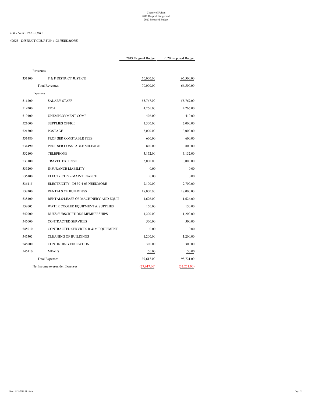*40923 - DISTRICT COURT 39-4-03 NEEDMORE*

|              |             | Revenues                             |        |
|--------------|-------------|--------------------------------------|--------|
| 66,500.00    | 70,000.00   | F & F DISTRICT JUSTICE               | 331100 |
| 66,500.00    | 70,000.00   | <b>Total Revenues</b>                |        |
|              |             | Expenses                             |        |
| 55,767.00    | 55,767.00   | <b>SALARY STAFF</b>                  | 511200 |
| 4,266.00     | 4,266.00    | <b>FICA</b>                          | 519200 |
| 410.00       | 406.00      | UNEMPLOYMENT COMP                    | 519400 |
| 2,000.00     | 1,500.00    | <b>SUPPLIES OFFICE</b>               | 521000 |
| 3,000.00     | 3,000.00    | <b>POSTAGE</b>                       | 521500 |
| 600.00       | 600.00      | PROF SER CONSTABLE FEES              | 531480 |
| 800.00       | 800.00      | PROF SER CONSTABLE MILEAGE           | 531490 |
| 3,152.00     | 3,152.00    | <b>TELEPHONE</b>                     | 532100 |
| 3,000.00     | 3,000.00    | <b>TRAVEL EXPENSE</b>                | 533100 |
| 0.00         | 0.00        | <b>INSURANCE LIABILITY</b>           | 535200 |
| 0.00         | 0.00        | ELECTRICITY - MAINTENANCE            | 536100 |
| 2,700.00     | 2,100.00    | ELECTRICITY - DJ 39-4-03 NEEDMORE    | 536115 |
| 18,000.00    | 18,000.00   | <b>RENTALS OF BUILDINGS</b>          | 538300 |
| 1,626.00     | 1,626.00    | RENTALS/LEASE OF MACHINERY AND EQUII | 538400 |
| 150.00       | 150.00      | WATER COOLER EQUIPMENT & SUPPLIES    | 538605 |
| 1,200.00     | 1,200.00    | DUES SUBSCRIPTIONS MEMBERSHIPS       | 542000 |
| 500.00       | 500.00      | <b>CONTRACTED SERVICES</b>           | 545000 |
| 0.00         | 0.00        | CONTRACTED SERVICES R & M EQUIPMENT  | 545010 |
| 1,200.00     | 1,200.00    | <b>CLEANING OF BUILDINGS</b>         | 545305 |
| 300.00       | 300.00      | CONTINUING EDUCATION                 | 546000 |
| 50.00        | 50.00       | <b>MEALS</b>                         | 546110 |
| 98,721.00    | 97,617.00   | <b>Total Expenses</b>                |        |
| (32, 221.00) | (27,617.00) | Net Income over/under Expenses       |        |
|              |             |                                      |        |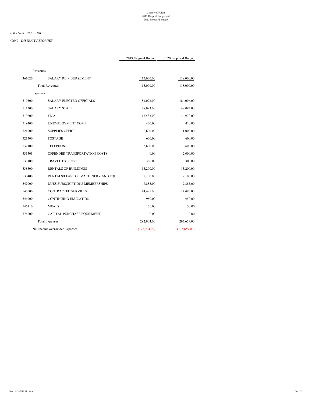#### *40940 - DISTRICT ATTORNEY*

|        | Revenues |                                      |              |               |
|--------|----------|--------------------------------------|--------------|---------------|
| 361026 |          | SALARY REIMBURSEMENT                 | 115,000.00   | 118,000.00    |
|        |          | <b>Total Revenues</b>                | 115,000.00   | 118,000.00    |
|        | Expenses |                                      |              |               |
| 510500 |          | <b>SALARY ELECTED OFFICIALS</b>      | 181,092.00   | 184,006.00    |
| 511200 |          | <b>SALARY STAFF</b>                  | 48,093.00    | 48,093.00     |
| 519200 |          | <b>FICA</b>                          | 17,533.00    | 14,970.00     |
| 519400 |          | UNEMPLOYMENT COMP                    | 406.00       | 410.00        |
| 521000 |          | <b>SUPPLIES OFFICE</b>               | 2,600.00     | 1,000.00      |
| 521500 |          | <b>POSTAGE</b>                       | 600.00       | 600.00        |
| 532100 |          | <b>TELEPHONE</b>                     | 3,600.00     | 3,600.00      |
| 531501 |          | OFFENDER TRANSPORTATION COSTS        | 0.00         | 2,000.00      |
| 533100 |          | <b>TRAVEL EXPENSE</b>                | 300.00       | 300.00        |
| 538300 |          | <b>RENTALS OF BUILDINGS</b>          | 13,200.00    | 13,200.00     |
| 538400 |          | RENTALS/LEASE OF MACHINERY AND EQUII | 2,100.00     | 2,100.00      |
| 542000 |          | DUES SUBSCRIPTIONS MEMBERSHIPS       | 7,885.00     | 7,885.00      |
| 545000 |          | <b>CONTRACTED SERVICES</b>           | 14,495.00    | 14,495.00     |
| 546000 |          | <b>CONTINUING EDUCATION</b>          | 950.00       | 950.00        |
| 546110 |          | <b>MEALS</b>                         | 50.00        | 50.00         |
| 574000 |          | CAPITAL PURCHASE EQUIPMENT           | 0.00         | 0.00          |
|        |          | <b>Total Expenses</b>                | 292,904.00   | 293,659.00    |
|        |          | Net Income over/under Expenses       | (177,904.00) | (175, 659.00) |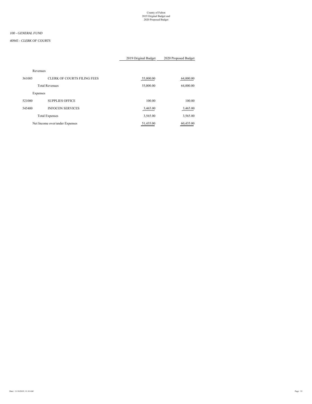#### *40945 - CLERK OF COURTS*

# 2019 Original Budget 2020 Proposed Budget

# Revenues 361005 CLERK OF COURTS FILING FEES 55,000.00 55,000.00 64,000.00 Total Revenues 64,000.00 64,000.00 64,000.00 64,000.00 64,000.00 64,000.00 64,000.00 64,000.00 64,000 64,000 64,000 64,000 64,000 64,000 64,000 64,000 64,000 64,000 64,000 64,000 64,000 64,000 64,000 64,000 64,000 64,000 6 Expenses 521000 SUPPLIES OFFICE 100.00 100.00 545400 INFOCON SERVICES 3,465.00 3,465.00 Total Expenses 3,565.00 3,565.00

Net Income over/under Expenses 51,435.00 60,435.00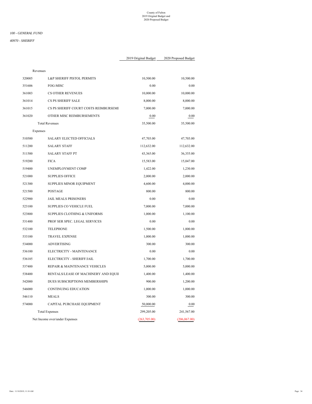# *100 - GENERAL FUND*

| Revenues |          |                                         |              |               |
|----------|----------|-----------------------------------------|--------------|---------------|
|          | 320005   | L&P SHERIFF PISTOL PERMITS              | 10,500.00    | 10,500.00     |
|          | 351606   | FOG-MISC                                | 0.00         | 0.00          |
|          | 361003   | <b>CS OTHER REVENUES</b>                | 10,000.00    | 10,000.00     |
|          | 361014   | CS PS SHERIFF SALE                      | 8,000.00     | 8,000.00      |
|          | 361015   | CS PS SHERIFF COURT COSTS REIMBURSEME   | 7,000.00     | 7,000.00      |
|          | 361020   | OTHER MISC REIMBURSEMENTS               | 0.00         | 0.00          |
|          |          | <b>Total Revenues</b>                   | 35,500.00    | 35,500.00     |
|          | Expenses |                                         |              |               |
|          | 510500   | <b>SALARY ELECTED OFFICIALS</b>         | 47,703.00    | 47,703.00     |
|          | 511200   | <b>SALARY STAFF</b>                     | 112,632.00   | 112,632.00    |
|          | 511500   | <b>SALARY STAFF PT</b>                  | 43,365.00    | 36,355.00     |
|          | 519200   | <b>FICA</b>                             | 15,583.00    | 15,047.00     |
|          | 519400   | UNEMPLOYMENT COMP                       | 1,422.00     | 1,230.00      |
|          | 521000   | <b>SUPPLIES OFFICE</b>                  | 2,000.00     | 2,000.00      |
|          | 521300   | SUPPLIES MINOR EQUIPMENT                | 4,600.00     | 4,000.00      |
|          | 521500   | <b>POSTAGE</b>                          | 800.00       | 800.00        |
|          | 522900   | <b>JAIL MEALS PRISONERS</b>             | 0.00         | 0.00          |
|          | 523100   | <b>SUPPLIES CO VEHICLE FUEL</b>         | 7,000.00     | 7,000.00      |
|          | 523800   | <b>SUPPLIES CLOTHING &amp; UNIFORMS</b> | 1,000.00     | 1,100.00      |
|          | 531400   | PROF SER SPEC. LEGAL SERVICES           | 0.00         | 0.00          |
|          | 532100   | <b>TELEPHONE</b>                        | 1,500.00     | 1,800.00      |
|          | 533100   | <b>TRAVEL EXPENSE</b>                   | 1,000.00     | 1,000.00      |
|          | 534000   | <b>ADVERTISING</b>                      | 300.00       | 300.00        |
|          | 536100   | ELECTRICITY - MAINTENANCE               | 0.00         | 0.00          |
|          | 536185   | ELECTRICITY - SHERIFF/JAIL              | 1,700.00     | 1,700.00      |
|          | 537400   | REPAIR & MAINTENANCE VEHICLES           | 5,000.00     | 5,000.00      |
|          | 538400   | RENTALS/LEASE OF MACHINERY AND EQUII    | 1,400.00     | 1,400.00      |
|          | 542000   | DUES SUBSCRIPTIONS MEMBERSHIPS          | 900.00       | 1,200.00      |
|          | 546000   | <b>CONTINUING EDUCATION</b>             | 1,000.00     | 1,000.00      |
|          | 546110   | <b>MEALS</b>                            | 300.00       | 300.00        |
|          | 574000   | CAPITAL PURCHASE EQUIPMENT              | 50,000.00    | 0.00          |
|          |          | <b>Total Expenses</b>                   | 299,205.00   | 241,567.00    |
|          |          | Net Income over/under Expenses          | (263,705.00) | (206, 067.00) |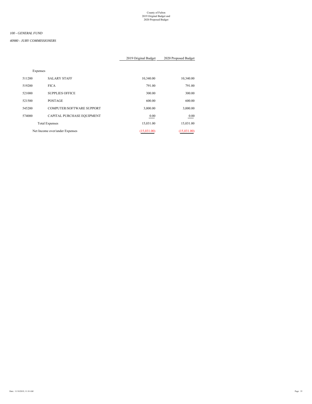# *100 - GENERAL FUND*

#### *40980 - JURY COMMISSIONERS*

# 2019 Original Budget 2020 Proposed Budget

Expenses

| 10,340.00   | 10,340.00   | <b>SALARY STAFF</b>            | 511200 |
|-------------|-------------|--------------------------------|--------|
| 791.00      | 791.00      | <b>FICA</b>                    | 519200 |
| 300.00      | 300.00      | <b>SUPPLIES OFFICE</b>         | 521000 |
| 600.00      | 600.00      | <b>POSTAGE</b>                 | 521500 |
| 3,000.00    | 3,000.00    | COMPUTER/SOFTWARE SUPPORT      | 545200 |
| 0.00        | 0.00        | CAPITAL PURCHASE EQUIPMENT     | 574000 |
| 15.031.00   | 15.031.00   | <b>Total Expenses</b>          |        |
| (15,031.00) | (15,031.00) | Net Income over/under Expenses |        |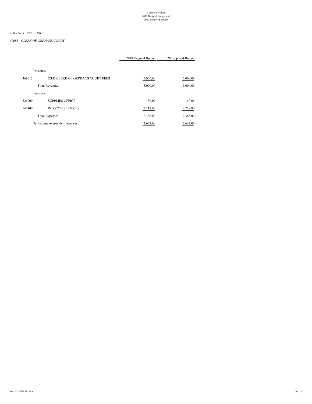#### *40985 - CLERK OF ORPHANS COURT*

|          |                                  | 2019 Original Budget | 2020 Proposed Budget |
|----------|----------------------------------|----------------------|----------------------|
| Revenues |                                  |                      |                      |
| 361013   | CS-D CLERK OF ORPHANS COURT FEES | 5,000.00             | 5,000.00             |
|          | <b>Total Revenues</b>            | 5,000.00             | 5,000.00             |
| Expenses |                                  |                      |                      |
| 521000   | <b>SUPPLIES OFFICE</b>           | 150.00               | 150.00               |
| 545400   | <b>INFOCON SERVICES</b>          | 2,218.00             | 2,218.00             |
|          | <b>Total Expenses</b>            | 2,368.00             | 2,368.00             |
|          | Net Income over/under Expenses   | 2.632.00             | 2,632.00             |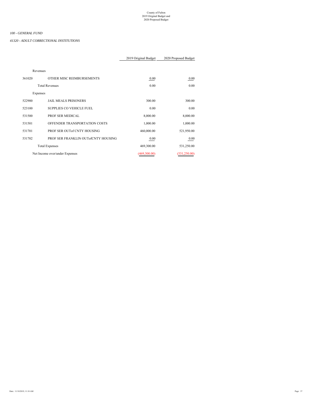#### *41320 - ADULT CORRECTIONAL INSTITUTIONS*

|        |                                       | 2019 Original Budget | 2020 Proposed Budget |  |
|--------|---------------------------------------|----------------------|----------------------|--|
|        |                                       |                      |                      |  |
|        | Revenues                              |                      |                      |  |
| 361020 | OTHER MISC REIMBURSEMENTS             | 0.00                 | $0.00\,$             |  |
|        | <b>Total Revenues</b>                 | 0.00                 | 0.00                 |  |
|        | Expenses                              |                      |                      |  |
| 522900 | <b>JAIL MEALS PRISONERS</b>           | 300.00               | 300.00               |  |
| 523100 | <b>SUPPLIES CO VEHICLE FUEL</b>       | 0.00                 | 0.00                 |  |
| 531500 | PROF SER MEDICAL                      | 8,000.00             | 8,000.00             |  |
| 531501 | OFFENDER TRANSPORTATION COSTS         | 1,000.00             | 1,000.00             |  |
| 531701 | PROF SER OUT of CNTY HOUSING          | 460,000.00           | 521,950.00           |  |
| 531702 | PROF SER FRANKLIN OUT of CNTY HOUSING | 0.00                 | 0.00                 |  |
|        | <b>Total Expenses</b>                 | 469,300.00           | 531,250.00           |  |
|        | Net Income over/under Expenses        | (469,300.00)         | (531, 250.00)        |  |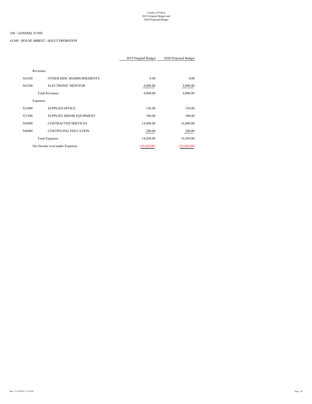*41340 - HOUSE ARREST / ADULT PROBATION*

|          |                                | 2019 Original Budget | 2020 Proposed Budget |
|----------|--------------------------------|----------------------|----------------------|
|          |                                |                      |                      |
| Revenues |                                |                      |                      |
| 361020   | OTHER MISC REIMBURSEMENTS      | 0.00                 | 0.00                 |
| 362100   | <b>ELECTRONIC MONITOR</b>      | 4,000.00             | 4,000.00             |
|          | <b>Total Revenues</b>          | 4,000.00             | 4,000.00             |
| Expenses |                                |                      |                      |
| 521000   | <b>SUPPLIES OFFICE</b>         | 150.00               | 150.00               |
| 521300   | SUPPLIES MINOR EQUIPMENT       | 100.00               | 100.00               |
| 545000   | <b>CONTRACTED SERVICES</b>     | 14,000.00            | 14,000.00            |
| 546000   | <b>CONTINUING EDUCATION</b>    | 200.00               | 200.00               |
|          | <b>Total Expenses</b>          | 14,450.00            | 14,450.00            |
|          | Net Income over/under Expenses | (10, 450.00)         | (10, 450.00)         |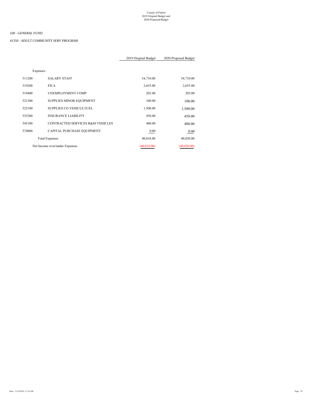*41350 - ADULT COMMUNITY SERV PROGRAM*

|          |                                             | 2019 Original Budget | 2020 Proposed Budget |
|----------|---------------------------------------------|----------------------|----------------------|
|          |                                             |                      |                      |
| Expenses |                                             |                      |                      |
| 511200   | <b>SALARY STAFF</b>                         | 34,710.00            | 34,710.00            |
| 519200   | <b>FICA</b>                                 | 2,655.00             | 2,655.00             |
| 519400   | <b>UNEMPLOYMENT COMP</b>                    | 203.00               | 205.00               |
| 521300   | SUPPLIES MINOR EQUIPMENT                    | 100.00               | 100.00               |
| 523100   | <b>SUPPLIES CO VEHICLE FUEL</b>             | 1,500.00             | 1,500.00             |
| 535200   | <b>INSURANCE LIABILITY</b>                  | 450.00               | 450.00               |
| 545100   | <b>CONTRACTED SERVICES R&amp;M VEHICLES</b> | 400.00               | 400.00               |
| 574000   | CAPITAL PURCHASE EQUIPMENT                  | 0.00                 | 0.00                 |
|          | <b>Total Expenses</b>                       | 40,018.00            | 40,020.00            |
|          | Net Income over/under Expenses              | (40, 018.00)         | (40,020.00)          |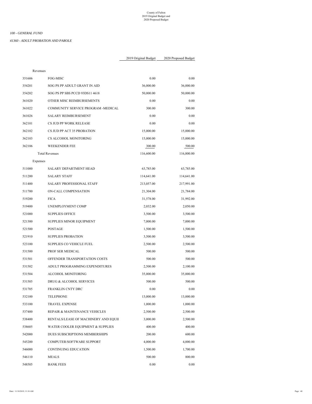*41360 - ADULT PROBATION AND PAROLE*

| Revenues |                                      |            |            |
|----------|--------------------------------------|------------|------------|
| 351606   | FOG-MISC                             | 0.00       | 0.00       |
| 354201   | SOG PS PP ADULT GRANT IN AID         | 36,000.00  | 36,000.00  |
| 354202   | SOG PS PP SBS PCCD 93DS11 4618       | 50,000.00  | 50,000.00  |
| 361020   | OTHER MISC REIMBURSEMENTS            | 0.00       | 0.00       |
| 361022   | COMMUNITY SERVICE PROGRAM -MEDICAL   | 300.00     | 300.00     |
| 361026   | <b>SALARY REIMBURSEMENT</b>          | 0.00       | 0.00       |
| 362101   | CS JUD PP WORK RELEASE               | 0.00       | 0.00       |
| 362102   | CS JUD PP ACT 35 PROBATION           | 15,000.00  | 15,000.00  |
| 362103   | CS ALCOHOL MONITORING                | 15,000.00  | 15,000.00  |
| 362106   | WEEKENDER FEE                        | 300.00     | 500.00     |
|          | <b>Total Revenues</b>                | 116,600.00 | 116,800.00 |
| Expenses |                                      |            |            |
| 511000   | <b>SALARY DEPARTMENT HEAD</b>        | 63,785.00  | 63,785.00  |
| 511200   | <b>SALARY STAFF</b>                  | 114,641.00 | 114,641.00 |
| 511400   | SALARY PROFESSIONAL STAFF            | 213,057.00 | 217,991.00 |
| 511700   | ON-CALL COMPENSATION                 | 21,304.00  | 21,784.00  |
| 519200   | <b>FICA</b>                          | 31,578.00  | 31,992.00  |
| 519400   | UNEMPLOYMENT COMP                    | 2,032.00   | 2,050.00   |
| 521000   | <b>SUPPLIES OFFICE</b>               | 3,500.00   | 3,500.00   |
| 521300   | SUPPLIES MINOR EQUIPMENT             | 7,000.00   | 7,000.00   |
| 521500   | <b>POSTAGE</b>                       | 1,500.00   | 1,500.00   |
| 521910   | <b>SUPPLIES PROBATION</b>            | 3,500.00   | 3,500.00   |
| 523100   | SUPPLIES CO VEHICLE FUEL             | 2,500.00   | 2,500.00   |
| 531500   | PROF SER MEDICAL                     | 500.00     | 500.00     |
| 531501   | OFFENDER TRANSPORTATION COSTS        | 500.00     | 500.00     |
| 531502   | ADULT PROGRAMMING EXPENDITURES       | 2,500.00   | 2,100.00   |
| 531504   | ALCOHOL MONITORING                   | 35,000.00  | 35,000.00  |
| 531505   | DRUG & ALCOHOL SERVICES              | 500.00     | 500.00     |
| 531705   | FRANKLIN CNTY DRC                    | 0.00       | 0.00       |
| 532100   | <b>TELEPHONE</b>                     | 13,000.00  | 13,000.00  |
| 533100   | TRAVEL EXPENSE                       | 1,000.00   | 1,000.00   |
| 537400   | REPAIR & MAINTENANCE VEHICLES        | 2,500.00   | 2,500.00   |
| 538400   | RENTALS/LEASE OF MACHINERY AND EQUII | 3,000.00   | 2,500.00   |
| 538605   | WATER COOLER EQUIPMENT & SUPPLIES    | 400.00     | 400.00     |
| 542000   | DUES SUBSCRIPTIONS MEMBERSHIPS       | 200.00     | 600.00     |
| 545200   | COMPUTER/SOFTWARE SUPPORT            | 4,000.00   | 4,000.00   |
| 546000   | CONTINUING EDUCATION                 | 1,500.00   | 1,700.00   |
| 546110   | MEALS                                | 500.00     | 800.00     |
| 548505   | <b>BANK FEES</b>                     | 0.00       | 0.00       |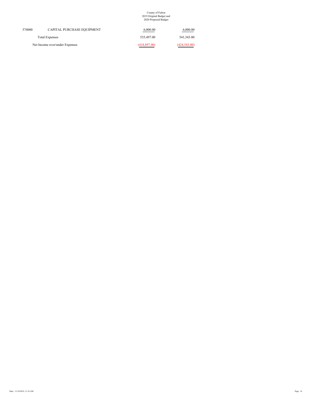| 574000 | CAPITAL PURCHASE EQUIPMENT     | 6,000.00     | 6,000.00      |
|--------|--------------------------------|--------------|---------------|
|        | <b>Total Expenses</b>          | 535,497.00   | 541,343.00    |
|        | Net Income over/under Expenses | (418,897.00) | (424, 543.00) |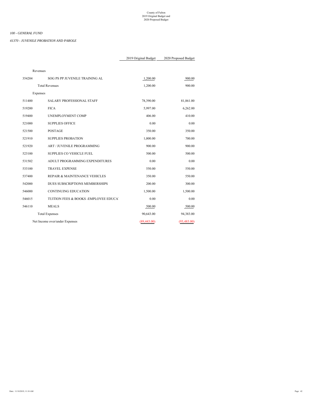*41370 - JUVENILE PROBATION AND PAROLE*

| Revenues |                                        |              |              |
|----------|----------------------------------------|--------------|--------------|
| 354204   | SOG PS PP JUVENILE TRAINING AL         | 1,200.00     | 900.00       |
|          | <b>Total Revenues</b>                  | 1,200.00     | 900.00       |
| Expenses |                                        |              |              |
| 511400   | <b>SALARY PROFESSIONAL STAFF</b>       | 78,390.00    | 81,861.00    |
| 519200   | <b>FICA</b>                            | 5,997.00     | 6,262.00     |
| 519400   | UNEMPLOYMENT COMP                      | 406.00       | 410.00       |
| 521000   | <b>SUPPLIES OFFICE</b>                 | 0.00         | 0.00         |
| 521500   | <b>POSTAGE</b>                         | 350.00       | 350.00       |
| 521910   | <b>SUPPLIES PROBATION</b>              | 1,000.00     | 700.00       |
| 521920   | ART / JUVENILE PROGRAMMING             | 900.00       | 900.00       |
| 523100   | SUPPLIES CO VEHICLE FUEL               | 500.00       | 500.00       |
| 531502   | ADULT PROGRAMMING EXPENDITURES         | 0.00         | 0.00         |
| 533100   | <b>TRAVEL EXPENSE</b>                  | 550.00       | 550.00       |
| 537400   | REPAIR & MAINTENANCE VEHICLES          | 350.00       | 550.00       |
| 542000   | DUES SUBSCRIPTIONS MEMBERSHIPS         | 200.00       | 300.00       |
| 546000   | <b>CONTINUING EDUCATION</b>            | 1,500.00     | 1,500.00     |
| 546015   | TUITION FEES & BOOKS - EMPLOYEE EDUCA' | 0.00         | 0.00         |
| 546110   | <b>MEALS</b>                           | 500.00       | 500.00       |
|          | <b>Total Expenses</b>                  | 90,643.00    | 94,383.00    |
|          | Net Income over/under Expenses         | (89, 443.00) | (93, 483.00) |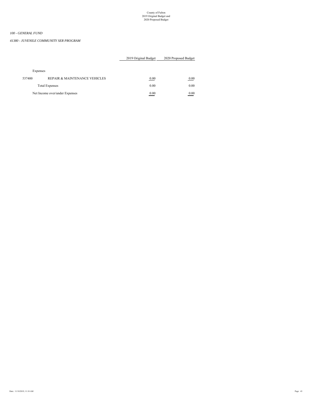#### *41380 - JUVENILE COMMUNITY SER PROGRAM*

# 2019 Original Budget 2020 Proposed Budget

# Expenses

| 537400 | REPAIR & MAINTENANCE VEHICLES  | 0.00 | $0.00\,$ |
|--------|--------------------------------|------|----------|
|        | <b>Total Expenses</b>          | 0.00 | 0.00     |
|        | Net Income over/under Expenses | 0.00 | 0.00     |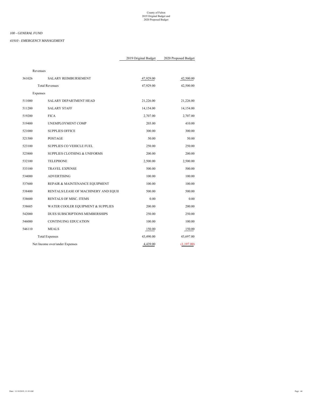#### *41910 - EMERGENCY MANAGEMENT*

| Revenues |          |                                         |           |            |
|----------|----------|-----------------------------------------|-----------|------------|
|          | 361026   | SALARY REIMBURSEMENT                    | 47,929.00 | 42,500.00  |
|          |          | <b>Total Revenues</b>                   | 47,929.00 | 42,500.00  |
|          | Expenses |                                         |           |            |
|          | 511000   | SALARY DEPARTMENT HEAD                  | 21,226.00 | 21,226.00  |
|          | 511200   | <b>SALARY STAFF</b>                     | 14,154.00 | 14,154.00  |
|          | 519200   | <b>FICA</b>                             | 2,707.00  | 2,707.00   |
|          | 519400   | UNEMPLOYMENT COMP                       | 203.00    | 410.00     |
|          | 521000   | <b>SUPPLIES OFFICE</b>                  | 300.00    | 300.00     |
|          | 521500   | <b>POSTAGE</b>                          | 50.00     | 50.00      |
|          | 523100   | SUPPLIES CO VEHICLE FUEL                | 250.00    | 250.00     |
|          | 523800   | <b>SUPPLIES CLOTHING &amp; UNIFORMS</b> | 200.00    | 200.00     |
|          | 532100   | <b>TELEPHONE</b>                        | 2,500.00  | 2,500.00   |
|          | 533100   | <b>TRAVEL EXPENSE</b>                   | 500.00    | 500.00     |
|          | 534000   | <b>ADVERTISING</b>                      | 100.00    | 100.00     |
|          | 537600   | REPAIR & MAINTENANCE EQUIPMENT          | 100.00    | 100.00     |
|          | 538400   | RENTALS/LEASE OF MACHINERY AND EQUII    | 500.00    | 500.00     |
|          | 538600   | RENTALS OF MISC. ITEMS                  | 0.00      | 0.00       |
|          | 538605   | WATER COOLER EQUIPMENT & SUPPLIES       | 200.00    | 200.00     |
|          | 542000   | DUES SUBSCRIPTIONS MEMBERSHIPS          | 250.00    | 250.00     |
|          | 546000   | <b>CONTINUING EDUCATION</b>             | 100.00    | 100.00     |
|          | 546110   | <b>MEALS</b>                            | 150.00    | 150.00     |
|          |          | <b>Total Expenses</b>                   | 43,490.00 | 43,697.00  |
|          |          | Net Income over/under Expenses          | 4,439.00  | (1,197.00) |
|          |          |                                         |           |            |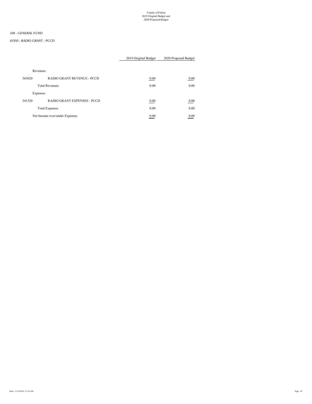#### *41950 - RADIO GRANT - PCCD*

|          |                                    | 2019 Original Budget | 2020 Proposed Budget |
|----------|------------------------------------|----------------------|----------------------|
|          |                                    |                      |                      |
| Revenues |                                    |                      |                      |
| 365020   | <b>RADIO GRANT REVENUE - PCCD</b>  | 0.00                 | 0.00                 |
|          | <b>Total Revenues</b>              | 0.00                 | 0.00                 |
| Expenses |                                    |                      |                      |
| 541520   | <b>RADIO GRANT EXPENSES - PCCD</b> | 0.00                 | 0.00                 |
|          | <b>Total Expenses</b>              | 0.00                 | 0.00                 |
|          | Net Income over/under Expenses     | 0.00                 | 0.00                 |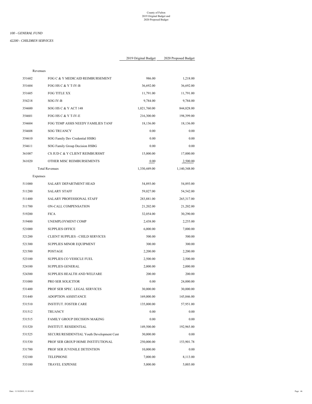#### *100 - GENERAL FUND*

#### *42200 - CHILDREN SERVICES*

| Revenues |                                           |              |              |
|----------|-------------------------------------------|--------------|--------------|
| 351602   | FOG C & Y MEDICAID REIMBURSEMENT          | 986.00       | 1,218.00     |
| 351604   | FOG HS C & Y T-IV-B                       | 36,692.00    | 36,692.00    |
| 351605   | FOG TITLE XX                              | 11,791.00    | 11,791.00    |
| 354218   | SOG IV-B                                  | 9,784.00     | 9,784.00     |
| 354600   | SOG HS C & Y ACT 148                      | 1,021,760.00 | 844,828.00   |
| 354601   | FOG HS C & Y T-IV-E                       | 216,300.00   | 198,399.00   |
| 354604   | FOG TEMP ASSIS NEEDY FAMILIES TANF        | 18,136.00    | 18,136.00    |
| 354608   | <b>SOG TRUANCY</b>                        | 0.00         | 0.00         |
| 354610   | SOG Family Dev Credential HSBG            | 0.00         | 0.00         |
| 354611   | SOG Family Group Decision HSBG            | 0.00         | 0.00         |
| 361007   | CS JUD C & Y CLIENT REIMBURSMT            | 15,000.00    | 17,000.00    |
| 361020   | OTHER MISC REIMBURSEMENTS                 | 0.00         | 2,500.00     |
|          | <b>Total Revenues</b>                     | 1,330,449.00 | 1,140,348.00 |
| Expenses |                                           |              |              |
| 511000   | SALARY DEPARTMENT HEAD                    | 54,893.00    | 54,893.00    |
| 511200   | <b>SALARY STAFF</b>                       | 59,027.00    | 54,542.00    |
| 511400   | <b>SALARY PROFESSIONAL STAFF</b>          | 283,881.00   | 265,317.00   |
| 511700   | ON-CALL COMPENSATION                      | 21,202.00    | 21,202.00    |
| 519200   | <b>FICA</b>                               | 32,054.00    | 30,290.00    |
| 519400   | UNEMPLOYMENT COMP                         | 2,438.00     | 2,255.00     |
| 521000   | <b>SUPPLIES OFFICE</b>                    | 6,000.00     | 7,000.00     |
| 521200   | CLIENT SUPPLIES - CHILD SERVICES          | 500.00       | 500.00       |
| 521300   | SUPPLIES MINOR EQUIPMENT                  | 300.00       | 300.00       |
| 521500   | <b>POSTAGE</b>                            | 2,200.00     | 2,200.00     |
| 523100   | SUPPLIES CO VEHICLE FUEL                  | 2,500.00     | 2,500.00     |
| 524100   | <b>SUPPLIES GENERAL</b>                   | 2,000.00     | 2,000.00     |
| 524300   | SUPPLIES HEALTH AND WELFARE               | 200.00       | 200.00       |
| 531000   | PRO SER SOLICITOR                         | 0.00         | 24,000.00    |
| 531400   | PROF SER SPEC. LEGAL SERVICES             | 30,000.00    | 30,000.00    |
| 531440   | <b>ADOPTION ASSISTANCE</b>                | 169,000.00   | 145,846.00   |
| 531510   | INSTITUT. FOSTER CARE                     | 135,000.00   | 57,951.00    |
| 531512   | <b>TRUANCY</b>                            | 0.00         | 0.00         |
| 531515   | FAMILY GROUP DECISION MAKING              | 0.00         | 0.00         |
| 531520   | INSTITUT. RESIDENTIAL                     | 149,500.00   | 192,965.00   |
| 531525   | SECURE/RESIDENTIAL Youth Development Cent | 30,000.00    | 0.00         |
| 531530   | PROF SER GROUP HOME INSTITUTIONAL         | 250,000.00   | 153,901.78   |
| 531700   | PROF SER JUVENILE DETENTION               | 10,000.00    | 0.00         |
| 532100   | TELEPHONE                                 | 7,000.00     | 8,113.00     |
| 533100   | TRAVEL EXPENSE                            | 5,000.00     | 5,003.00     |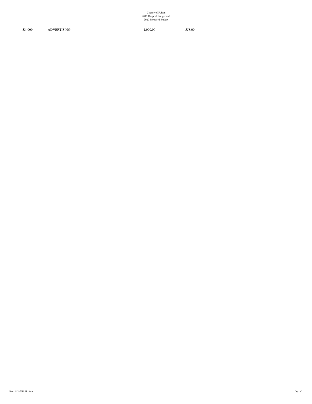534000 ADVERTISING 1,000.00 558.00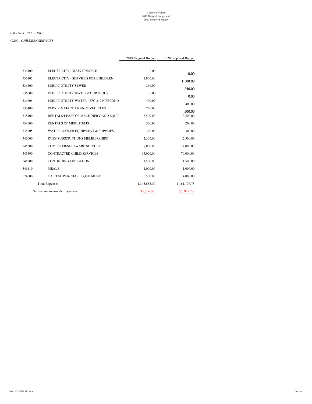#### *42200 - CHILDREN SERVICES*

|        |                                         | 2019 Original Budget | 2020 Proposed Budget |
|--------|-----------------------------------------|----------------------|----------------------|
|        |                                         |                      |                      |
| 536100 | ELECTRICITY - MAINTENANCE               | 0.00                 | 0.00                 |
| 536105 | ELECTRICITY - SERVICES FOR CHILDREN     | 1,900.00             | 1,500.00             |
| 536400 | <b>PUBLIC UTILITY SEWER</b>             | 360.00               | 240.00               |
| 536600 | PUBLIC UTILITY WATER-COURTHOUSE         | 0.00                 | 0.00                 |
| 536605 | PUBLIC UTILITY WATER - SFC 219 N SECOND | 400.00               | 400.00               |
| 537400 | REPAIR & MAINTENANCE VEHICLES           | 700.00               | 500.00               |
| 538400 | RENTALS/LEASE OF MACHINERY AND EQUII    | 3,500.00             | 3,500.00             |
| 538600 | <b>RENTALS OF MISC. ITEMS</b>           | 300.00               | 200.00               |
| 538605 | WATER COOLER EQUIPMENT & SUPPLIES       | 300.00               | 300.00               |
| 542000 | DUES SUBSCRIPTIONS MEMBERSHIPS          | 2,500.00             | 2,500.00             |
| 545200 | COMPUTER/SOFTWARE SUPPORT               | 9,000.00             | 14,000.00            |
| 545490 | CONTRACTED CHILD SERVICES               | 65,000.00            | 70,000.00            |
| 546000 | <b>CONTINUING EDUCATION</b>             | 1,500.00             | 1,500.00             |
| 546110 | <b>MEALS</b>                            | 1,000.00             | 1,000.00             |
| 574000 | CAPITAL PURCHASE EQUIPMENT              | 5,500.00             | 4,000.00             |
|        | <b>Total Expenses</b>                   | 1,345,655.00         | 1,161,176.78         |
|        | Net Income over/under Expenses          | (15,206.00)          | (20, 828.78)         |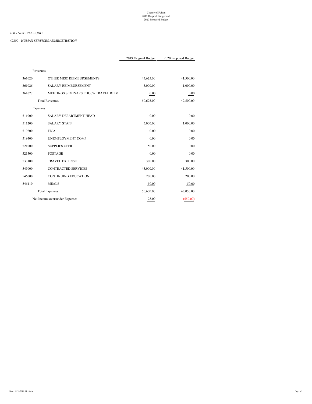*42300 - HUMAN SERVICES ADMINISTRATION*

|          |                                     | 2019 Original Budget | 2020 Proposed Budget |
|----------|-------------------------------------|----------------------|----------------------|
|          |                                     |                      |                      |
| Revenues |                                     |                      |                      |
| 361020   | OTHER MISC REIMBURSEMENTS           | 45,625.00            | 41,500.00            |
| 361026   | <b>SALARY REIMBURSEMENT</b>         | 5,000.00             | 1,000.00             |
| 361027   | MEETINGS SEMINARS EDUCA TRAVEL REIM | 0.00                 | 0.00                 |
|          | <b>Total Revenues</b>               | 50,625.00            | 42,500.00            |
| Expenses |                                     |                      |                      |
| 511000   | SALARY DEPARTMENT HEAD              | 0.00                 | 0.00                 |
| 511200   | <b>SALARY STAFF</b>                 | 5,000.00             | 1,000.00             |
| 519200   | <b>FICA</b>                         | 0.00                 | 0.00                 |
| 519400   | UNEMPLOYMENT COMP                   | 0.00                 | 0.00                 |
| 521000   | <b>SUPPLIES OFFICE</b>              | 50.00                | 0.00                 |
| 521500   | <b>POSTAGE</b>                      | 0.00                 | 0.00                 |
| 533100   | <b>TRAVEL EXPENSE</b>               | 300.00               | 300.00               |
| 545000   | <b>CONTRACTED SERVICES</b>          | 45,000.00            | 41,500.00            |
| 546000   | <b>CONTINUING EDUCATION</b>         | 200.00               | 200.00               |
| 546110   | <b>MEALS</b>                        | 50.00                | 50.00                |
|          | <b>Total Expenses</b>               | 50,600.00            | 43,050.00            |
|          | Net Income over/under Expenses      | 25.00                | (550.00)             |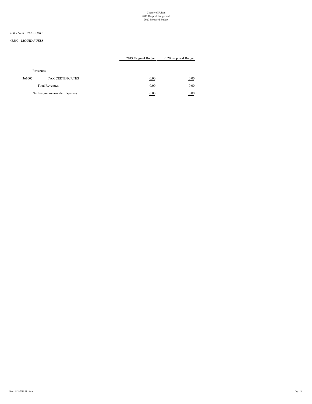# *100 - GENERAL FUND*

#### *43800 - LIQUID FUELS*

# 2019 Original Budget 2020 Proposed Budget

#### Revenues

| 361002 | <b>TAX CERTIFICATES</b>        | 0.00 | 0.00 |
|--------|--------------------------------|------|------|
|        | <b>Total Revenues</b>          | 0.00 | 0.00 |
|        | Net Income over/under Expenses | 0.00 | 0.00 |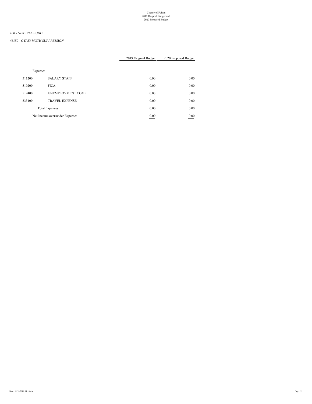# *100 - GENERAL FUND*

*46150 - GYPSY MOTH SUPPRESSION*

|        |                                | 2019 Original Budget | 2020 Proposed Budget |
|--------|--------------------------------|----------------------|----------------------|
|        |                                |                      |                      |
|        | Expenses                       |                      |                      |
| 511200 | <b>SALARY STAFF</b>            | 0.00                 | 0.00                 |
| 519200 | <b>FICA</b>                    | 0.00                 | 0.00                 |
| 519400 | UNEMPLOYMENT COMP              | 0.00                 | 0.00                 |
| 533100 | <b>TRAVEL EXPENSE</b>          | 0.00                 | 0.00                 |
|        | <b>Total Expenses</b>          | 0.00                 | 0.00                 |
|        | Net Income over/under Expenses | 0.00                 | 0.00                 |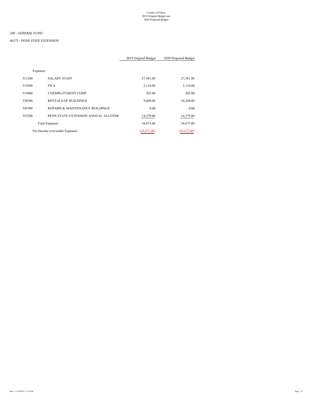# *100 - GENERAL FUND*

#### *46175 - PENN STATE EXTENSION*

|          |                             | 2019 Original Budget | 2020 Proposed Budget |
|----------|-----------------------------|----------------------|----------------------|
|          |                             |                      |                      |
| Expenses |                             |                      |                      |
| 511200   | <b>SALARY STAFF</b>         | 27,581.00            | 27,581.00            |
| 519200   | <b>FICA</b>                 | 2,110.00             | 2,110.00             |
| 519400   | <b>UNEMPLOYMENT COMP</b>    | 203.00               | 205.00               |
| 538300   | <b>RENTALS OF BUILDINGS</b> | 9,600.00             | 10,200.00            |

545300 REPAIRS & MAINTENANCE BUILDINGS 0.00 0.00 0.00 0.00 552200 PENN STATE EXTENSION ANNUAL ALLOTME 14,579.00 14,579.00

| <b>Total Expenses</b><br>the contract of the contract of the contract of the contract of the contract of the contract of the contract of | 54,073.00 | 54,675.00 |
|------------------------------------------------------------------------------------------------------------------------------------------|-----------|-----------|
|                                                                                                                                          |           |           |

Net Income over/under Expenses (54,073.00) (54,675.00)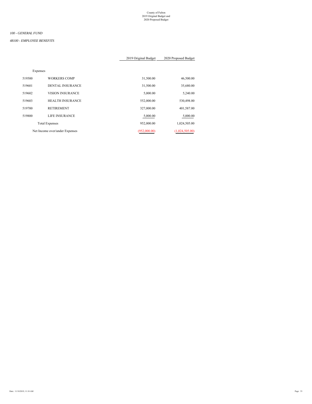# *100 - GENERAL FUND*

#### *48100 - EMPLOYEE BENEFITS*

| 2019 Original Budget | 2020 Proposed Budget |  |
|----------------------|----------------------|--|
|----------------------|----------------------|--|

| Expenses |                                |              |                |
|----------|--------------------------------|--------------|----------------|
| 519500   | <b>WORKERS COMP</b>            | 31,500.00    | 46,500.00      |
| 519601   | <b>DENTAL INSURANCE</b>        | 31,500.00    | 35,680.00      |
| 519602   | <b>VISION INSURANCE</b>        | 5,000.00     | 5,240.00       |
| 519603   | <b>HEALTH INSURANCE</b>        | 552,000.00   | 530,498.00     |
| 519700   | <b>RETIREMENT</b>              | 327,000.00   | 401,587.00     |
| 519800   | LIFE INSURANCE                 | 5,000.00     | 5,000.00       |
|          | <b>Total Expenses</b>          | 952,000.00   | 1,024,505.00   |
|          | Net Income over/under Expenses | (952,000,00) | (1,024,505.00) |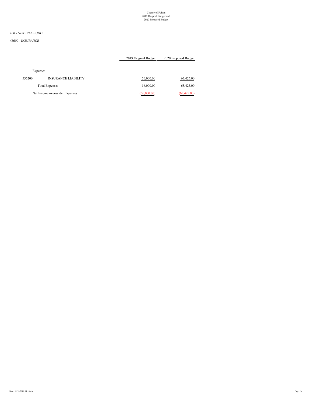# *100 - GENERAL FUND*

#### *48600 - INSURANCE*

# 2019 Original Budget 2020 Proposed Budget

#### Expenses

| 535200 | <b>INSURANCE LIABILITY</b>     | 56,000.00   | 63,425.00    |
|--------|--------------------------------|-------------|--------------|
|        | <b>Total Expenses</b>          | 56,000.00   | 63,425.00    |
|        | Net Income over/under Expenses | (56,000.00) | (63, 425.00) |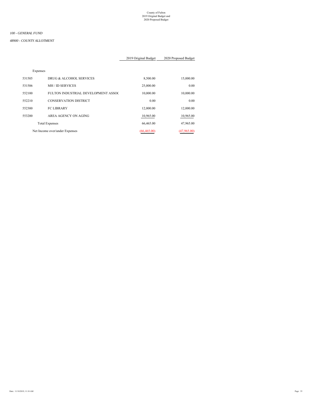# *100 - GENERAL FUND*

#### *48900 - COUNTY ALLOTMENT*

| Expenses                       |                                     |             |             |
|--------------------------------|-------------------------------------|-------------|-------------|
| 531505                         | DRUG & ALCOHOL SERVICES             | 8,500.00    | 15,000.00   |
| 531506                         | MH / ID SERVICES                    | 25,000.00   | 0.00        |
| 552100                         | FULTON INDUSTRIAL DEVELOPMENT ASSOC | 10,000.00   | 10,000.00   |
| 552210                         | <b>CONSERVATION DISTRICT</b>        | 0.00        | 0.00        |
| 552300                         | <b>FC LIBRARY</b>                   | 12,000.00   | 12,000.00   |
| 553200                         | AREA AGENCY ON AGING                | 10,965.00   | 10,965.00   |
|                                | <b>Total Expenses</b>               | 66,465.00   | 47,965.00   |
| Net Income over/under Expenses |                                     | (66.465.00) | (47,965.00) |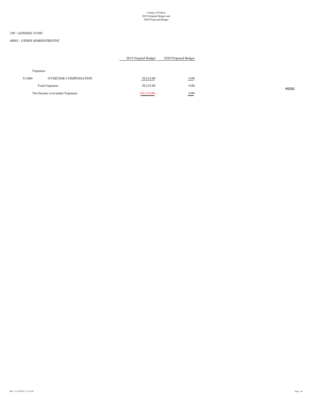### *100 - GENERAL FUND*

#### *48901 - OTHER ADMINISTRATIVE*

| 2019 Original Budget | 2020 Proposed Budget |
|----------------------|----------------------|
|                      |                      |

# Expenses

|       | 0.00<br>and the state of the con- | 30,214.00    | <b>OVERTIME COMPENSATION</b>   | 511800 |
|-------|-----------------------------------|--------------|--------------------------------|--------|
| 49200 | 0.00                              | 30,214.00    | <b>Total Expenses</b>          |        |
|       | 0.00                              | (30, 214.00) | Net Income over/under Expenses |        |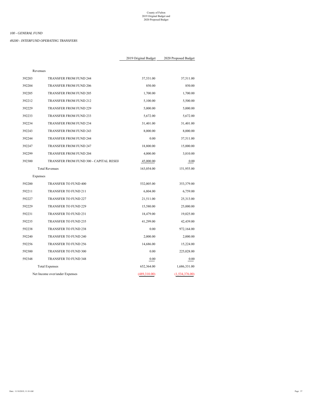*49200 - INTERFUND OPERATING TRANSFERS*

| Revenues |                                        |              |                |
|----------|----------------------------------------|--------------|----------------|
| 392203   | TRANSFER FROM FUND 244                 | 37,531.00    | 37,511.00      |
| 392204   | TRANSFER FROM FUND 206                 | 850.00       | 850.00         |
| 392205   | <b>TRANSFER FROM FUND 205</b>          | 1,700.00     | 1,700.00       |
| 392212   | <b>TRANSFER FROM FUND 212</b>          | 5,100.00     | 5,500.00       |
| 392229   | <b>TRANSFER FROM FUND 229</b>          | 5,000.00     | 5,000.00       |
| 392233   | TRANSFER FROM FUND 233                 | 5,672.00     | 5,672.00       |
| 392234   | TRANSFER FROM FUND 234                 | 31,401.00    | 31,401.00      |
| 392243   | <b>TRANSFER FROM FUND 243</b>          | 8,000.00     | 8,000.00       |
| 392244   | TRANSFER FROM FUND 244                 | 0.00         | 37,511.00      |
| 392247   | TRANSFER FROM FUND 247                 | 18,800.00    | 15,000.00      |
| 392299   | TRANSFER FROM FUND 204                 | 4,000.00     | 3,810.00       |
| 392300   | TRANSFER FROM FUND 300 - CAPITAL RESEF | 45,000.00    | 0.00           |
|          | <b>Total Revenues</b>                  | 163,054.00   | 151,955.00     |
| Expenses |                                        |              |                |
| 592200   | TRANSFER TO FUND 400                   | 532,005.00   | 353,379.00     |
| 592211   | TRANSFER TO FUND 211                   | 6,804.00     | 6,759.00       |
| 592227   | <b>TRANSFER TO FUND 227</b>            | 21,511.00    | 25,313.00      |
| 592229   | <b>TRANSFER TO FUND 229</b>            | 15,580.00    | 25,000.00      |
| 592231   | TRANSFER TO FUND 231                   | 18,479.00    | 19,025.00      |
| 592235   | TRANSFER TO FUND 235                   | 41,299.00    | 42,439.00      |
| 592238   | TRANSFER TO FUND 238                   | 0.00         | 972,164.00     |
| 592240   | TRANSFER TO FUND 240                   | 2,000.00     | 2,000.00       |
| 592256   | TRANSFER TO FUND 256                   | 14,686.00    | 15,224.00      |
| 592300   | TRANSFER TO FUND 300                   | 0.00         | 225,028.00     |
| 592348   | <b>TRANSFER TO FUND 348</b>            | 0.00         | 0.00           |
|          | <b>Total Expenses</b>                  | 652,364.00   | 1,686,331.00   |
|          | Net Income over/under Expenses         | (489,310.00) | (1,534,376.00) |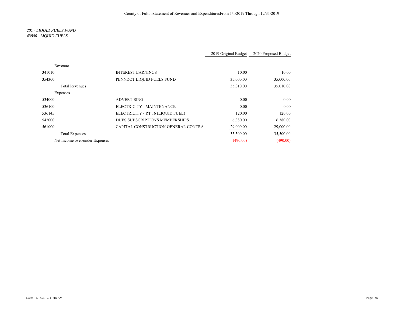# *201 - LIQUID FUELS FUND 43800 - LIQUID FUELS*

|                                |                                     | 2019 Original Budget | 2020 Proposed Budget |
|--------------------------------|-------------------------------------|----------------------|----------------------|
| Revenues                       |                                     |                      |                      |
| 341010                         | <b>INTEREST EARNINGS</b>            | 10.00                | 10.00                |
| 354300                         | PENNDOT LIQUID FUELS FUND           | 35,000.00            | 35,000.00            |
| <b>Total Revenues</b>          |                                     | 35,010.00            | 35,010.00            |
| Expenses                       |                                     |                      |                      |
| 534000                         | <b>ADVERTISING</b>                  | 0.00                 | 0.00                 |
| 536100                         | ELECTRICITY - MAINTENANCE           | 0.00                 | 0.00                 |
| 536145                         | ELECTRICITY - RT 16 (LIQUID FUEL)   | 120.00               | 120.00               |
| 542000                         | DUES SUBSCRIPTIONS MEMBERSHIPS      | 6,380.00             | 6,380.00             |
| 561000                         | CAPITAL CONSTRUCTION GENERAL CONTRA | 29,000.00            | 29,000.00            |
| <b>Total Expenses</b>          |                                     | 35,500.00            | 35,500.00            |
| Net Income over/under Expenses |                                     | (490.00)             | (490.00)             |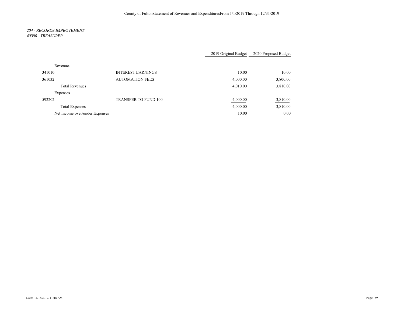#### *204 - RECORDS IMPROVEMENT 40390 - TREASURER*

|                                |                             | 2019 Original Budget | 2020 Proposed Budget |
|--------------------------------|-----------------------------|----------------------|----------------------|
| Revenues                       |                             |                      |                      |
| 341010                         | <b>INTEREST EARNINGS</b>    | 10.00                | 10.00                |
| 361032                         | <b>AUTOMATION FEES</b>      | 4,000.00             | 3,800.00             |
| <b>Total Revenues</b>          |                             | 4,010.00             | 3,810.00             |
| Expenses                       |                             |                      |                      |
| 592202                         | <b>TRANSFER TO FUND 100</b> | 4,000.00             | 3,810.00             |
| <b>Total Expenses</b>          |                             | 4,000.00             | 3,810.00             |
| Net Income over/under Expenses |                             | 10.00                | 0.00                 |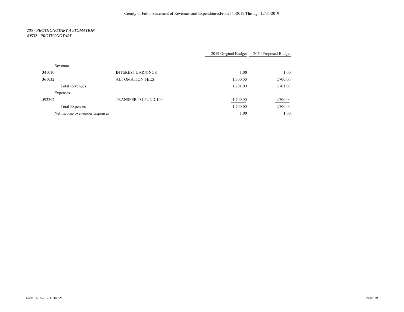#### *205 - PROTHONOTARY AUTOMATION 40532 - PROTHONOTARY*

|                                |                             | 2019 Original Budget | 2020 Proposed Budget |
|--------------------------------|-----------------------------|----------------------|----------------------|
| Revenues                       |                             |                      |                      |
| 341010                         | <b>INTEREST EARNINGS</b>    | 1.00                 | 1.00                 |
| 361032                         | <b>AUTOMATION FEES</b>      | 1,700.00             | 1,700.00             |
| <b>Total Revenues</b>          |                             | 1,701.00             | 1,701.00             |
| Expenses                       |                             |                      |                      |
| 592202                         | <b>TRANSFER TO FUND 100</b> | 1,700.00             | 1,700.00             |
| <b>Total Expenses</b>          |                             | 1,700.00             | 1,700.00             |
| Net Income over/under Expenses |                             | 1.00                 | 1.00                 |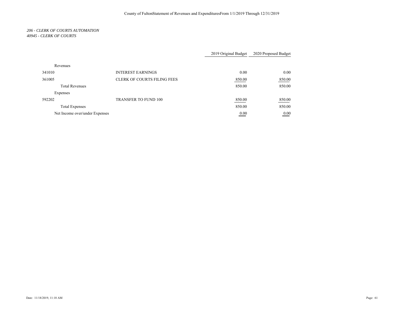#### *206 - CLERK OF COURTS AUTOMATION 40945 - CLERK OF COURTS*

|                                |                                    | 2019 Original Budget | 2020 Proposed Budget |
|--------------------------------|------------------------------------|----------------------|----------------------|
| Revenues                       |                                    |                      |                      |
| 341010                         | <b>INTEREST EARNINGS</b>           | 0.00                 | 0.00                 |
| 361005                         | <b>CLERK OF COURTS FILING FEES</b> | 850.00               | 850.00               |
| <b>Total Revenues</b>          |                                    | 850.00               | 850.00               |
| Expenses                       |                                    |                      |                      |
| 592202                         | <b>TRANSFER TO FUND 100</b>        | 850.00               | 850.00               |
| <b>Total Expenses</b>          |                                    | 850.00               | 850.00               |
| Net Income over/under Expenses |                                    | 0.00                 | 0.00                 |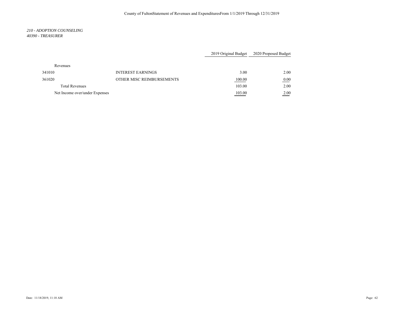#### *210 - ADOPTION COUNSELING 40390 - TREASURER*

|                                |                           | 2019 Original Budget | 2020 Proposed Budget |
|--------------------------------|---------------------------|----------------------|----------------------|
| Revenues                       |                           |                      |                      |
| 341010                         | <b>INTEREST EARNINGS</b>  | 3.00                 | 2.00                 |
| 361020                         | OTHER MISC REIMBURSEMENTS | 100.00               | 0.00                 |
| <b>Total Revenues</b>          |                           | 103.00               | 2.00                 |
| Net Income over/under Expenses |                           | 103.00               | 2.00                 |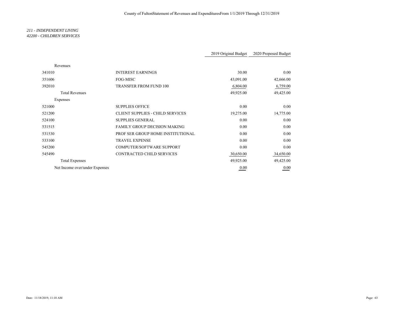#### *211 - INDEPENDENT LIVING 42200 - CHILDREN SERVICES*

|                                |                                         | 2019 Original Budget | 2020 Proposed Budget |
|--------------------------------|-----------------------------------------|----------------------|----------------------|
|                                |                                         |                      |                      |
| Revenues                       |                                         |                      |                      |
| 341010                         | <b>INTEREST EARNINGS</b>                | 30.00                | 0.00                 |
| 351606                         | FOG-MISC                                | 43,091.00            | 42,666.00            |
| 392010                         | TRANSFER FROM FUND 100                  | 6,804.00             | 6,759.00             |
| <b>Total Revenues</b>          |                                         | 49,925.00            | 49,425.00            |
| Expenses                       |                                         |                      |                      |
| 521000                         | <b>SUPPLIES OFFICE</b>                  | 0.00                 | 0.00                 |
| 521200                         | <b>CLIENT SUPPLIES - CHILD SERVICES</b> | 19,275.00            | 14,775.00            |
| 524100                         | <b>SUPPLIES GENERAL</b>                 | 0.00                 | 0.00                 |
| 531515                         | <b>FAMILY GROUP DECISION MAKING</b>     | 0.00                 | 0.00                 |
| 531530                         | PROF SER GROUP HOME INSTITUTIONAL       | 0.00                 | 0.00                 |
| 533100                         | <b>TRAVEL EXPENSE</b>                   | 0.00                 | 0.00                 |
| 545200                         | <b>COMPUTER/SOFTWARE SUPPORT</b>        | 0.00                 | 0.00                 |
| 545490                         | <b>CONTRACTED CHILD SERVICES</b>        | 30,650.00            | 34,650.00            |
| <b>Total Expenses</b>          |                                         | 49,925.00            | 49,425.00            |
| Net Income over/under Expenses |                                         | 0.00                 | 0.00                 |
|                                |                                         |                      |                      |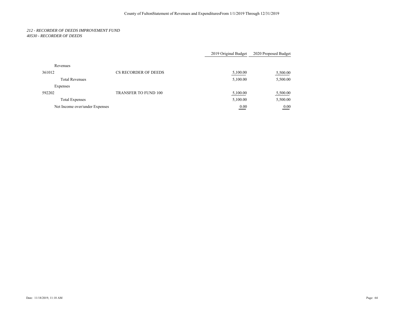#### *212 - RECORDER OF DEEDS IMPROVEMENT FUND 40530 - RECORDER OF DEEDS*

|                                |                             | 2019 Original Budget       | 2020 Proposed Budget |
|--------------------------------|-----------------------------|----------------------------|----------------------|
| Revenues                       |                             |                            |                      |
| 361012                         | CS RECORDER OF DEEDS        | 5,100.00                   | 5,500.00             |
| <b>Total Revenues</b>          |                             | 5,100.00                   | 5,500.00             |
| Expenses                       |                             |                            |                      |
| 592202                         | <b>TRANSFER TO FUND 100</b> | 5,100.00                   | 5,500.00             |
| <b>Total Expenses</b>          |                             | 5,100.00                   | 5,500.00             |
| Net Income over/under Expenses |                             | 0.00<br>and the control of | 0.00                 |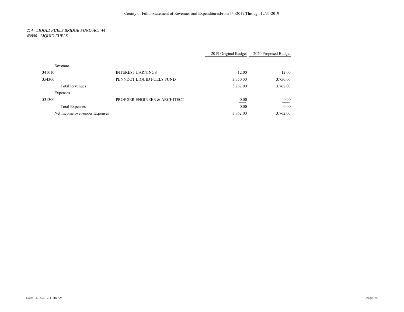# *214 - LIQUID FUELS BRIDGE FUND ACT 44 43800 - LIQUID FUELS*

|                                |                               | 2019 Original Budget | 2020 Proposed Budget |
|--------------------------------|-------------------------------|----------------------|----------------------|
| Revenues                       |                               |                      |                      |
| 341010                         | <b>INTEREST EARNINGS</b>      | 12.00                | 12.00                |
| 354300                         | PENNDOT LIQUID FUELS FUND     | 3,750.00             | 3,750.00             |
| <b>Total Revenues</b>          |                               | 3,762.00             | 3,762.00             |
| Expenses                       |                               |                      |                      |
| 531300                         | PROF SER ENGINEER & ARCHITECT | 0.00                 | 0.00                 |
| <b>Total Expenses</b>          |                               | 0.00                 | 0.00                 |
| Net Income over/under Expenses |                               | 3,762.00             | 3,762.00             |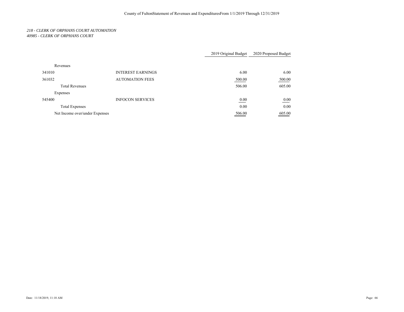#### *218 - CLERK OF ORPHANS COURT AUTOMATION 40985 - CLERK OF ORPHANS COURT*

|                                |                          | 2019 Original Budget | 2020 Proposed Budget |
|--------------------------------|--------------------------|----------------------|----------------------|
| Revenues                       |                          |                      |                      |
| 341010                         | <b>INTEREST EARNINGS</b> | 6.00                 | 6.00                 |
| 361032                         | <b>AUTOMATION FEES</b>   | 500.00               | 500.00               |
| <b>Total Revenues</b>          |                          | 506.00               | 605.00               |
| Expenses                       |                          |                      |                      |
| 545400                         | <b>INFOCON SERVICES</b>  | 0.00                 | 0.00                 |
| <b>Total Expenses</b>          |                          | 0.00                 | 0.00                 |
| Net Income over/under Expenses |                          | 506.00               | 605.00               |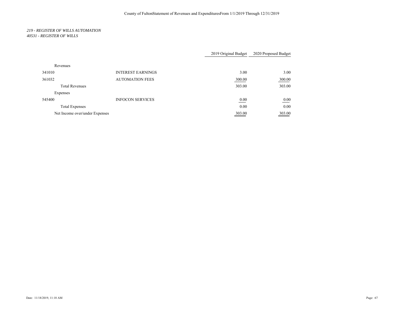#### *219 - REGISTER OF WILLS AUTOMATION 40531 - REGISTER OF WILLS*

|                                |                          | 2019 Original Budget | 2020 Proposed Budget |
|--------------------------------|--------------------------|----------------------|----------------------|
| Revenues                       |                          |                      |                      |
| 341010                         | <b>INTEREST EARNINGS</b> | 3.00                 | 3.00                 |
| 361032                         | <b>AUTOMATION FEES</b>   | 300.00               | 300.00               |
| <b>Total Revenues</b>          |                          | 303.00               | 303.00               |
| Expenses                       |                          |                      |                      |
| 545400                         | <b>INFOCON SERVICES</b>  | 0.00                 | 0.00                 |
| <b>Total Expenses</b>          |                          | 0.00                 | 0.00                 |
| Net Income over/under Expenses |                          | 303.00               | 303.00               |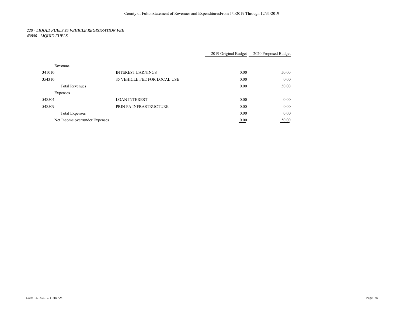# *220 - LIQUID FUELS \$5 VEHICLE REGISTRATION FEE 43800 - LIQUID FUELS*

|                                |                               | 2019 Original Budget | 2020 Proposed Budget |
|--------------------------------|-------------------------------|----------------------|----------------------|
| Revenues                       |                               |                      |                      |
| 341010                         | <b>INTEREST EARNINGS</b>      | 0.00                 | 50.00                |
| 354310                         | \$5 VEHICLE FEE FOR LOCAL USE | 0.00                 | 0.00                 |
| <b>Total Revenues</b>          |                               | 0.00                 | 50.00                |
| Expenses                       |                               |                      |                      |
| 548504                         | <b>LOAN INTEREST</b>          | 0.00                 | 0.00                 |
| 548509                         | PRIN PA INFRASTRUCTURE        | 0.00                 | 0.00                 |
| <b>Total Expenses</b>          |                               | 0.00                 | 0.00                 |
| Net Income over/under Expenses |                               | 0.00                 | 50.00                |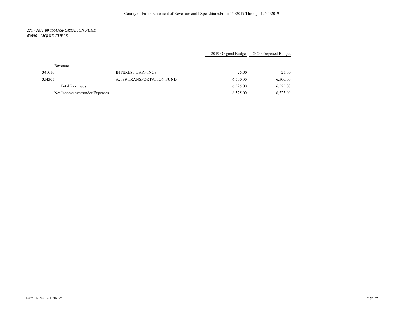# *221 - ACT 89 TRANSPORTATION FUND 43800 - LIQUID FUELS*

|                                |                                   | 2019 Original Budget | 2020 Proposed Budget |
|--------------------------------|-----------------------------------|----------------------|----------------------|
| Revenues                       |                                   |                      |                      |
| 341010                         | <b>INTEREST EARNINGS</b>          | 25.00                | 25.00                |
| 354305                         | <b>Act 89 TRANSPORTATION FUND</b> | 6,500.00             | 6,500.00             |
| <b>Total Revenues</b>          |                                   | 6,525.00             | 6,525.00             |
| Net Income over/under Expenses |                                   | 6,525.00             | 6,525.00             |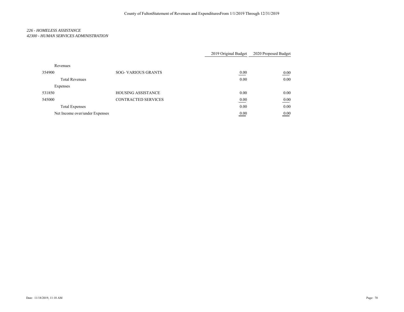## *226 - HOMELESS ASSISTANCE 42300 - HUMAN SERVICES ADMINISTRATION*

|                                |                            | 2019 Original Budget           | 2020 Proposed Budget |
|--------------------------------|----------------------------|--------------------------------|----------------------|
| Revenues                       |                            |                                |                      |
| 354900                         | <b>SOG- VARIOUS GRANTS</b> | 0.00                           | 0.00                 |
| <b>Total Revenues</b>          |                            | 0.00                           | 0.00                 |
| Expenses                       |                            |                                |                      |
| 531850                         | <b>HOUSING ASSISTANCE</b>  | 0.00                           | 0.00                 |
| 545000                         | <b>CONTRACTED SERVICES</b> | 0.00                           | 0.00                 |
| <b>Total Expenses</b>          |                            | 0.00                           | 0.00                 |
| Net Income over/under Expenses |                            | 0.00<br>and the control of the | 0.00                 |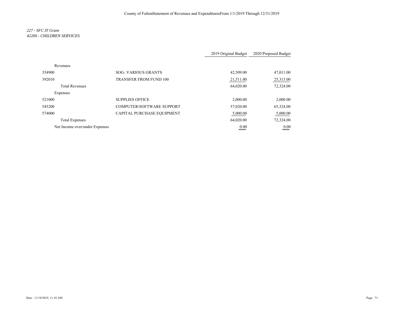# *227 - SFC IT Grant 42200 - CHILDREN SERVICES*

|                                |                                  | 2019 Original Budget | 2020 Proposed Budget |
|--------------------------------|----------------------------------|----------------------|----------------------|
| Revenues                       |                                  |                      |                      |
| 354900                         | <b>SOG-VARIOUS GRANTS</b>        | 42,509.00            | 47,011.00            |
| 392010                         | <b>TRANSFER FROM FUND 100</b>    | 21,511.00            | 25,313.00            |
| <b>Total Revenues</b>          |                                  | 64,020.00            | 72,324.00            |
| Expenses                       |                                  |                      |                      |
| 521000                         | <b>SUPPLIES OFFICE</b>           | 2,000.00             | 2,000.00             |
| 545200                         | <b>COMPUTER/SOFTWARE SUPPORT</b> | 57,020.00            | 65,324.00            |
| 574000                         | CAPITAL PURCHASE EQUIPMENT       | 5,000.00             | 5,000.00             |
| <b>Total Expenses</b>          |                                  | 64,020.00            | 72,324.00            |
| Net Income over/under Expenses |                                  | 0.00                 | 0.00                 |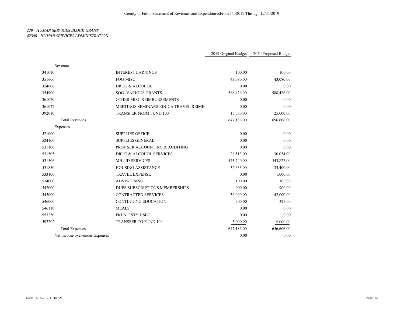## *229 - HUMAN SERVICES BLOCK GRANT 42300 - HUMAN SERVICES ADMINISTRATION*

|                                |                                      | 2019 Original Budget | 2020 Proposed Budget |
|--------------------------------|--------------------------------------|----------------------|----------------------|
| Revenues                       |                                      |                      |                      |
| 341010                         | <b>INTEREST EARNINGS</b>             | 100.00               | 100.00               |
| 351606                         | FOG-MISC                             | 43,080.00            | 43,080.00            |
| 354606                         | DRUG & ALCOHOL                       | 0.00                 | 0.00                 |
| 354900                         | <b>SOG- VARIOUS GRANTS</b>           | 588,426.00           | 588,426.00           |
| 361020                         | OTHER MISC REIMBURSEMENTS            | 0.00                 | 0.00                 |
| 361027                         | MEETINGS SEMINARS EDUCA TRAVEL REIMB | 0.00                 | 0.00                 |
| 392010                         | TRANSFER FROM FUND 100               | 15,580.00            | 25,000.00            |
| <b>Total Revenues</b>          |                                      | 647,186.00           | 656,606.00           |
| Expenses                       |                                      |                      |                      |
| 521000                         | <b>SUPPLIES OFFICE</b>               | 0.00                 | 0.00                 |
| 524100                         | <b>SUPPLIES GENERAL</b>              | 0.00                 | 0.00                 |
| 531100                         | PROF SER ACCOUNTING & AUDITING       | 0.00                 | 0.00                 |
| 531505                         | DRUG & ALCOHOL SERVICES              | 28,513.00            | 30,054.00            |
| 531506                         | MH / ID SERVICES                     | 543,740.00           | 543,827.00           |
| 531850                         | <b>HOUSING ASSISTANCE</b>            | 32,633.00            | 33,400.00            |
| 533100                         | <b>TRAVEL EXPENSE</b>                | 0.00                 | 1,000.00             |
| 534000                         | <b>ADVERTISING</b>                   | 100.00               | 100.00               |
| 542000                         | DUES SUBSCRIPTIONS MEMBERSHIPS       | 900.00               | 900.00               |
| 545000                         | <b>CONTRACTED SERVICES</b>           | 36,000.00            | 42,000.00            |
| 546000                         | <b>CONTINUING EDUCATION</b>          | 300.00               | 325.00               |
| 546110                         | <b>MEALS</b>                         | 0.00                 | 0.00                 |
| 553250                         | FKLN CNTY HSBG                       | 0.00                 | 0.00                 |
| 592202                         | TRANSFER TO FUND 100                 | 5,000.00             | 5,000.00             |
| <b>Total Expenses</b>          |                                      | 647,186.00           | 656,606.00           |
| Net Income over/under Expenses |                                      | 0.00                 | 0.00                 |
|                                |                                      |                      |                      |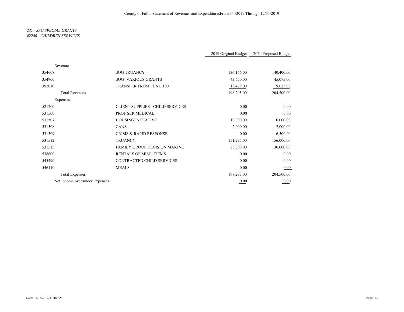## *231 - SFC SPECIAL GRANTS 42200 - CHILDREN SERVICES*

|                                |                                         | 2019 Original Budget | 2020 Proposed Budget |
|--------------------------------|-----------------------------------------|----------------------|----------------------|
|                                |                                         |                      |                      |
| Revenues                       |                                         |                      |                      |
| 354608                         | <b>SOG TRUANCY</b>                      | 136,166.00           | 140,400.00           |
| 354900                         | <b>SOG- VARIOUS GRANTS</b>              | 43,650.00            | 45,075.00            |
| 392010                         | TRANSFER FROM FUND 100                  | 18,479.00            | 19,025.00            |
| <b>Total Revenues</b>          |                                         | 198,295.00           | 204,500.00           |
| Expenses                       |                                         |                      |                      |
| 521200                         | <b>CLIENT SUPPLIES - CHILD SERVICES</b> | 0.00                 | 0.00                 |
| 531500                         | PROF SER MEDICAL                        | 0.00                 | 0.00                 |
| 531507                         | <b>HOUSING INITIATIVE</b>               | 10,000.00            | 10,000.00            |
| 531508                         | <b>CANS</b>                             | 2,000.00             | 2,000.00             |
| 531509                         | <b>CRISIS &amp; RAPID RESPONSE</b>      | 0.00                 | 6,500.00             |
| 531512                         | <b>TRUANCY</b>                          | 151,295.00           | 156,000.00           |
| 531515                         | <b>FAMILY GROUP DECISION MAKING</b>     | 35,000.00            | 30,000.00            |
| 538600                         | <b>RENTALS OF MISC. ITEMS</b>           | 0.00                 | 0.00                 |
| 545490                         | CONTRACTED CHILD SERVICES               | 0.00                 | 0.00                 |
| 546110                         | <b>MEALS</b>                            | 0.00                 | 0.00                 |
| <b>Total Expenses</b>          |                                         | 198,295.00           | 204,500.00           |
| Net Income over/under Expenses |                                         | 0.00                 | 0.00                 |
|                                |                                         |                      |                      |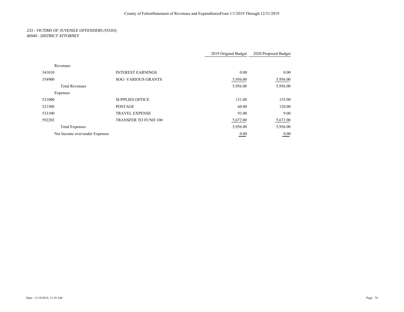# *233 - VICTIMS OF JUVENILE OFFENDERS (VOJO) 40940 - DISTRICT ATTORNEY*

|                                |                             | 2019 Original Budget  | 2020 Proposed Budget |
|--------------------------------|-----------------------------|-----------------------|----------------------|
|                                |                             |                       |                      |
| Revenues                       |                             |                       |                      |
| 341010                         | <b>INTEREST EARNINGS</b>    | 0.00                  | 0.00                 |
| 354900                         | <b>SOG- VARIOUS GRANTS</b>  | 5,956.00              | 5,956.00             |
| <b>Total Revenues</b>          |                             | 5,956.00              | 5,956.00             |
| Expenses                       |                             |                       |                      |
| 521000                         | <b>SUPPLIES OFFICE</b>      | 131.00                | 155.00               |
| 521500                         | <b>POSTAGE</b>              | 60.00                 | 120.00               |
| 533100                         | <b>TRAVEL EXPENSE</b>       | 93.00                 | 9.00                 |
| 592202                         | <b>TRANSFER TO FUND 100</b> | 5,672.00              | 5,672.00             |
| <b>Total Expenses</b>          |                             | 5,956.00              | 5,956.00             |
| Net Income over/under Expenses |                             | 0.00<br>$\sim$ $\sim$ | 0.00<br>___          |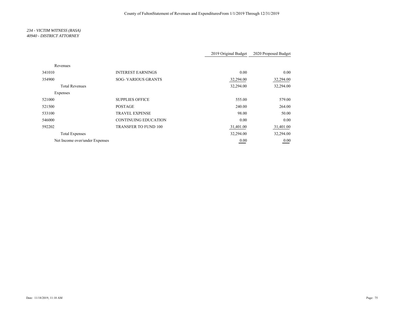# *234 - VICTIM WITNESS (RASA) 40940 - DISTRICT ATTORNEY*

|                                |                             | 2019 Original Budget | 2020 Proposed Budget |
|--------------------------------|-----------------------------|----------------------|----------------------|
| Revenues                       |                             |                      |                      |
| 341010                         | <b>INTEREST EARNINGS</b>    | 0.00                 | 0.00                 |
| 354900                         | <b>SOG- VARIOUS GRANTS</b>  | 32,294.00            | 32,294.00            |
| <b>Total Revenues</b>          |                             | 32,294.00            | 32,294.00            |
| Expenses                       |                             |                      |                      |
| 521000                         | <b>SUPPLIES OFFICE</b>      | 555.00               | 579.00               |
| 521500                         | <b>POSTAGE</b>              | 240.00               | 264.00               |
| 533100                         | <b>TRAVEL EXPENSE</b>       | 98.00                | 50.00                |
| 546000                         | <b>CONTINUING EDUCATION</b> | 0.00                 | 0.00                 |
| 592202                         | <b>TRANSFER TO FUND 100</b> | 31,401.00            | 31,401.00            |
| <b>Total Expenses</b>          |                             | 32,294.00            | 32,294.00            |
| Net Income over/under Expenses |                             | 0.00                 | 0.00                 |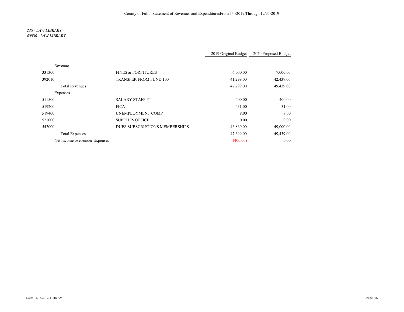## *235 - LAW LIBRARY 40930 - LAW LIBRARY*

|                                |                                | 2019 Original Budget | 2020 Proposed Budget |
|--------------------------------|--------------------------------|----------------------|----------------------|
| Revenues                       |                                |                      |                      |
| 331300                         | <b>FINES &amp; FORFITURES</b>  | 6,000.00             | 7,000.00             |
| 392010                         | <b>TRANSFER FROM FUND 100</b>  | 41,299.00            | 42,439.00            |
| <b>Total Revenues</b>          |                                | 47,299.00            | 49,439.00            |
| Expenses                       |                                |                      |                      |
| 511500                         | <b>SALARY STAFF PT</b>         | 400.00               | 400.00               |
| 519200                         | <b>FICA</b>                    | 431.00               | 31.00                |
| 519400                         | UNEMPLOYMENT COMP              | 8.00                 | 8.00                 |
| 521000                         | <b>SUPPLIES OFFICE</b>         | 0.00                 | 0.00                 |
| 542000                         | DUES SUBSCRIPTIONS MEMBERSHIPS | 46,860.00            | 49,000.00            |
| <b>Total Expenses</b>          |                                | 47,699.00            | 49,439.00            |
| Net Income over/under Expenses |                                | (400.00)             | 0.00                 |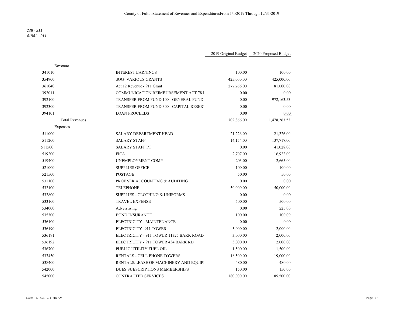## *238 - 911 41941 - 911*

|                       |                                             | 2019 Original Budget | 2020 Proposed Budget |
|-----------------------|---------------------------------------------|----------------------|----------------------|
| Revenues              |                                             |                      |                      |
| 341010                | <b>INTEREST EARNINGS</b>                    | 100.00               | 100.00               |
| 354900                | <b>SOG-VARIOUS GRANTS</b>                   | 425,000.00           | 425,000.00           |
| 361040                | Act 12 Revenue - 911 Grant                  | 277,766.00           | 81,000.00            |
| 392011                | <b>COMMUNICATION REIMBURSEMENT ACT 78 I</b> | 0.00                 | 0.00                 |
| 392100                | TRANSFER FROM FUND 100 - GENERAL FUND       | 0.00                 | 972,163.53           |
| 392300                | TRANSFER FROM FUND 300 - CAPITAL RESER'     | 0.00                 | 0.00                 |
| 394101                | <b>LOAN PROCEEDS</b>                        | 0.00                 | 0.00                 |
| <b>Total Revenues</b> |                                             | 702,866.00           | 1,478,263.53         |
| Expenses              |                                             |                      |                      |
| 511000                | <b>SALARY DEPARTMENT HEAD</b>               | 21,226.00            | 21,226.00            |
| 511200                | <b>SALARY STAFF</b>                         | 14,154.00            | 137,717.00           |
| 511500                | <b>SALARY STAFF PT</b>                      | 0.00                 | 41,028.00            |
| 519200                | <b>FICA</b>                                 | 2,707.00             | 16,922.00            |
| 519400                | UNEMPLOYMENT COMP                           | 203.00               | 2,665.00             |
| 521000                | <b>SUPPLIES OFFICE</b>                      | 100.00               | 100.00               |
| 521500                | <b>POSTAGE</b>                              | 50.00                | 50.00                |
| 531100                | PROF SER ACCOUNTING & AUDITING              | 0.00                 | 0.00                 |
| 532100                | <b>TELEPHONE</b>                            | 50,000.00            | 50,000.00            |
| 532800                | <b>SUPPLIES - CLOTHING &amp; UNIFORMS</b>   | 0.00                 | 0.00                 |
| 533100                | <b>TRAVEL EXPENSE</b>                       | 500.00               | 500.00               |
| 534000                | Adverstising                                | 0.00                 | 225.00               |
| 535300                | <b>BOND INSURANCE</b>                       | 100.00               | 100.00               |
| 536100                | ELECTRICITY - MAINTENANCE                   | 0.00                 | 0.00                 |
| 536190                | ELECTRICITY -911 TOWER                      | 3,000.00             | 2,000.00             |
| 536191                | ELECTRICITY - 911 TOWER 11325 BARK ROAD     | 3,000.00             | 2,000.00             |
| 536192                | ELECTRICITY - 911 TOWER 434 BARK RD         | 3,000.00             | 2,000.00             |
| 536700                | PUBLIC UTILITY FUEL OIL                     | 1,500.00             | 1,500.00             |
| 537450                | RENTALS - CELL PHONE TOWERS                 | 18,500.00            | 19,000.00            |
| 538400                | RENTALS/LEASE OF MACHINERY AND EQUIPI       | 480.00               | 480.00               |
| 542000                | DUES SUBSCRIPTIONS MEMBERSHIPS              | 150.00               | 150.00               |
| 545000                | <b>CONTRACTED SERVICES</b>                  | 180,000.00           | 185,500.00           |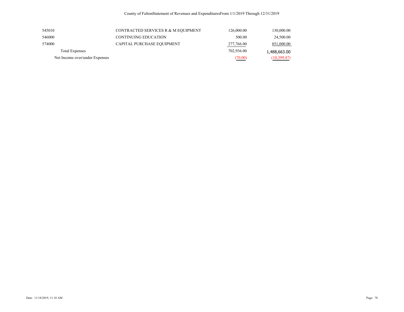| 545010                         | CONTRACTED SERVICES R & M EQUIPMENT | 126,000.00 | 130,000.00   |
|--------------------------------|-------------------------------------|------------|--------------|
| 546000                         | CONTINUING EDUCATION                | 500.00     | 24,500.00    |
| 574000                         | CAPITAL PURCHASE EQUIPMENT          | 277,766.00 | 851,000.00   |
| Total Expenses                 |                                     | 702,936.00 | 1,488,663.00 |
| Net Income over/under Expenses |                                     | (70.00)    | (10, 399.47) |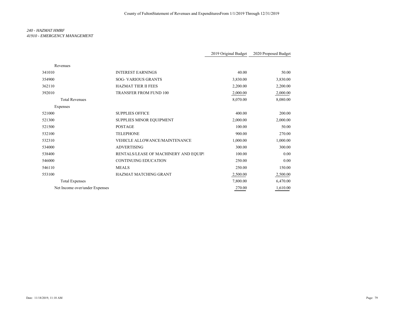# *240 - HAZMAT HMRF 41910 - EMERGENCY MANAGEMENT*

|                                |                                       | 2019 Original Budget | 2020 Proposed Budget |
|--------------------------------|---------------------------------------|----------------------|----------------------|
| Revenues                       |                                       |                      |                      |
| 341010                         | <b>INTEREST EARNINGS</b>              | 40.00                | 50.00                |
| 354900                         | <b>SOG- VARIOUS GRANTS</b>            | 3,830.00             | 3,830.00             |
| 362110                         | <b>HAZMAT TIER II FEES</b>            | 2,200.00             | 2,200.00             |
| 392010                         | TRANSFER FROM FUND 100                | 2,000.00             | 2,000.00             |
| <b>Total Revenues</b>          |                                       | 8,070.00             | 8,080.00             |
| Expenses                       |                                       |                      |                      |
| 521000                         | <b>SUPPLIES OFFICE</b>                | 400.00               | 200.00               |
| 521300                         | <b>SUPPLIES MINOR EQUIPMENT</b>       | 2,000.00             | 2,000.00             |
| 521500                         | <b>POSTAGE</b>                        | 100.00               | 50.00                |
| 532100                         | <b>TELEPHONE</b>                      | 900.00               | 270.00               |
| 532310                         | <b>VEHICLE ALLOWANCE/MAINTENANCE</b>  | 1,000.00             | 1,000.00             |
| 534000                         | <b>ADVERTISING</b>                    | 300.00               | 300.00               |
| 538400                         | RENTALS/LEASE OF MACHINERY AND EQUIP! | 100.00               | 0.00                 |
| 546000                         | <b>CONTINUING EDUCATION</b>           | 250.00               | 0.00                 |
| 546110                         | <b>MEALS</b>                          | 250.00               | 150.00               |
| 553100                         | <b>HAZMAT MATCHING GRANT</b>          | 2,500.00             | 2,500.00             |
| <b>Total Expenses</b>          |                                       | 7,800.00             | 6,470.00             |
| Net Income over/under Expenses |                                       | 270.00               | 1,610.00             |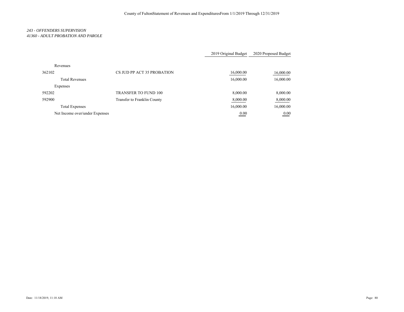# *243 - OFFENDERS SUPERVISION 41360 - ADULT PROBATION AND PAROLE*

|                                |                             | 2019 Original Budget | 2020 Proposed Budget |
|--------------------------------|-----------------------------|----------------------|----------------------|
| Revenues                       |                             |                      |                      |
| 362102                         | CS JUD PP ACT 35 PROBATION  | 16,000.00            | 16,000.00            |
| <b>Total Revenues</b>          |                             | 16,000.00            | 16,000.00            |
| Expenses                       |                             |                      |                      |
| 592202                         | <b>TRANSFER TO FUND 100</b> | 8,000.00             | 8,000.00             |
| 592900                         | Transfer to Franklin County | 8,000.00             | 8,000.00             |
| <b>Total Expenses</b>          |                             | 16,000.00            | 16,000.00            |
| Net Income over/under Expenses |                             | 0.00                 | 0.00                 |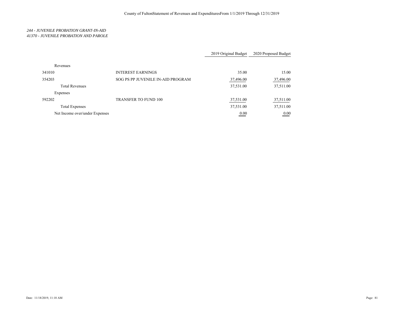## *244 - JUVENILE PROBATION GRANT-IN-AID 41370 - JUVENILE PROBATION AND PAROLE*

|                                |                                   | 2019 Original Budget | 2020 Proposed Budget |
|--------------------------------|-----------------------------------|----------------------|----------------------|
| Revenues                       |                                   |                      |                      |
| 341010                         | <b>INTEREST EARNINGS</b>          | 35.00                | 15.00                |
| 354203                         | SOG PS PP JUVENILE IN-AID PROGRAM | 37,496.00            | 37,496.00            |
| <b>Total Revenues</b>          |                                   | 37,531.00            | 37,511.00            |
| Expenses                       |                                   |                      |                      |
| 592202                         | <b>TRANSFER TO FUND 100</b>       | 37,531.00            | 37,511.00            |
| <b>Total Expenses</b>          |                                   | 37,531.00            | 37,511.00            |
| Net Income over/under Expenses |                                   | 0.00                 | 0.00                 |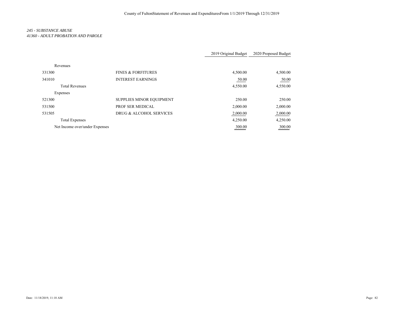# *245 - SUBSTANCE ABUSE 41360 - ADULT PROBATION AND PAROLE*

|                                |                                 | 2019 Original Budget | 2020 Proposed Budget |
|--------------------------------|---------------------------------|----------------------|----------------------|
| Revenues                       |                                 |                      |                      |
| 331300                         | <b>FINES &amp; FORFITURES</b>   | 4,500.00             | 4,500.00             |
| 341010                         | <b>INTEREST EARNINGS</b>        | 50.00                | 50.00                |
| <b>Total Revenues</b>          |                                 | 4,550.00             | 4,550.00             |
| Expenses                       |                                 |                      |                      |
| 521300                         | <b>SUPPLIES MINOR EQUIPMENT</b> | 250.00               | 250.00               |
| 531500                         | PROF SER MEDICAL                | 2,000.00             | 2,000.00             |
| 531505                         | DRUG & ALCOHOL SERVICES         | 2,000.00             | 2,000.00             |
| <b>Total Expenses</b>          |                                 | 4,250.00             | 4,250.00             |
| Net Income over/under Expenses |                                 | 300.00               | 300.00               |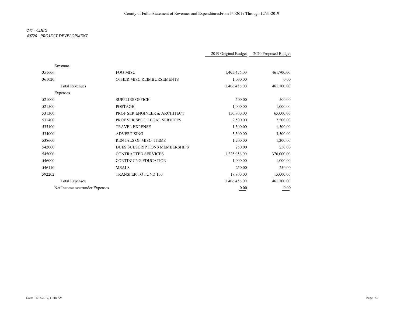# *247 - CDBG 40720 - PROJECT DEVELOPMENT*

|                                |                                | 2019 Original Budget | 2020 Proposed Budget |
|--------------------------------|--------------------------------|----------------------|----------------------|
| Revenues                       |                                |                      |                      |
| 351606                         | <b>FOG-MISC</b>                | 1,405,456.00         | 461,700.00           |
| 361020                         | OTHER MISC REIMBURSEMENTS      | 1,000.00             | 0.00                 |
| <b>Total Revenues</b>          |                                | 1,406,456.00         | 461,700.00           |
| Expenses                       |                                |                      |                      |
| 521000                         | <b>SUPPLIES OFFICE</b>         | 500.00               | 500.00               |
| 521500                         | <b>POSTAGE</b>                 | 1,000.00             | 1,000.00             |
| 531300                         | PROF SER ENGINEER & ARCHITECT  | 150,900.00           | 65,000.00            |
| 531400                         | PROF SER SPEC. LEGAL SERVICES  | 2,500.00             | 2,500.00             |
| 533100                         | <b>TRAVEL EXPENSE</b>          | 1,500.00             | 1,500.00             |
| 534000                         | <b>ADVERTISING</b>             | 3,500.00             | 3,500.00             |
| 538600                         | <b>RENTALS OF MISC. ITEMS</b>  | 1,200.00             | 1,200.00             |
| 542000                         | DUES SUBSCRIPTIONS MEMBERSHIPS | 250.00               | 250.00               |
| 545000                         | <b>CONTRACTED SERVICES</b>     | 1,225,056.00         | 370,000.00           |
| 546000                         | <b>CONTINUING EDUCATION</b>    | 1,000.00             | 1,000.00             |
| 546110                         | <b>MEALS</b>                   | 250.00               | 250.00               |
| 592202                         | <b>TRANSFER TO FUND 100</b>    | 18,800.00            | 15,000.00            |
| <b>Total Expenses</b>          |                                | 1,406,456.00         | 461,700.00           |
| Net Income over/under Expenses |                                | 0.00                 | 0.00                 |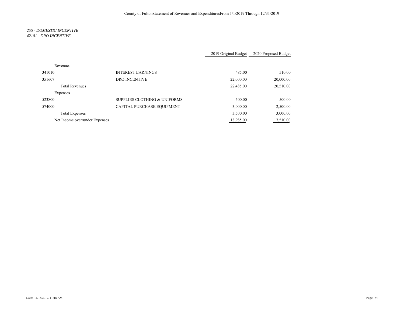### *255 - DOMESTIC INCENTIVE 42101 - DRO INCENTIVE*

|                                |                                         | 2019 Original Budget | 2020 Proposed Budget |
|--------------------------------|-----------------------------------------|----------------------|----------------------|
| Revenues                       |                                         |                      |                      |
| 341010                         | <b>INTEREST EARNINGS</b>                | 485.00               | 510.00               |
| 351607                         | <b>DRO INCENTIVE</b>                    | 22,000.00            | 20,000.00            |
| <b>Total Revenues</b>          |                                         | 22,485.00            | 20,510.00            |
| Expenses                       |                                         |                      |                      |
| 523800                         | <b>SUPPLIES CLOTHING &amp; UNIFORMS</b> | 500.00               | 500.00               |
| 574000                         | CAPITAL PURCHASE EQUIPMENT              | 3,000.00             | 2,500.00             |
| <b>Total Expenses</b>          |                                         | 3,500.00             | 3,000.00             |
| Net Income over/under Expenses |                                         | 18,985.00            | 17,510.00            |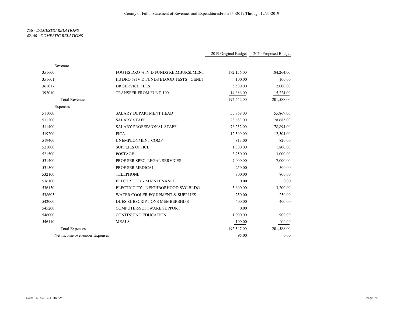## *256 - DOMESTIC RELATIONS 42100 - DOMESTIC RELATIONS*

|                                |                                         | 2019 Original Budget | 2020 Proposed Budget |
|--------------------------------|-----------------------------------------|----------------------|----------------------|
| Revenues                       |                                         |                      |                      |
| 351600                         | FOG HS DRO % IV D FUNDS REIMBURSEMENT   | 172,156.00           | 184,264.00           |
| 351601                         | HS DRO % IV D FUNDS BLOOD TESTS - GENET | 100.00               | 100.00               |
| 361017                         | <b>DR SERVICE FEES</b>                  | 5,500.00             | 2,000.00             |
| 392010                         | TRANSFER FROM FUND 100                  | 14,686.00            | 15,224.00            |
| <b>Total Revenues</b>          |                                         | 192,442.00           | 201,588.00           |
| Expenses                       |                                         |                      |                      |
| 511000                         | <b>SALARY DEPARTMENT HEAD</b>           | 55,869.00            | 55,869.00            |
| 511200                         | <b>SALARY STAFF</b>                     | 28,683.00            | 28,683.00            |
| 511400                         | SALARY PROFESSIONAL STAFF               | 76,232.00            | 78,894.00            |
| 519200                         | <b>FICA</b>                             | 12,300.00            | 12,504.00            |
| 519400                         | UNEMPLOYMENT COMP                       | 813.00               | 820.00               |
| 521000                         | <b>SUPPLIES OFFICE</b>                  | 1,800.00             | 1,800.00             |
| 521500                         | <b>POSTAGE</b>                          | 3,250.00             | 3,000.00             |
| 531400                         | PROF SER SPEC. LEGAL SERVICES           | 7,000.00             | 7,000.00             |
| 531500                         | PROF SER MEDICAL                        | 250.00               | 500.00               |
| 532100                         | <b>TELEPHONE</b>                        | 800.00               | 800.00               |
| 536100                         | ELECTRICITY - MAINTENANCE               | 0.00                 | 0.00                 |
| 536130                         | ELECTRICITY - NEIGHBORHOOD SVC BLDG     | 3,600.00             | 3,200.00             |
| 538605                         | WATER COOLER EQUIPMENT & SUPPLIES       | 250.00               | 250.00               |
| 542000                         | DUES SUBSCRIPTIONS MEMBERSHIPS          | 400.00               | 400.00               |
| 545200                         | COMPUTER/SOFTWARE SUPPORT               | 0.00                 |                      |
| 546000                         | <b>CONTINUING EDUCATION</b>             | 1,000.00             | 900.00               |
| 546110                         | <b>MEALS</b>                            | 100.00               | 200.00               |
| <b>Total Expenses</b>          |                                         | 192,347.00           | 201,588.00           |
| Net Income over/under Expenses |                                         | 95.00                | 0.00                 |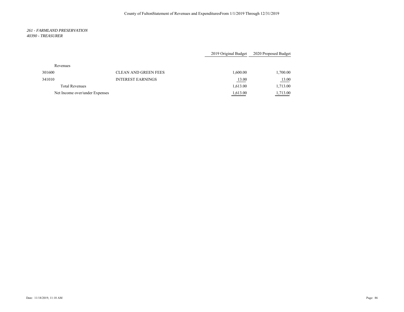### *261 - FARMLAND PRESERVATION 40390 - TREASURER*

|                                |                             | 2019 Original Budget | 2020 Proposed Budget |
|--------------------------------|-----------------------------|----------------------|----------------------|
| Revenues                       |                             |                      |                      |
| 301600                         | <b>CLEAN AND GREEN FEES</b> | 1,600.00             | 1,700.00             |
| 341010                         | <b>INTEREST EARNINGS</b>    | 13.00                | <u>13.00</u>         |
| <b>Total Revenues</b>          |                             | 1,613.00             | 1,713.00             |
| Net Income over/under Expenses |                             | 1,613.00             | 1,713.00             |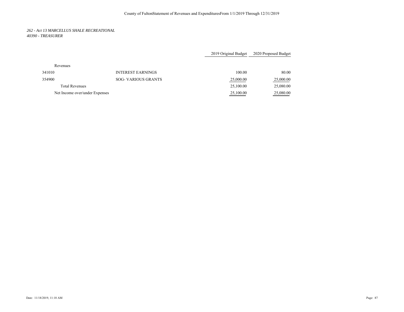## *262 - Act 13 MARCELLUS SHALE RECREATIONAL 40390 - TREASURER*

|                                |                            | 2019 Original Budget | 2020 Proposed Budget |
|--------------------------------|----------------------------|----------------------|----------------------|
| Revenues                       |                            |                      |                      |
| 341010                         | <b>INTEREST EARNINGS</b>   | 100.00               | 80.00                |
| 354900                         | <b>SOG- VARIOUS GRANTS</b> | 25,000.00            | 25,000.00            |
| <b>Total Revenues</b>          |                            | 25,100.00            | 25,080.00            |
| Net Income over/under Expenses |                            | 25,100.00            | 25,080.00            |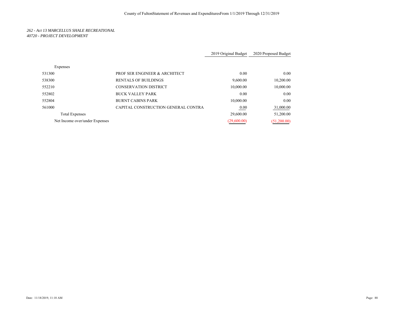## *262 - Act 13 MARCELLUS SHALE RECREATIONAL 40720 - PROJECT DEVELOPMENT*

|                                |                                     | 2019 Original Budget | 2020 Proposed Budget |
|--------------------------------|-------------------------------------|----------------------|----------------------|
| Expenses                       |                                     |                      |                      |
| 531300                         | PROF SER ENGINEER & ARCHITECT       | 0.00                 | 0.00                 |
| 538300                         | <b>RENTALS OF BUILDINGS</b>         | 9,600.00             | 10,200.00            |
| 552210                         | <b>CONSERVATION DISTRICT</b>        | 10,000.00            | 10,000.00            |
| 552802                         | <b>BUCK VALLEY PARK</b>             | 0.00                 | 0.00                 |
| 552804                         | <b>BURNT CABINS PARK</b>            | 10,000.00            | 0.00                 |
| 561000                         | CAPITAL CONSTRUCTION GENERAL CONTRA | 0.00                 | 31,000.00            |
| <b>Total Expenses</b>          |                                     | 29,600.00            | 51,200.00            |
| Net Income over/under Expenses |                                     | (29,600.00)          | (51,200.00)          |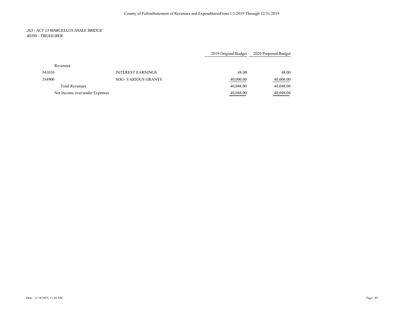## *263 - ACT 13 MARCELLUS SHALE BRIDGE 40390 - TREASURER*

|                                |                            | 2019 Original Budget | 2020 Proposed Budget |
|--------------------------------|----------------------------|----------------------|----------------------|
| Revenues                       |                            |                      |                      |
| 341010                         | <b>INTEREST EARNINGS</b>   | 48.00                | 48.00                |
| 354900                         | <b>SOG- VARIOUS GRANTS</b> | 40,000.00            | 40,000.00            |
| <b>Total Revenues</b>          |                            | 40,048.00            | 40,048.00            |
| Net Income over/under Expenses |                            | 40,048.00            | 40,048.00            |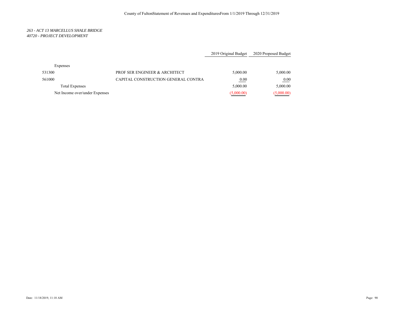## *263 - ACT 13 MARCELLUS SHALE BRIDGE 40720 - PROJECT DEVELOPMENT*

|                                |                                     | 2019 Original Budget | 2020 Proposed Budget |
|--------------------------------|-------------------------------------|----------------------|----------------------|
| Expenses                       |                                     |                      |                      |
| 531300                         | PROF SER ENGINEER & ARCHITECT       | 5,000.00             | 5,000.00             |
| 561000                         | CAPITAL CONSTRUCTION GENERAL CONTRA | 0.00                 | 0.00                 |
| <b>Total Expenses</b>          |                                     | 5,000.00             | 5,000.00             |
| Net Income over/under Expenses |                                     | (5,000.00)           | (5,000.00)           |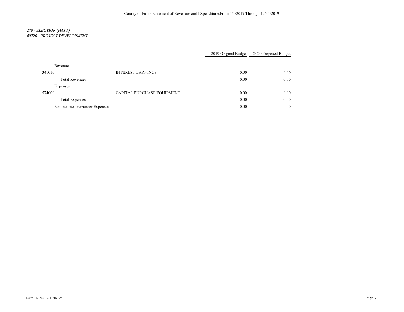# *270 - ELECTION (HAVA) 40720 - PROJECT DEVELOPMENT*

|                                |                            | 2019 Original Budget                  | 2020 Proposed Budget |
|--------------------------------|----------------------------|---------------------------------------|----------------------|
| Revenues                       |                            |                                       |                      |
| 341010                         | <b>INTEREST EARNINGS</b>   | 0.00<br>the control of the control of | 0.00                 |
| <b>Total Revenues</b>          |                            | 0.00                                  | 0.00                 |
| Expenses                       |                            |                                       |                      |
| 574000                         | CAPITAL PURCHASE EQUIPMENT | 0.00                                  | 0.00                 |
| <b>Total Expenses</b>          |                            | 0.00                                  | 0.00                 |
| Net Income over/under Expenses |                            | 0.00                                  | 0.00                 |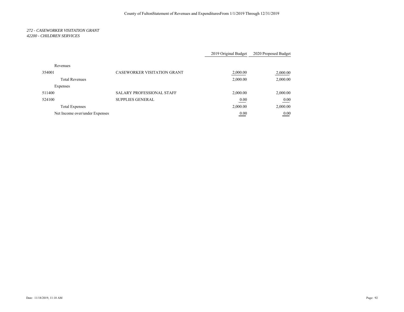## *272 - CASEWORKER VISITATION GRANT 42200 - CHILDREN SERVICES*

|                                |                                    | 2019 Original Budget | 2020 Proposed Budget |
|--------------------------------|------------------------------------|----------------------|----------------------|
| Revenues                       |                                    |                      |                      |
| 354001                         | <b>CASEWORKER VISITATION GRANT</b> | 2,000.00             | 2,000.00             |
| <b>Total Revenues</b>          |                                    | 2,000.00             | 2,000.00             |
| Expenses                       |                                    |                      |                      |
| 511400                         | <b>SALARY PROFESSIONAL STAFF</b>   | 2,000.00             | 2,000.00             |
| 524100                         | <b>SUPPLIES GENERAL</b>            | 0.00                 | 0.00                 |
| <b>Total Expenses</b>          |                                    | 2,000.00             | 2,000.00             |
| Net Income over/under Expenses |                                    | 0.00                 | 0.00                 |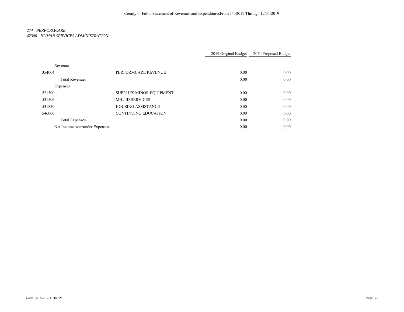# *274 - PERFORMCARE 42300 - HUMAN SERVICES ADMINISTRATION*

|                                |                                 | 2019 Original Budget | 2020 Proposed Budget |
|--------------------------------|---------------------------------|----------------------|----------------------|
| Revenues                       |                                 |                      |                      |
| 354004                         | PERFORMCARE REVENUE             | 0.00                 | 0.00                 |
| <b>Total Revenues</b>          |                                 | 0.00                 | 0.00                 |
| Expenses                       |                                 |                      |                      |
| 521300                         | <b>SUPPLIES MINOR EQUIPMENT</b> | 0.00                 | 0.00                 |
| 531506                         | <b>MH / ID SERVICES</b>         | 0.00                 | 0.00                 |
| 531850                         | <b>HOUSING ASSISTANCE</b>       | 0.00                 | 0.00                 |
| 546000                         | <b>CONTINUING EDUCATION</b>     | 0.00                 | 0.00                 |
| <b>Total Expenses</b>          |                                 | 0.00                 | 0.00                 |
| Net Income over/under Expenses |                                 | 0.00                 | 0.00                 |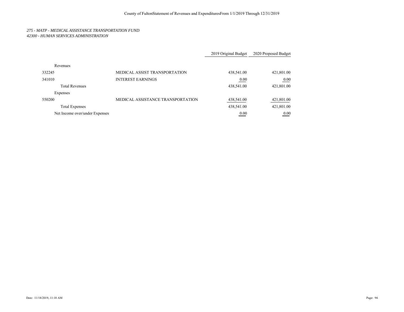# *275 - MATP - MEDICAL ASSISTANCE TRANSPORTATION FUND 42300 - HUMAN SERVICES ADMINISTRATION*

|                                |                                   | 2019 Original Budget | 2020 Proposed Budget |
|--------------------------------|-----------------------------------|----------------------|----------------------|
| Revenues                       |                                   |                      |                      |
| 332245                         | MEDICAL ASSIST TRANSPORTATION     | 438,541.00           | 421,801.00           |
| 341010                         | <b>INTEREST EARNINGS</b>          | 0.00                 | 0.00                 |
| <b>Total Revenues</b>          |                                   | 438,541.00           | 421,801.00           |
| Expenses                       |                                   |                      |                      |
| 550200                         | MEDICAL ASSISTANCE TRANSPORTATION | 438,541.00           | 421,801.00           |
| <b>Total Expenses</b>          |                                   | 438,541.00           | 421,801.00           |
| Net Income over/under Expenses |                                   | 0.00                 | 0.00                 |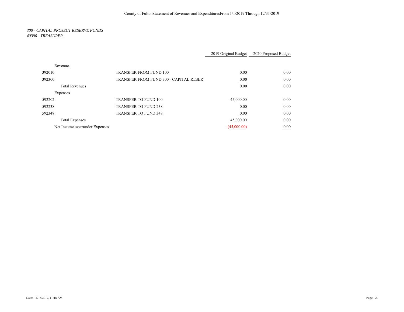#### *300 - CAPITAL PROJECT RESERVE FUNDS 40390 - TREASURER*

|                                |                                         | 2019 Original Budget | 2020 Proposed Budget                          |
|--------------------------------|-----------------------------------------|----------------------|-----------------------------------------------|
| Revenues                       |                                         |                      |                                               |
| 392010                         | <b>TRANSFER FROM FUND 100</b>           | 0.00                 | 0.00                                          |
| 392300                         | TRANSFER FROM FUND 300 - CAPITAL RESERT | 0.00                 | 0.00                                          |
| <b>Total Revenues</b>          |                                         | 0.00                 | 0.00                                          |
| Expenses                       |                                         |                      |                                               |
| 592202                         | <b>TRANSFER TO FUND 100</b>             | 45,000.00            | 0.00                                          |
| 592238                         | <b>TRANSFER TO FUND 238</b>             | 0.00                 | 0.00                                          |
| 592348                         | <b>TRANSFER TO FUND 348</b>             | 0.00                 | 0.00                                          |
| <b>Total Expenses</b>          |                                         | 45,000.00            | 0.00                                          |
| Net Income over/under Expenses |                                         | (45,000.00)          | 0.00<br><u> The Common State State Sta</u> te |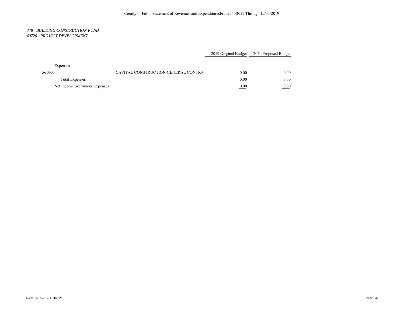#### *348 - BUILDING CONSTRUCTION FUND 40720 - PROJECT DEVELOPMENT*

|                                |                                     |      | 2019 Original Budget 2020 Proposed Budget |
|--------------------------------|-------------------------------------|------|-------------------------------------------|
|                                |                                     |      |                                           |
| Expenses                       |                                     |      |                                           |
| 561000                         | CAPITAL CONSTRUCTION GENERAL CONTRA | 0.00 | 0.00                                      |
| <b>Total Expenses</b>          |                                     | 0.00 | 0.00                                      |
| Net Income over/under Expenses |                                     | 0.00 | 0.00                                      |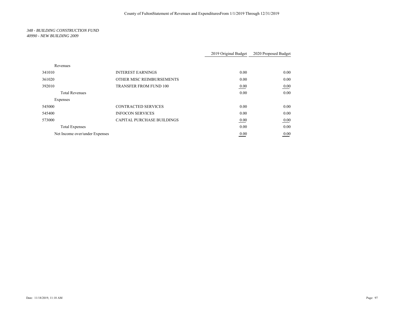### *348 - BUILDING CONSTRUCTION FUND 40990 - NEW BUILDING 2009*

|                                |                                   | 2019 Original Budget | 2020 Proposed Budget |
|--------------------------------|-----------------------------------|----------------------|----------------------|
|                                |                                   |                      |                      |
| Revenues                       |                                   |                      |                      |
| 341010                         | <b>INTEREST EARNINGS</b>          | 0.00                 | 0.00                 |
| 361020                         | OTHER MISC REIMBURSEMENTS         | 0.00                 | 0.00                 |
| 392010                         | <b>TRANSFER FROM FUND 100</b>     | 0.00                 | 0.00                 |
| <b>Total Revenues</b>          |                                   | 0.00                 | 0.00                 |
| Expenses                       |                                   |                      |                      |
| 545000                         | <b>CONTRACTED SERVICES</b>        | 0.00                 | 0.00                 |
| 545400                         | <b>INFOCON SERVICES</b>           | 0.00                 | 0.00                 |
| 573000                         | <b>CAPITAL PURCHASE BUILDINGS</b> | 0.00                 | 0.00                 |
| <b>Total Expenses</b>          |                                   | 0.00                 | 0.00                 |
| Net Income over/under Expenses |                                   | 0.00                 | 0.00                 |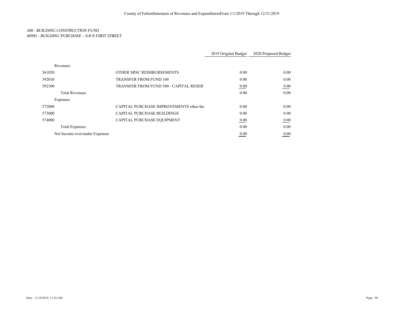# *348 - BUILDING CONSTRUCTION FUND 40995 - BUILDING PURCHASE - 318 N FIRST STREET*

|                                |                                          | 2019 Original Budget | 2020 Proposed Budget |
|--------------------------------|------------------------------------------|----------------------|----------------------|
| Revenues                       |                                          |                      |                      |
| 361020                         | OTHER MISC REIMBURSEMENTS                | 0.00                 | 0.00                 |
| 392010                         | <b>TRANSFER FROM FUND 100</b>            | 0.00                 | 0.00                 |
| 392300                         | TRANSFER FROM FUND 300 - CAPITAL RESERT  | 0.00                 | 0.00                 |
| <b>Total Revenues</b>          |                                          | 0.00                 | 0.00                 |
| Expenses                       |                                          |                      |                      |
| 572000                         | CAPITAL PURCHASE IMPROVEMENTS other that | 0.00                 | 0.00                 |
| 573000                         | <b>CAPITAL PURCHASE BUILDINGS</b>        | 0.00                 | 0.00                 |
| 574000                         | CAPITAL PURCHASE EQUIPMENT               | 0.00                 | 0.00                 |
| <b>Total Expenses</b>          |                                          | 0.00                 | 0.00                 |
| Net Income over/under Expenses |                                          | 0.00                 | 0.00                 |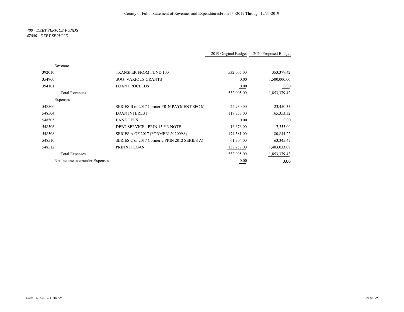### *400 - DEBT SERVICE FUNDS 47000 - DEBT SERVICE*

|                                |                                                | 2019 Original Budget | 2020 Proposed Budget |
|--------------------------------|------------------------------------------------|----------------------|----------------------|
| Revenues                       |                                                |                      |                      |
| 392010                         | <b>TRANSFER FROM FUND 100</b>                  | 532,005.00           | 353,379.42           |
| 354900                         | <b>SOG-VARIOUS GRANTS</b>                      | 0.00                 | 1,500,000.00         |
| 394101                         | <b>LOAN PROCEEDS</b>                           | 0.00                 | $0.00\,$             |
| <b>Total Revenues</b>          |                                                | 532,005.00           | 1,853,379.42         |
| Expenses                       |                                                |                      |                      |
| 548500                         | SERIES B of 2017 (former PRIN PAYMENT SFC M    | 22,930.00            | 23,450.33            |
| 548504                         | <b>LOAN INTEREST</b>                           | 117,357.00           | 165,353.32           |
| 548505                         | <b>BANK FEES</b>                               | 0.00                 | $0.00\,$             |
| 548506                         | DEBT SERVICE - PRIN 15 YR NOTE                 | 16,676.00            | 17,353.00            |
| 548508                         | SERIES A OF 2017 (FORMERLY 2009A)              | 174,581.00           | 180,844.22           |
| 548510                         | SERIES C of 2017 (formerly PRIN 2012 SERIES A) | 61,704.00            | 63, 345. 47          |
| 548512                         | PRIN 911 LOAN                                  | 138,757.00           | 1,403,033.08         |
| <b>Total Expenses</b>          |                                                | 532,005.00           | 1,853,379.42         |
| Net Income over/under Expenses |                                                | 0.00                 | 0.00                 |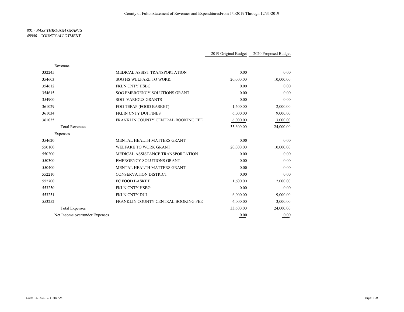#### *801 - PASS THROUGH GRANTS 48900 - COUNTY ALLOTMENT*

|                                               | 2019 Original Budget | 2020 Proposed Budget |
|-----------------------------------------------|----------------------|----------------------|
| Revenues                                      |                      |                      |
| 332245<br>MEDICAL ASSIST TRANSPORTATION       | 0.00                 | 0.00                 |
| 354603<br>SOG HS WELFARE TO WORK              | 20,000.00            | 10,000.00            |
| 354612<br><b>FKLN CNTY HSBG</b>               | 0.00                 | 0.00                 |
| SOG EMERGENCY SOLUTIONS GRANT<br>354615       | 0.00                 | 0.00                 |
| 354900<br><b>SOG- VARIOUS GRANTS</b>          | 0.00                 | 0.00                 |
| 361029<br>FOG TEFAP (FOOD BASKET)             | 1,600.00             | 2,000.00             |
| <b>FKLIN CNTY DUI FINES</b><br>361034         | 6,000.00             | 9,000.00             |
| FRANKLIN COUNTY CENTRAL BOOKING FEE<br>361035 | 6,000.00             | 3,000.00             |
| <b>Total Revenues</b>                         | 33,600.00            | 24,000.00            |
| Expenses                                      |                      |                      |
| MENTAL HEALTH MATTERS GRANT<br>354620         | 0.00                 | 0.00                 |
| 550100<br><b>WELFARE TO WORK GRANT</b>        | 20,000.00            | 10,000.00            |
| MEDICAL ASSISTANCE TRANSPORTATION<br>550200   | 0.00                 | 0.00                 |
| <b>EMERGENCY SOLUTIONS GRANT</b><br>550300    | 0.00                 | 0.00                 |
| MENTAL HEALTH MATTERS GRANT<br>550400         | 0.00                 | 0.00                 |
| <b>CONSERVATION DISTRICT</b><br>552210        | 0.00                 | 0.00                 |
| 552700<br><b>FC FOOD BASKET</b>               | 1,600.00             | 2,000.00             |
| <b>FKLN CNTY HSBG</b><br>553250               | 0.00                 | 0.00                 |
| FKLN CNTY DUI<br>553251                       | 6,000.00             | 9,000.00             |
| 553252<br>FRANKLIN COUNTY CENTRAL BOOKING FEE | 6,000.00             | 3,000.00             |
| <b>Total Expenses</b>                         | 33,600.00            | 24,000.00            |
| Net Income over/under Expenses                | 0.00                 | 0.00                 |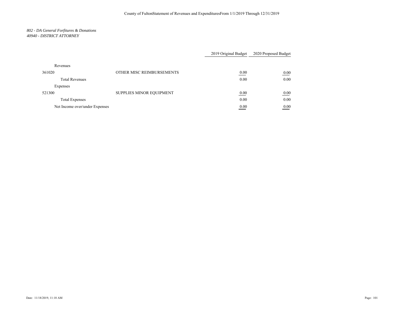# *802 - DA General Forfitures & Donations 40940 - DISTRICT ATTORNEY*

|                                |                           | 2019 Original Budget | 2020 Proposed Budget |
|--------------------------------|---------------------------|----------------------|----------------------|
| Revenues                       |                           |                      |                      |
| 361020                         | OTHER MISC REIMBURSEMENTS | 0.00                 | 0.00                 |
| <b>Total Revenues</b>          |                           | 0.00                 | 0.00                 |
| Expenses                       |                           |                      |                      |
| 521300                         | SUPPLIES MINOR EQUIPMENT  | 0.00                 | 0.00                 |
| <b>Total Expenses</b>          |                           | 0.00                 | 0.00                 |
| Net Income over/under Expenses |                           | 0.00<br>___          | 0.00<br>____         |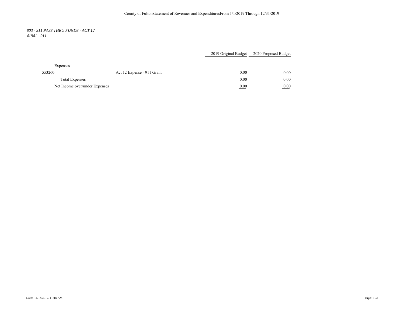## *803 - 911 PASS THRU FUNDS - ACT 12 41941 - 911*

|                                |                            | 2019 Original Budget      | 2020 Proposed Budget |
|--------------------------------|----------------------------|---------------------------|----------------------|
|                                |                            |                           |                      |
| Expenses                       |                            |                           |                      |
| 553260                         | Act 12 Expense - 911 Grant | 0.00                      | 0.00                 |
|                                | <b>Total Expenses</b>      |                           | 0.00                 |
| Net Income over/under Expenses |                            | 0.00<br><b>STATISTICS</b> | 0.00                 |